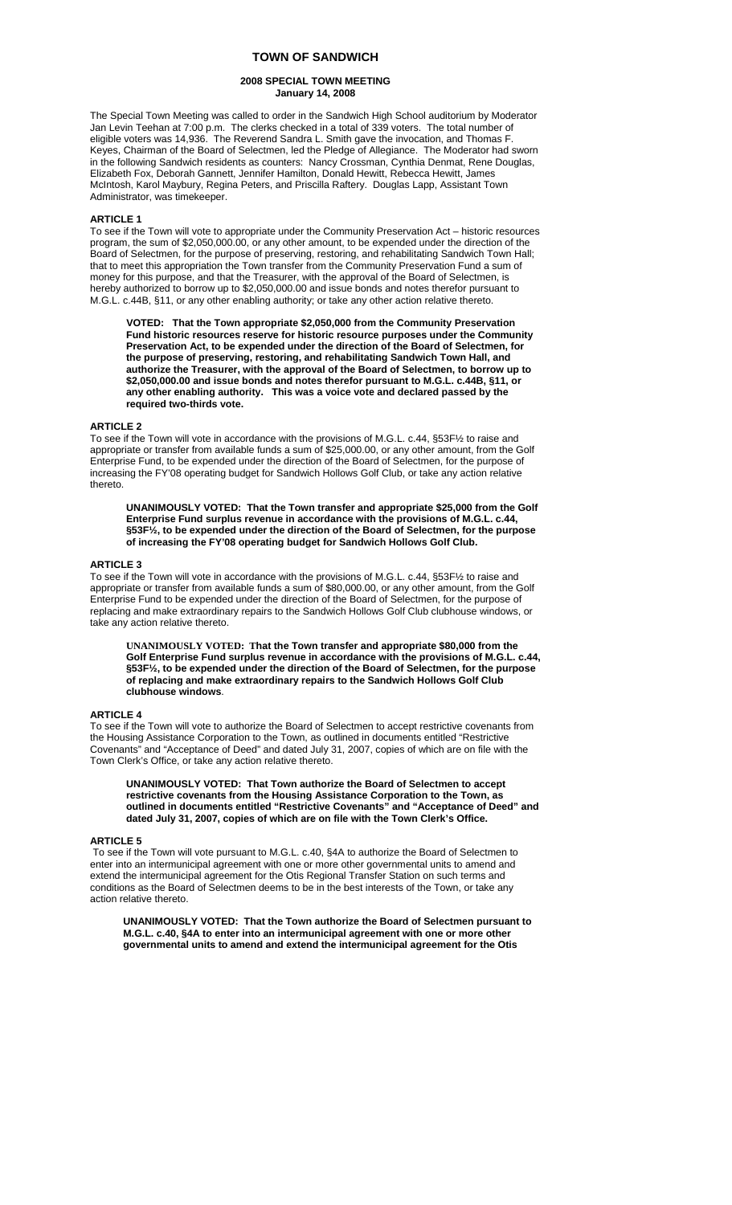## **TOWN OF SANDWICH**

### **2008 SPECIAL TOWN MEETING January 14, 2008**

The Special Town Meeting was called to order in the Sandwich High School auditorium by Moderator Jan Levin Teehan at 7:00 p.m. The clerks checked in a total of 339 voters. The total number of eligible voters was 14,936. The Reverend Sandra L. Smith gave the invocation, and Thomas F. Keyes, Chairman of the Board of Selectmen, led the Pledge of Allegiance. The Moderator had sworn in the following Sandwich residents as counters: Nancy Crossman, Cynthia Denmat, Rene Douglas, Elizabeth Fox, Deborah Gannett, Jennifer Hamilton, Donald Hewitt, Rebecca Hewitt, James McIntosh, Karol Maybury, Regina Peters, and Priscilla Raftery. Douglas Lapp, Assistant Town Administrator, was timekeeper.

# **ARTICLE 1**

To see if the Town will vote to appropriate under the Community Preservation Act – historic resources program, the sum of \$2,050,000.00, or any other amount, to be expended under the direction of the Board of Selectmen, for the purpose of preserving, restoring, and rehabilitating Sandwich Town Hall; that to meet this appropriation the Town transfer from the Community Preservation Fund a sum of money for this purpose, and that the Treasurer, with the approval of the Board of Selectmen, is hereby authorized to borrow up to \$2,050,000.00 and issue bonds and notes therefor pursuant to M.G.L. c.44B, §11, or any other enabling authority; or take any other action relative thereto.

 **VOTED: That the Town appropriate \$2,050,000 from the Community Preservation Fund historic resources reserve for historic resource purposes under the Community Preservation Act, to be expended under the direction of the Board of Selectmen, for the purpose of preserving, restoring, and rehabilitating Sandwich Town Hall, and authorize the Treasurer, with the approval of the Board of Selectmen, to borrow up to \$2,050,000.00 and issue bonds and notes therefor pursuant to M.G.L. c.44B, §11, or any other enabling authority. This was a voice vote and declared passed by the required two-thirds vote.** 

#### **ARTICLE 2**

To see if the Town will vote in accordance with the provisions of M.G.L. c.44, §53F½ to raise and appropriate or transfer from available funds a sum of \$25,000.00, or any other amount, from the Golf Enterprise Fund, to be expended under the direction of the Board of Selectmen, for the purpose of increasing the FY'08 operating budget for Sandwich Hollows Golf Club, or take any action relative thereto.

**UNANIMOUSLY VOTED: That the Town transfer and appropriate \$25,000 from the Golf Enterprise Fund surplus revenue in accordance with the provisions of M.G.L. c.44, §53F½, to be expended under the direction of the Board of Selectmen, for the purpose of increasing the FY'08 operating budget for Sandwich Hollows Golf Club.** 

### **ARTICLE 3**

To see if the Town will vote in accordance with the provisions of M.G.L. c.44, §53F½ to raise and appropriate or transfer from available funds a sum of \$80,000.00, or any other amount, from the Golf Enterprise Fund to be expended under the direction of the Board of Selectmen, for the purpose of replacing and make extraordinary repairs to the Sandwich Hollows Golf Club clubhouse windows, or take any action relative thereto.

**UNANIMOUSLY VOTED: That the Town transfer and appropriate \$80,000 from the Golf Enterprise Fund surplus revenue in accordance with the provisions of M.G.L. c.44, §53F½, to be expended under the direction of the Board of Selectmen, for the purpose of replacing and make extraordinary repairs to the Sandwich Hollows Golf Club clubhouse windows**.

## **ARTICLE 4**

To see if the Town will vote to authorize the Board of Selectmen to accept restrictive covenants from the Housing Assistance Corporation to the Town, as outlined in documents entitled "Restrictive Covenants" and "Acceptance of Deed" and dated July 31, 2007, copies of which are on file with the Town Clerk's Office, or take any action relative thereto.

**UNANIMOUSLY VOTED: That Town authorize the Board of Selectmen to accept restrictive covenants from the Housing Assistance Corporation to the Town, as outlined in documents entitled "Restrictive Covenants" and "Acceptance of Deed" and dated July 31, 2007, copies of which are on file with the Town Clerk's Office.** 

### **ARTICLE 5**

To see if the Town will vote pursuant to M.G.L. c.40, §4A to authorize the Board of Selectmen to enter into an intermunicipal agreement with one or more other governmental units to amend and extend the intermunicipal agreement for the Otis Regional Transfer Station on such terms and conditions as the Board of Selectmen deems to be in the best interests of the Town, or take any action relative thereto.

**UNANIMOUSLY VOTED: That the Town authorize the Board of Selectmen pursuant to M.G.L. c.40, §4A to enter into an intermunicipal agreement with one or more other governmental units to amend and extend the intermunicipal agreement for the Otis**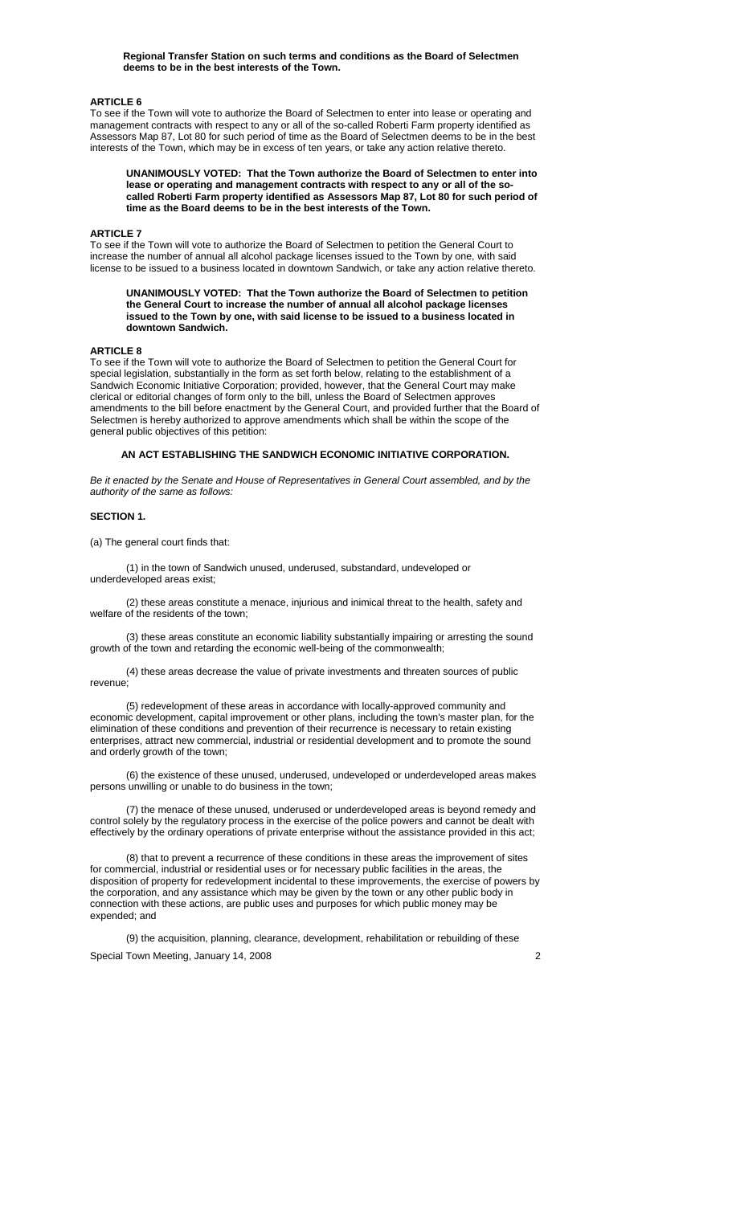**Regional Transfer Station on such terms and conditions as the Board of Selectmen deems to be in the best interests of the Town.** 

### **ARTICLE 6**

To see if the Town will vote to authorize the Board of Selectmen to enter into lease or operating and management contracts with respect to any or all of the so-called Roberti Farm property identified as Assessors Map 87, Lot 80 for such period of time as the Board of Selectmen deems to be in the best interests of the Town, which may be in excess of ten years, or take any action relative thereto.

**UNANIMOUSLY VOTED: That the Town authorize the Board of Selectmen to enter into lease or operating and management contracts with respect to any or all of the socalled Roberti Farm property identified as Assessors Map 87, Lot 80 for such period of time as the Board deems to be in the best interests of the Town.** 

### **ARTICLE 7**

To see if the Town will vote to authorize the Board of Selectmen to petition the General Court to increase the number of annual all alcohol package licenses issued to the Town by one, with said license to be issued to a business located in downtown Sandwich, or take any action relative thereto.

**UNANIMOUSLY VOTED: That the Town authorize the Board of Selectmen to petition the General Court to increase the number of annual all alcohol package licenses issued to the Town by one, with said license to be issued to a business located in downtown Sandwich.** 

#### **ARTICLE 8**

To see if the Town will vote to authorize the Board of Selectmen to petition the General Court for special legislation, substantially in the form as set forth below, relating to the establishment of a Sandwich Economic Initiative Corporation; provided, however, that the General Court may make clerical or editorial changes of form only to the bill, unless the Board of Selectmen approves amendments to the bill before enactment by the General Court, and provided further that the Board of Selectmen is hereby authorized to approve amendments which shall be within the scope of the general public objectives of this petition:

**AN ACT ESTABLISHING THE SANDWICH ECONOMIC INITIATIVE CORPORATION.** 

*Be it enacted by the Senate and House of Representatives in General Court assembled, and by the authority of the same as follows:*

#### **SECTION 1.**

(a) The general court finds that:

 (1) in the town of Sandwich unused, underused, substandard, undeveloped or underdeveloped areas exist;

 (2) these areas constitute a menace, injurious and inimical threat to the health, safety and welfare of the residents of the town;

 (3) these areas constitute an economic liability substantially impairing or arresting the sound growth of the town and retarding the economic well-being of the commonwealth;

 (4) these areas decrease the value of private investments and threaten sources of public revenue;

 (5) redevelopment of these areas in accordance with locally-approved community and economic development, capital improvement or other plans, including the town's master plan, for the elimination of these conditions and prevention of their recurrence is necessary to retain existing enterprises, attract new commercial, industrial or residential development and to promote the sound and orderly growth of the town:

 (6) the existence of these unused, underused, undeveloped or underdeveloped areas makes persons unwilling or unable to do business in the town;

 (7) the menace of these unused, underused or underdeveloped areas is beyond remedy and control solely by the regulatory process in the exercise of the police powers and cannot be dealt with effectively by the ordinary operations of private enterprise without the assistance provided in this act;

 (8) that to prevent a recurrence of these conditions in these areas the improvement of sites for commercial, industrial or residential uses or for necessary public facilities in the areas, the disposition of property for redevelopment incidental to these improvements, the exercise of powers by the corporation, and any assistance which may be given by the town or any other public body in connection with these actions, are public uses and purposes for which public money may be expended; and

Special Town Meeting, January 14, 2008 2008 (9) the acquisition, planning, clearance, development, rehabilitation or rebuilding of these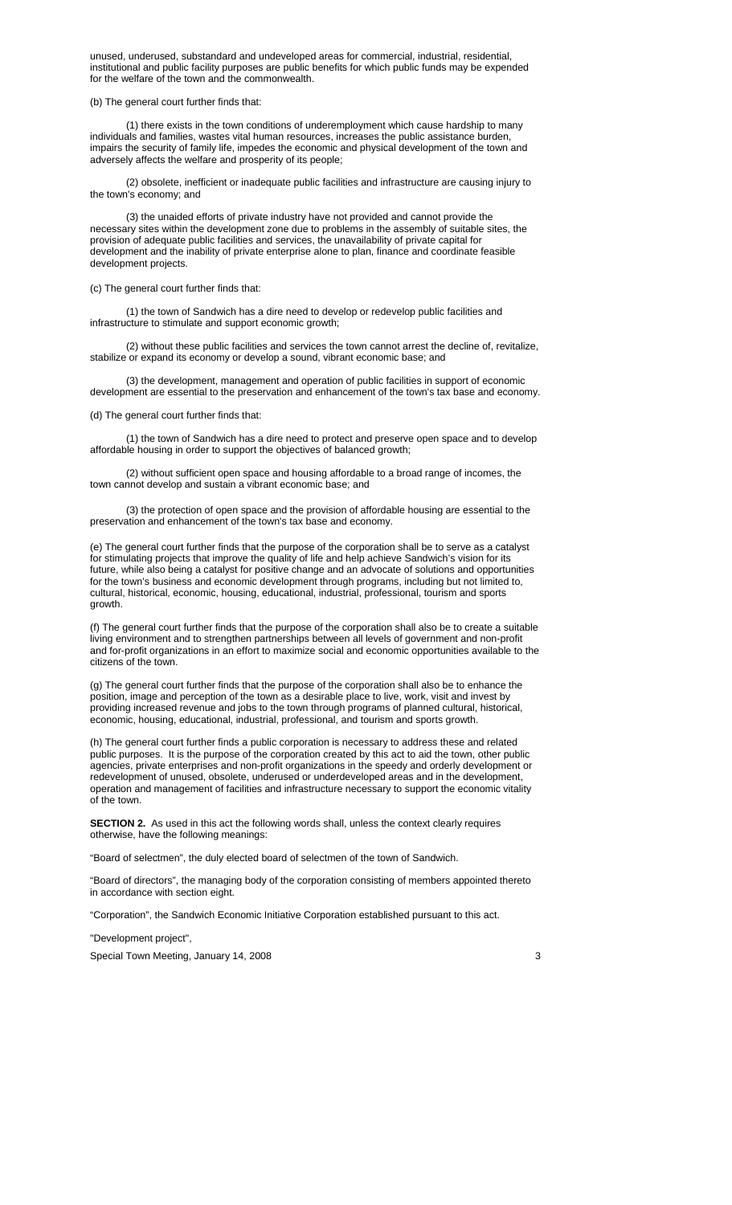unused, underused, substandard and undeveloped areas for commercial, industrial, residential, institutional and public facility purposes are public benefits for which public funds may be expended for the welfare of the town and the commonwealth.

#### (b) The general court further finds that:

 (1) there exists in the town conditions of underemployment which cause hardship to many individuals and families, wastes vital human resources, increases the public assistance burden, impairs the security of family life, impedes the economic and physical development of the town and adversely affects the welfare and prosperity of its people;

 (2) obsolete, inefficient or inadequate public facilities and infrastructure are causing injury to the town's economy; and

 (3) the unaided efforts of private industry have not provided and cannot provide the necessary sites within the development zone due to problems in the assembly of suitable sites, the provision of adequate public facilities and services, the unavailability of private capital for development and the inability of private enterprise alone to plan, finance and coordinate feasible development projects.

#### (c) The general court further finds that:

 (1) the town of Sandwich has a dire need to develop or redevelop public facilities and infrastructure to stimulate and support economic growth;

 (2) without these public facilities and services the town cannot arrest the decline of, revitalize, stabilize or expand its economy or develop a sound, vibrant economic base; and

 (3) the development, management and operation of public facilities in support of economic development are essential to the preservation and enhancement of the town's tax base and economy.

### (d) The general court further finds that:

 (1) the town of Sandwich has a dire need to protect and preserve open space and to develop affordable housing in order to support the objectives of balanced growth;

 (2) without sufficient open space and housing affordable to a broad range of incomes, the town cannot develop and sustain a vibrant economic base; and

 (3) the protection of open space and the provision of affordable housing are essential to the preservation and enhancement of the town's tax base and economy.

(e) The general court further finds that the purpose of the corporation shall be to serve as a catalyst for stimulating projects that improve the quality of life and help achieve Sandwich's vision for its future, while also being a catalyst for positive change and an advocate of solutions and opportunities for the town's business and economic development through programs, including but not limited to, cultural, historical, economic, housing, educational, industrial, professional, tourism and sports growth.

(f) The general court further finds that the purpose of the corporation shall also be to create a suitable living environment and to strengthen partnerships between all levels of government and non-profit and for-profit organizations in an effort to maximize social and economic opportunities available to the citizens of the town.

(g) The general court further finds that the purpose of the corporation shall also be to enhance the position, image and perception of the town as a desirable place to live, work, visit and invest by providing increased revenue and jobs to the town through programs of planned cultural, historical, economic, housing, educational, industrial, professional, and tourism and sports growth.

(h) The general court further finds a public corporation is necessary to address these and related public purposes. It is the purpose of the corporation created by this act to aid the town, other public agencies, private enterprises and non-profit organizations in the speedy and orderly development or redevelopment of unused, obsolete, underused or underdeveloped areas and in the development, operation and management of facilities and infrastructure necessary to support the economic vitality of the town.

**SECTION 2.** As used in this act the following words shall, unless the context clearly requires otherwise, have the following meanings:

"Board of selectmen", the duly elected board of selectmen of the town of Sandwich.

"Board of directors", the managing body of the corporation consisting of members appointed thereto in accordance with section eight.

"Corporation", the Sandwich Economic Initiative Corporation established pursuant to this act.

"Development project",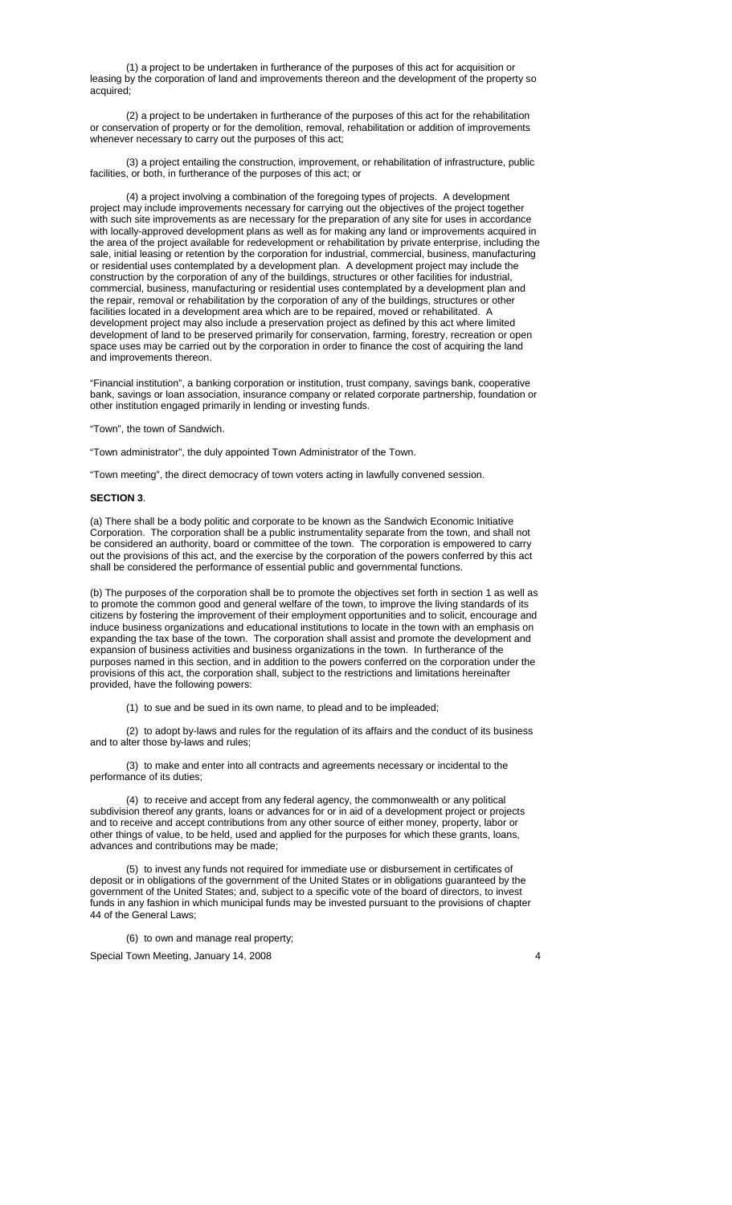(1) a project to be undertaken in furtherance of the purposes of this act for acquisition or leasing by the corporation of land and improvements thereon and the development of the property so acquired;

 (2) a project to be undertaken in furtherance of the purposes of this act for the rehabilitation or conservation of property or for the demolition, removal, rehabilitation or addition of improvements whenever necessary to carry out the purposes of this act;

 (3) a project entailing the construction, improvement, or rehabilitation of infrastructure, public facilities, or both, in furtherance of the purposes of this act; or

 (4) a project involving a combination of the foregoing types of projects. A development project may include improvements necessary for carrying out the objectives of the project together with such site improvements as are necessary for the preparation of any site for uses in accordance with locally-approved development plans as well as for making any land or improvements acquired in the area of the project available for redevelopment or rehabilitation by private enterprise, including the sale, initial leasing or retention by the corporation for industrial, commercial, business, manufacturing or residential uses contemplated by a development plan. A development project may include the construction by the corporation of any of the buildings, structures or other facilities for industrial, commercial, business, manufacturing or residential uses contemplated by a development plan and the repair, removal or rehabilitation by the corporation of any of the buildings, structures or other facilities located in a development area which are to be repaired, moved or rehabilitated. A development project may also include a preservation project as defined by this act where limited development of land to be preserved primarily for conservation, farming, forestry, recreation or open space uses may be carried out by the corporation in order to finance the cost of acquiring the land and improvements thereon.

"Financial institution", a banking corporation or institution, trust company, savings bank, cooperative bank, savings or loan association, insurance company or related corporate partnership, foundation or other institution engaged primarily in lending or investing funds.

"Town", the town of Sandwich.

"Town administrator", the duly appointed Town Administrator of the Town.

"Town meeting", the direct democracy of town voters acting in lawfully convened session.

### **SECTION 3**.

(a) There shall be a body politic and corporate to be known as the Sandwich Economic Initiative Corporation. The corporation shall be a public instrumentality separate from the town, and shall not be considered an authority, board or committee of the town. The corporation is empowered to carry out the provisions of this act, and the exercise by the corporation of the powers conferred by this act shall be considered the performance of essential public and governmental functions.

(b) The purposes of the corporation shall be to promote the objectives set forth in section 1 as well as to promote the common good and general welfare of the town, to improve the living standards of its citizens by fostering the improvement of their employment opportunities and to solicit, encourage and induce business organizations and educational institutions to locate in the town with an emphasis on expanding the tax base of the town. The corporation shall assist and promote the development and expansion of business activities and business organizations in the town. In furtherance of the purposes named in this section, and in addition to the powers conferred on the corporation under the provisions of this act, the corporation shall, subject to the restrictions and limitations hereinafter provided, have the following powers:

(1) to sue and be sued in its own name, to plead and to be impleaded;

 (2) to adopt by-laws and rules for the regulation of its affairs and the conduct of its business and to alter those by-laws and rules;

 (3) to make and enter into all contracts and agreements necessary or incidental to the performance of its duties;

 (4) to receive and accept from any federal agency, the commonwealth or any political subdivision thereof any grants, loans or advances for or in aid of a development project or projects and to receive and accept contributions from any other source of either money, property, labor or other things of value, to be held, used and applied for the purposes for which these grants, loans, advances and contributions may be made;

 (5) to invest any funds not required for immediate use or disbursement in certificates of deposit or in obligations of the government of the United States or in obligations guaranteed by the government of the United States; and, subject to a specific vote of the board of directors, to invest funds in any fashion in which municipal funds may be invested pursuant to the provisions of chapter 44 of the General Laws;

(6) to own and manage real property;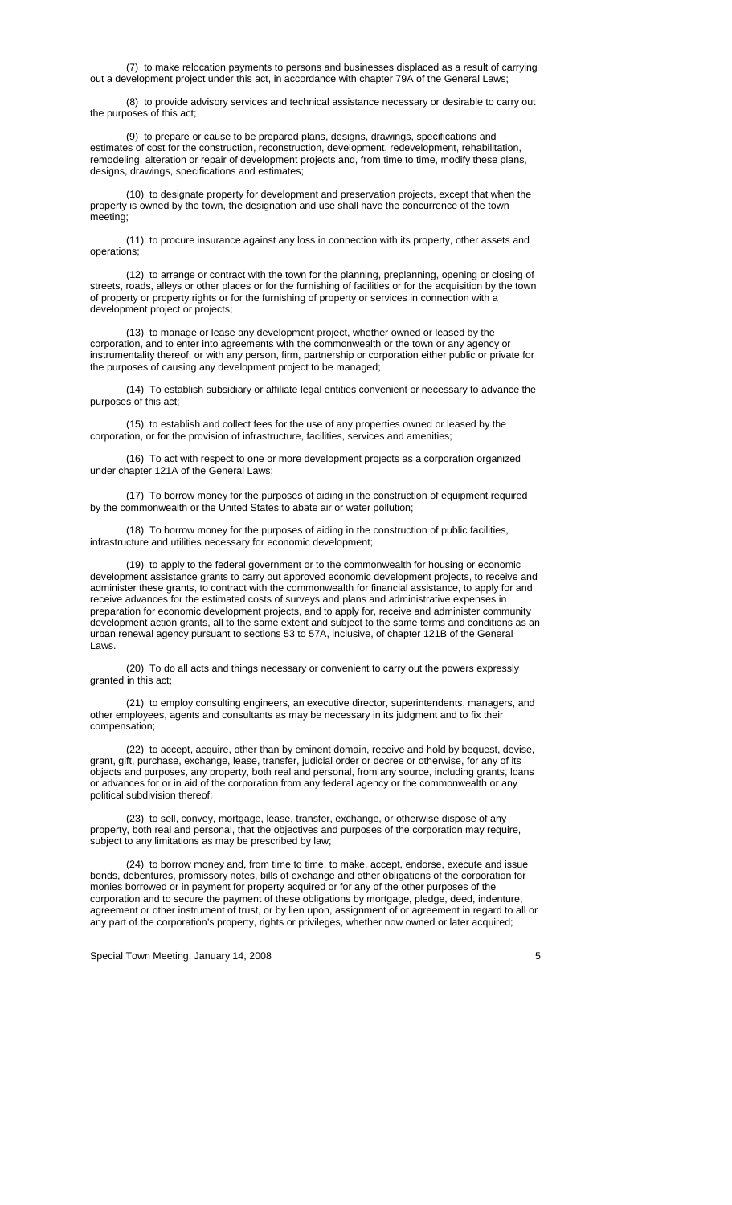(7) to make relocation payments to persons and businesses displaced as a result of carrying out a development project under this act, in accordance with chapter 79A of the General Laws;

 (8) to provide advisory services and technical assistance necessary or desirable to carry out the purposes of this act;

 (9) to prepare or cause to be prepared plans, designs, drawings, specifications and estimates of cost for the construction, reconstruction, development, redevelopment, rehabilitation, remodeling, alteration or repair of development projects and, from time to time, modify these plans, designs, drawings, specifications and estimates;

 (10) to designate property for development and preservation projects, except that when the property is owned by the town, the designation and use shall have the concurrence of the town meeting;

 (11) to procure insurance against any loss in connection with its property, other assets and operations;

 (12) to arrange or contract with the town for the planning, preplanning, opening or closing of streets, roads, alleys or other places or for the furnishing of facilities or for the acquisition by the town of property or property rights or for the furnishing of property or services in connection with a development project or projects;

 (13) to manage or lease any development project, whether owned or leased by the corporation, and to enter into agreements with the commonwealth or the town or any agency or instrumentality thereof, or with any person, firm, partnership or corporation either public or private for the purposes of causing any development project to be managed;

 (14) To establish subsidiary or affiliate legal entities convenient or necessary to advance the purposes of this act;

 (15) to establish and collect fees for the use of any properties owned or leased by the corporation, or for the provision of infrastructure, facilities, services and amenities;

 (16) To act with respect to one or more development projects as a corporation organized under chapter 121A of the General Laws;

 (17) To borrow money for the purposes of aiding in the construction of equipment required by the commonwealth or the United States to abate air or water pollution;

 (18) To borrow money for the purposes of aiding in the construction of public facilities, infrastructure and utilities necessary for economic development;

 (19) to apply to the federal government or to the commonwealth for housing or economic development assistance grants to carry out approved economic development projects, to receive and administer these grants, to contract with the commonwealth for financial assistance, to apply for and receive advances for the estimated costs of surveys and plans and administrative expenses in preparation for economic development projects, and to apply for, receive and administer community development action grants, all to the same extent and subject to the same terms and conditions as an urban renewal agency pursuant to sections 53 to 57A, inclusive, of chapter 121B of the General Laws.

 (20) To do all acts and things necessary or convenient to carry out the powers expressly granted in this act;

 (21) to employ consulting engineers, an executive director, superintendents, managers, and other employees, agents and consultants as may be necessary in its judgment and to fix their compensation;

 (22) to accept, acquire, other than by eminent domain, receive and hold by bequest, devise, grant, gift, purchase, exchange, lease, transfer, judicial order or decree or otherwise, for any of its objects and purposes, any property, both real and personal, from any source, including grants, loans or advances for or in aid of the corporation from any federal agency or the commonwealth or any political subdivision thereof;

 (23) to sell, convey, mortgage, lease, transfer, exchange, or otherwise dispose of any property, both real and personal, that the objectives and purposes of the corporation may require, subject to any limitations as may be prescribed by law;

(24) to borrow money and, from time to time, to make, accept, endorse, execute and issue bonds, debentures, promissory notes, bills of exchange and other obligations of the corporation for monies borrowed or in payment for property acquired or for any of the other purposes of the corporation and to secure the payment of these obligations by mortgage, pledge, deed, indenture, agreement or other instrument of trust, or by lien upon, assignment of or agreement in regard to all or any part of the corporation's property, rights or privileges, whether now owned or later acquired;

Special Town Meeting, January 14, 2008 **5** Special Town Meeting, January 14, 2008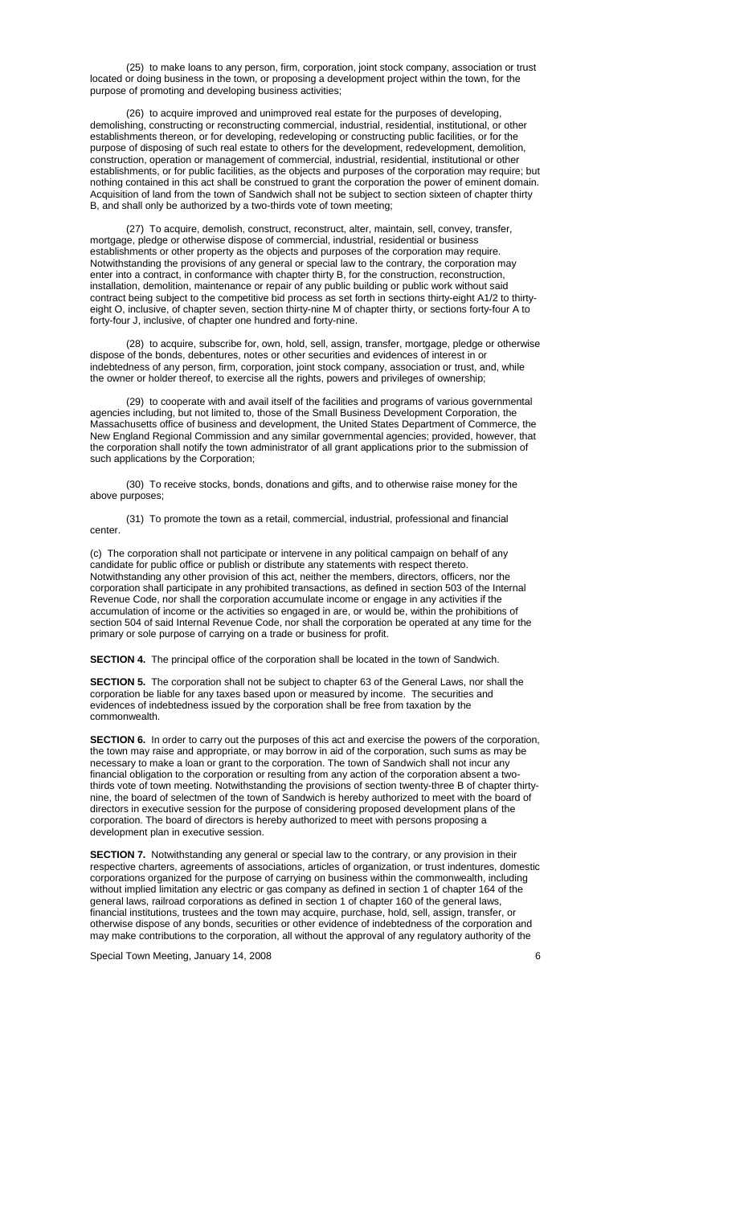(25) to make loans to any person, firm, corporation, joint stock company, association or trust located or doing business in the town, or proposing a development project within the town, for the purpose of promoting and developing business activities;

 (26) to acquire improved and unimproved real estate for the purposes of developing, demolishing, constructing or reconstructing commercial, industrial, residential, institutional, or other establishments thereon, or for developing, redeveloping or constructing public facilities, or for the purpose of disposing of such real estate to others for the development, redevelopment, demolition, construction, operation or management of commercial, industrial, residential, institutional or other establishments, or for public facilities, as the objects and purposes of the corporation may require; but nothing contained in this act shall be construed to grant the corporation the power of eminent domain. Acquisition of land from the town of Sandwich shall not be subject to section sixteen of chapter thirty B, and shall only be authorized by a two-thirds vote of town meeting;

 (27) To acquire, demolish, construct, reconstruct, alter, maintain, sell, convey, transfer, mortgage, pledge or otherwise dispose of commercial, industrial, residential or business establishments or other property as the objects and purposes of the corporation may require. Notwithstanding the provisions of any general or special law to the contrary, the corporation may enter into a contract, in conformance with chapter thirty B, for the construction, reconstruction, installation, demolition, maintenance or repair of any public building or public work without said contract being subject to the competitive bid process as set forth in sections thirty-eight A1/2 to thirtyeight O, inclusive, of chapter seven, section thirty-nine M of chapter thirty, or sections forty-four A to forty-four J, inclusive, of chapter one hundred and forty-nine.

(28) to acquire, subscribe for, own, hold, sell, assign, transfer, mortgage, pledge or otherwise dispose of the bonds, debentures, notes or other securities and evidences of interest in or indebtedness of any person, firm, corporation, joint stock company, association or trust, and, while the owner or holder thereof, to exercise all the rights, powers and privileges of ownership;

 (29) to cooperate with and avail itself of the facilities and programs of various governmental agencies including, but not limited to, those of the Small Business Development Corporation, the Massachusetts office of business and development, the United States Department of Commerce, the New England Regional Commission and any similar governmental agencies; provided, however, that the corporation shall notify the town administrator of all grant applications prior to the submission of such applications by the Corporation;

 (30) To receive stocks, bonds, donations and gifts, and to otherwise raise money for the above purposes;

 (31) To promote the town as a retail, commercial, industrial, professional and financial center.

(c) The corporation shall not participate or intervene in any political campaign on behalf of any candidate for public office or publish or distribute any statements with respect thereto. Notwithstanding any other provision of this act, neither the members, directors, officers, nor the corporation shall participate in any prohibited transactions, as defined in section 503 of the Internal Revenue Code, nor shall the corporation accumulate income or engage in any activities if the accumulation of income or the activities so engaged in are, or would be, within the prohibitions of section 504 of said Internal Revenue Code, nor shall the corporation be operated at any time for the primary or sole purpose of carrying on a trade or business for profit.

**SECTION 4.** The principal office of the corporation shall be located in the town of Sandwich.

**SECTION 5.** The corporation shall not be subject to chapter 63 of the General Laws, nor shall the corporation be liable for any taxes based upon or measured by income. The securities and evidences of indebtedness issued by the corporation shall be free from taxation by the commonwealth.

**SECTION 6.** In order to carry out the purposes of this act and exercise the powers of the corporation, the town may raise and appropriate, or may borrow in aid of the corporation, such sums as may be necessary to make a loan or grant to the corporation. The town of Sandwich shall not incur any financial obligation to the corporation or resulting from any action of the corporation absent a twothirds vote of town meeting. Notwithstanding the provisions of section twenty-three B of chapter thirtynine, the board of selectmen of the town of Sandwich is hereby authorized to meet with the board of directors in executive session for the purpose of considering proposed development plans of the corporation. The board of directors is hereby authorized to meet with persons proposing a development plan in executive session.

**SECTION 7.** Notwithstanding any general or special law to the contrary, or any provision in their respective charters, agreements of associations, articles of organization, or trust indentures, domestic corporations organized for the purpose of carrying on business within the commonwealth, including without implied limitation any electric or gas company as defined in section 1 of chapter 164 of the general laws, railroad corporations as defined in section 1 of chapter 160 of the general laws, financial institutions, trustees and the town may acquire, purchase, hold, sell, assign, transfer, or otherwise dispose of any bonds, securities or other evidence of indebtedness of the corporation and may make contributions to the corporation, all without the approval of any regulatory authority of the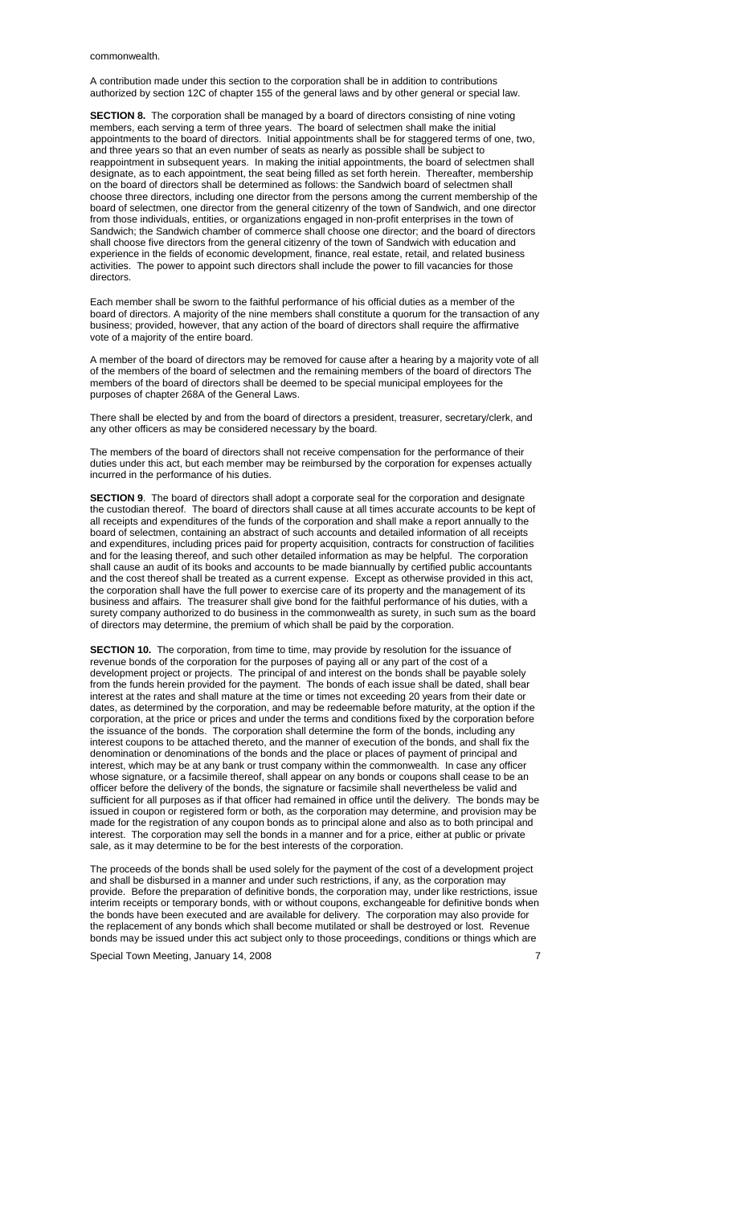#### commonwealth.

A contribution made under this section to the corporation shall be in addition to contributions authorized by section 12C of chapter 155 of the general laws and by other general or special law.

**SECTION 8.** The corporation shall be managed by a board of directors consisting of nine voting members, each serving a term of three years. The board of selectmen shall make the initial appointments to the board of directors. Initial appointments shall be for staggered terms of one, two, and three years so that an even number of seats as nearly as possible shall be subject to reappointment in subsequent years. In making the initial appointments, the board of selectmen shall designate, as to each appointment, the seat being filled as set forth herein. Thereafter, membership on the board of directors shall be determined as follows: the Sandwich board of selectmen shall choose three directors, including one director from the persons among the current membership of the board of selectmen, one director from the general citizenry of the town of Sandwich, and one director from those individuals, entities, or organizations engaged in non-profit enterprises in the town of Sandwich; the Sandwich chamber of commerce shall choose one director; and the board of directors shall choose five directors from the general citizenry of the town of Sandwich with education and experience in the fields of economic development, finance, real estate, retail, and related business activities. The power to appoint such directors shall include the power to fill vacancies for those directors.

Each member shall be sworn to the faithful performance of his official duties as a member of the board of directors. A majority of the nine members shall constitute a quorum for the transaction of any business; provided, however, that any action of the board of directors shall require the affirmative vote of a majority of the entire board.

A member of the board of directors may be removed for cause after a hearing by a majority vote of all of the members of the board of selectmen and the remaining members of the board of directors The members of the board of directors shall be deemed to be special municipal employees for the purposes of chapter 268A of the General Laws.

There shall be elected by and from the board of directors a president, treasurer, secretary/clerk, and any other officers as may be considered necessary by the board.

The members of the board of directors shall not receive compensation for the performance of their duties under this act, but each member may be reimbursed by the corporation for expenses actually incurred in the performance of his duties.

**SECTION 9**. The board of directors shall adopt a corporate seal for the corporation and designate the custodian thereof. The board of directors shall cause at all times accurate accounts to be kept of all receipts and expenditures of the funds of the corporation and shall make a report annually to the board of selectmen, containing an abstract of such accounts and detailed information of all receipts and expenditures, including prices paid for property acquisition, contracts for construction of facilities and for the leasing thereof, and such other detailed information as may be helpful. The corporation shall cause an audit of its books and accounts to be made biannually by certified public accountants and the cost thereof shall be treated as a current expense. Except as otherwise provided in this act, the corporation shall have the full power to exercise care of its property and the management of its business and affairs. The treasurer shall give bond for the faithful performance of his duties, with a surety company authorized to do business in the commonwealth as surety, in such sum as the board of directors may determine, the premium of which shall be paid by the corporation.

**SECTION 10.** The corporation, from time to time, may provide by resolution for the issuance of revenue bonds of the corporation for the purposes of paying all or any part of the cost of a development project or projects. The principal of and interest on the bonds shall be payable solely from the funds herein provided for the payment. The bonds of each issue shall be dated, shall bear interest at the rates and shall mature at the time or times not exceeding 20 years from their date or dates, as determined by the corporation, and may be redeemable before maturity, at the option if the corporation, at the price or prices and under the terms and conditions fixed by the corporation before the issuance of the bonds. The corporation shall determine the form of the bonds, including any interest coupons to be attached thereto, and the manner of execution of the bonds, and shall fix the denomination or denominations of the bonds and the place or places of payment of principal and interest, which may be at any bank or trust company within the commonwealth. In case any officer whose signature, or a facsimile thereof, shall appear on any bonds or coupons shall cease to be an officer before the delivery of the bonds, the signature or facsimile shall nevertheless be valid and sufficient for all purposes as if that officer had remained in office until the delivery. The bonds may be issued in coupon or registered form or both, as the corporation may determine, and provision may be made for the registration of any coupon bonds as to principal alone and also as to both principal and interest. The corporation may sell the bonds in a manner and for a price, either at public or private sale, as it may determine to be for the best interests of the corporation.

The proceeds of the bonds shall be used solely for the payment of the cost of a development project and shall be disbursed in a manner and under such restrictions, if any, as the corporation may provide. Before the preparation of definitive bonds, the corporation may, under like restrictions, issue interim receipts or temporary bonds, with or without coupons, exchangeable for definitive bonds when the bonds have been executed and are available for delivery. The corporation may also provide for the replacement of any bonds which shall become mutilated or shall be destroyed or lost. Revenue bonds may be issued under this act subject only to those proceedings, conditions or things which are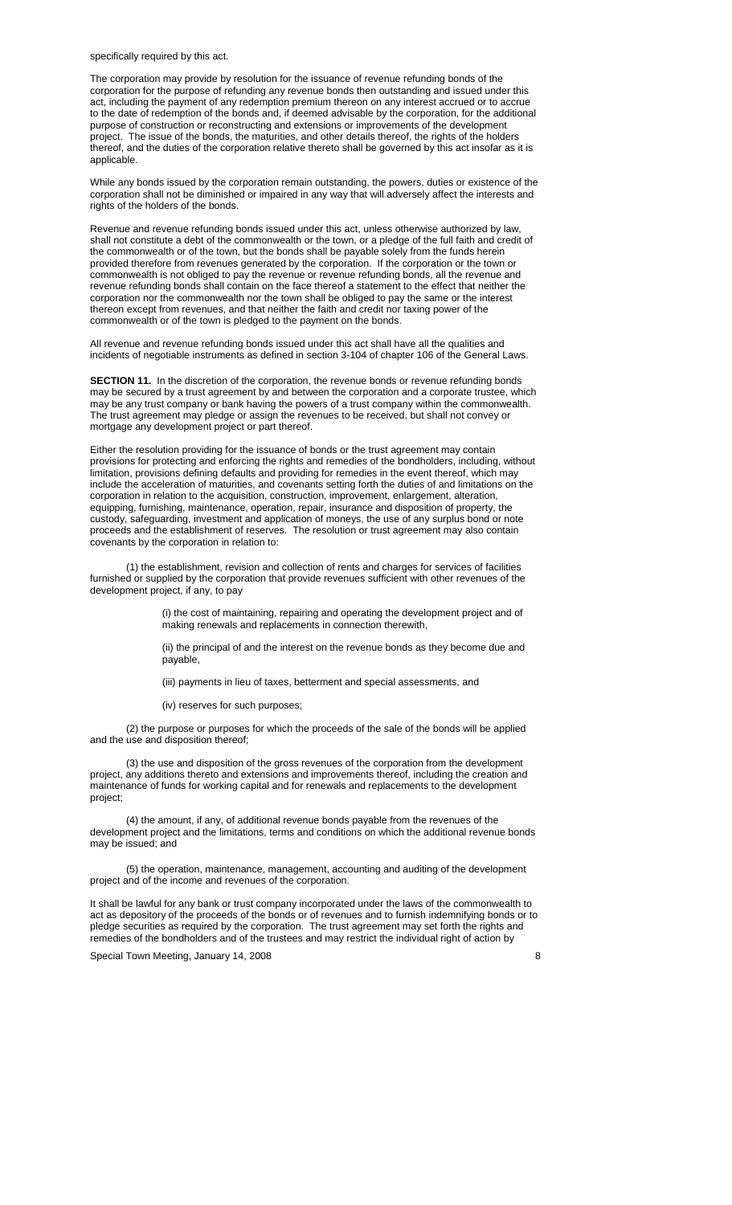specifically required by this act.

The corporation may provide by resolution for the issuance of revenue refunding bonds of the corporation for the purpose of refunding any revenue bonds then outstanding and issued under this act, including the payment of any redemption premium thereon on any interest accrued or to accrue to the date of redemption of the bonds and, if deemed advisable by the corporation, for the additional purpose of construction or reconstructing and extensions or improvements of the development project. The issue of the bonds, the maturities, and other details thereof, the rights of the holders thereof, and the duties of the corporation relative thereto shall be governed by this act insofar as it is applicable.

While any bonds issued by the corporation remain outstanding, the powers, duties or existence of the corporation shall not be diminished or impaired in any way that will adversely affect the interests and rights of the holders of the bonds.

Revenue and revenue refunding bonds issued under this act, unless otherwise authorized by law, shall not constitute a debt of the commonwealth or the town, or a pledge of the full faith and credit of the commonwealth or of the town, but the bonds shall be payable solely from the funds herein provided therefore from revenues generated by the corporation. If the corporation or the town or commonwealth is not obliged to pay the revenue or revenue refunding bonds, all the revenue and revenue refunding bonds shall contain on the face thereof a statement to the effect that neither the corporation nor the commonwealth nor the town shall be obliged to pay the same or the interest thereon except from revenues, and that neither the faith and credit nor taxing power of the commonwealth or of the town is pledged to the payment on the bonds.

All revenue and revenue refunding bonds issued under this act shall have all the qualities and incidents of negotiable instruments as defined in section 3-104 of chapter 106 of the General Laws.

**SECTION 11.** In the discretion of the corporation, the revenue bonds or revenue refunding bonds may be secured by a trust agreement by and between the corporation and a corporate trustee, which may be any trust company or bank having the powers of a trust company within the commonwealth. The trust agreement may pledge or assign the revenues to be received, but shall not convey or mortgage any development project or part thereof.

Either the resolution providing for the issuance of bonds or the trust agreement may contain provisions for protecting and enforcing the rights and remedies of the bondholders, including, without limitation, provisions defining defaults and providing for remedies in the event thereof, which may include the acceleration of maturities, and covenants setting forth the duties of and limitations on the corporation in relation to the acquisition, construction, improvement, enlargement, alteration, equipping, furnishing, maintenance, operation, repair, insurance and disposition of property, the custody, safeguarding, investment and application of moneys, the use of any surplus bond or note proceeds and the establishment of reserves. The resolution or trust agreement may also contain covenants by the corporation in relation to:

 (1) the establishment, revision and collection of rents and charges for services of facilities furnished or supplied by the corporation that provide revenues sufficient with other revenues of the development project, if any, to pay

> (i) the cost of maintaining, repairing and operating the development project and of making renewals and replacements in connection therewith,

(ii) the principal of and the interest on the revenue bonds as they become due and payable,

(iii) payments in lieu of taxes, betterment and special assessments, and

(iv) reserves for such purposes;

(2) the purpose or purposes for which the proceeds of the sale of the bonds will be applied and the use and disposition thereof;

(3) the use and disposition of the gross revenues of the corporation from the development project, any additions thereto and extensions and improvements thereof, including the creation and maintenance of funds for working capital and for renewals and replacements to the development project;

(4) the amount, if any, of additional revenue bonds payable from the revenues of the development project and the limitations, terms and conditions on which the additional revenue bonds may be issued; and

(5) the operation, maintenance, management, accounting and auditing of the development project and of the income and revenues of the corporation.

It shall be lawful for any bank or trust company incorporated under the laws of the commonwealth to act as depository of the proceeds of the bonds or of revenues and to furnish indemnifying bonds or to pledge securities as required by the corporation. The trust agreement may set forth the rights and remedies of the bondholders and of the trustees and may restrict the individual right of action by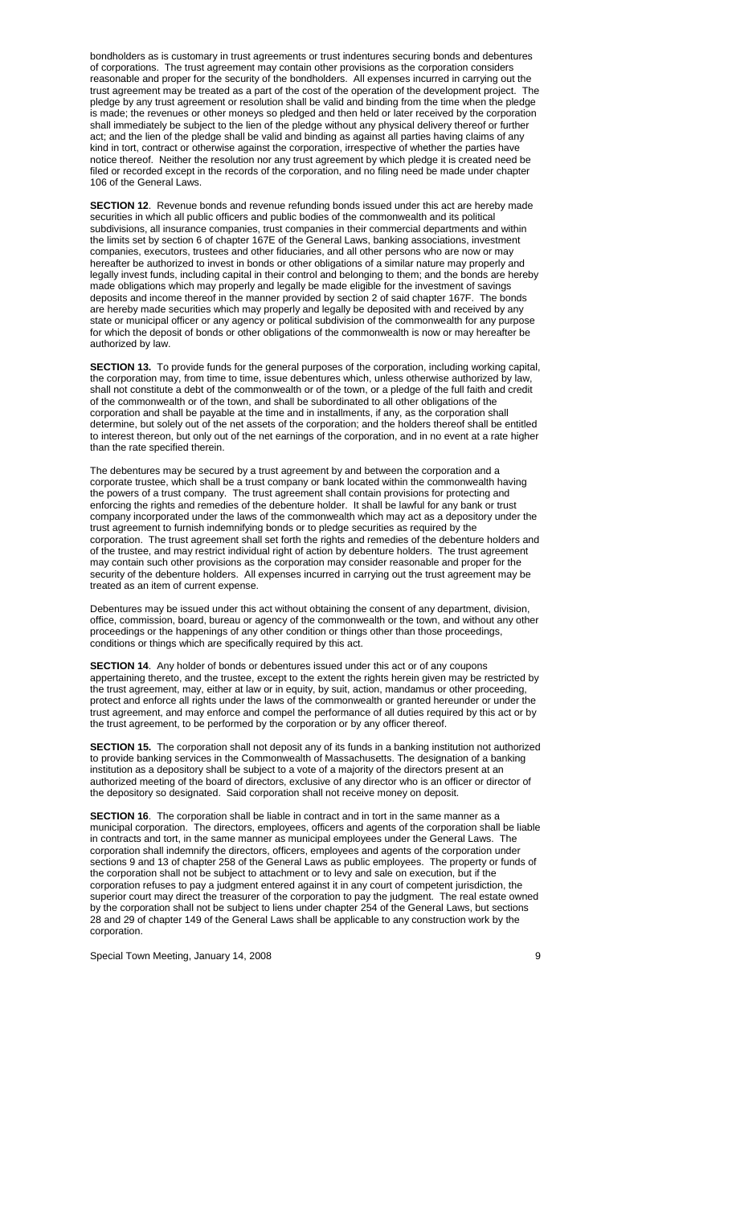bondholders as is customary in trust agreements or trust indentures securing bonds and debentures of corporations. The trust agreement may contain other provisions as the corporation considers reasonable and proper for the security of the bondholders. All expenses incurred in carrying out the trust agreement may be treated as a part of the cost of the operation of the development project. The pledge by any trust agreement or resolution shall be valid and binding from the time when the pledge is made; the revenues or other moneys so pledged and then held or later received by the corporation shall immediately be subject to the lien of the pledge without any physical delivery thereof or further act; and the lien of the pledge shall be valid and binding as against all parties having claims of any kind in tort, contract or otherwise against the corporation, irrespective of whether the parties have notice thereof. Neither the resolution nor any trust agreement by which pledge it is created need be filed or recorded except in the records of the corporation, and no filing need be made under chapter 106 of the General Laws.

**SECTION 12**. Revenue bonds and revenue refunding bonds issued under this act are hereby made securities in which all public officers and public bodies of the commonwealth and its political subdivisions, all insurance companies, trust companies in their commercial departments and within the limits set by section 6 of chapter 167E of the General Laws, banking associations, investment companies, executors, trustees and other fiduciaries, and all other persons who are now or may hereafter be authorized to invest in bonds or other obligations of a similar nature may properly and legally invest funds, including capital in their control and belonging to them; and the bonds are hereby made obligations which may properly and legally be made eligible for the investment of savings deposits and income thereof in the manner provided by section 2 of said chapter 167F. The bonds are hereby made securities which may properly and legally be deposited with and received by any state or municipal officer or any agency or political subdivision of the commonwealth for any purpose for which the deposit of bonds or other obligations of the commonwealth is now or may hereafter be authorized by law.

**SECTION 13.** To provide funds for the general purposes of the corporation, including working capital, the corporation may, from time to time, issue debentures which, unless otherwise authorized by law, shall not constitute a debt of the commonwealth or of the town, or a pledge of the full faith and credit of the commonwealth or of the town, and shall be subordinated to all other obligations of the corporation and shall be payable at the time and in installments, if any, as the corporation shall determine, but solely out of the net assets of the corporation; and the holders thereof shall be entitled to interest thereon, but only out of the net earnings of the corporation, and in no event at a rate higher than the rate specified therein.

The debentures may be secured by a trust agreement by and between the corporation and a corporate trustee, which shall be a trust company or bank located within the commonwealth having the powers of a trust company. The trust agreement shall contain provisions for protecting and enforcing the rights and remedies of the debenture holder. It shall be lawful for any bank or trust company incorporated under the laws of the commonwealth which may act as a depository under the trust agreement to furnish indemnifying bonds or to pledge securities as required by the corporation. The trust agreement shall set forth the rights and remedies of the debenture holders and of the trustee, and may restrict individual right of action by debenture holders. The trust agreement may contain such other provisions as the corporation may consider reasonable and proper for the security of the debenture holders. All expenses incurred in carrying out the trust agreement may be treated as an item of current expense.

Debentures may be issued under this act without obtaining the consent of any department, division, office, commission, board, bureau or agency of the commonwealth or the town, and without any other proceedings or the happenings of any other condition or things other than those proceedings, conditions or things which are specifically required by this act.

**SECTION 14**. Any holder of bonds or debentures issued under this act or of any coupons appertaining thereto, and the trustee, except to the extent the rights herein given may be restricted by the trust agreement, may, either at law or in equity, by suit, action, mandamus or other proceeding, protect and enforce all rights under the laws of the commonwealth or granted hereunder or under the trust agreement, and may enforce and compel the performance of all duties required by this act or by the trust agreement, to be performed by the corporation or by any officer thereof.

**SECTION 15.** The corporation shall not deposit any of its funds in a banking institution not authorized to provide banking services in the Commonwealth of Massachusetts. The designation of a banking institution as a depository shall be subject to a vote of a majority of the directors present at an authorized meeting of the board of directors, exclusive of any director who is an officer or director of the depository so designated. Said corporation shall not receive money on deposit.

**SECTION 16**. The corporation shall be liable in contract and in tort in the same manner as a municipal corporation. The directors, employees, officers and agents of the corporation shall be liable in contracts and tort, in the same manner as municipal employees under the General Laws. The corporation shall indemnify the directors, officers, employees and agents of the corporation under sections 9 and 13 of chapter 258 of the General Laws as public employees. The property or funds of the corporation shall not be subject to attachment or to levy and sale on execution, but if the corporation refuses to pay a judgment entered against it in any court of competent jurisdiction, the superior court may direct the treasurer of the corporation to pay the judgment. The real estate owned by the corporation shall not be subject to liens under chapter 254 of the General Laws, but sections 28 and 29 of chapter 149 of the General Laws shall be applicable to any construction work by the corporation.

Special Town Meeting, January 14, 2008 **9 and System Meeting** 9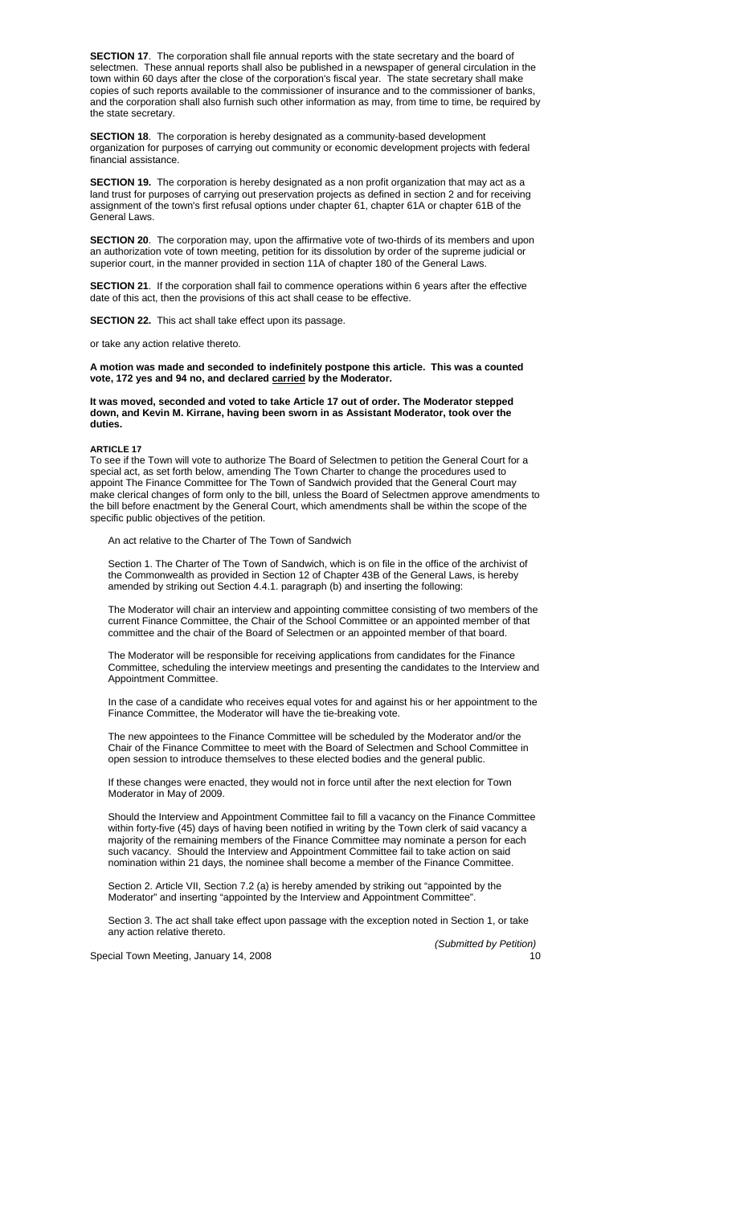**SECTION 17**. The corporation shall file annual reports with the state secretary and the board of selectmen. These annual reports shall also be published in a newspaper of general circulation in the town within 60 days after the close of the corporation's fiscal year. The state secretary shall make copies of such reports available to the commissioner of insurance and to the commissioner of banks, and the corporation shall also furnish such other information as may, from time to time, be required by the state secretary.

**SECTION 18**. The corporation is hereby designated as a community-based development organization for purposes of carrying out community or economic development projects with federal financial assistance.

**SECTION 19.** The corporation is hereby designated as a non profit organization that may act as a land trust for purposes of carrying out preservation projects as defined in section 2 and for receiving assignment of the town's first refusal options under chapter 61, chapter 61A or chapter 61B of the General Laws.

**SECTION 20**. The corporation may, upon the affirmative vote of two-thirds of its members and upon an authorization vote of town meeting, petition for its dissolution by order of the supreme judicial or superior court, in the manner provided in section 11A of chapter 180 of the General Laws.

**SECTION 21**. If the corporation shall fail to commence operations within 6 years after the effective date of this act, then the provisions of this act shall cease to be effective.

**SECTION 22.** This act shall take effect upon its passage.

or take any action relative thereto.

**A motion was made and seconded to indefinitely postpone this article. This was a counted vote, 172 yes and 94 no, and declared carried by the Moderator.** 

**It was moved, seconded and voted to take Article 17 out of order. The Moderator stepped down, and Kevin M. Kirrane, having been sworn in as Assistant Moderator, took over the duties.** 

**ARTICLE 17** 

To see if the Town will vote to authorize The Board of Selectmen to petition the General Court for a special act, as set forth below, amending The Town Charter to change the procedures used to appoint The Finance Committee for The Town of Sandwich provided that the General Court may make clerical changes of form only to the bill, unless the Board of Selectmen approve amendments to the bill before enactment by the General Court, which amendments shall be within the scope of the specific public objectives of the petition.

An act relative to the Charter of The Town of Sandwich

Section 1. The Charter of The Town of Sandwich, which is on file in the office of the archivist of the Commonwealth as provided in Section 12 of Chapter 43B of the General Laws, is hereby amended by striking out Section 4.4.1. paragraph (b) and inserting the following:

The Moderator will chair an interview and appointing committee consisting of two members of the current Finance Committee, the Chair of the School Committee or an appointed member of that committee and the chair of the Board of Selectmen or an appointed member of that board.

The Moderator will be responsible for receiving applications from candidates for the Finance Committee, scheduling the interview meetings and presenting the candidates to the Interview and Appointment Committee.

In the case of a candidate who receives equal votes for and against his or her appointment to the Finance Committee, the Moderator will have the tie-breaking vote.

The new appointees to the Finance Committee will be scheduled by the Moderator and/or the Chair of the Finance Committee to meet with the Board of Selectmen and School Committee in open session to introduce themselves to these elected bodies and the general public.

If these changes were enacted, they would not in force until after the next election for Town Moderator in May of 2009.

Should the Interview and Appointment Committee fail to fill a vacancy on the Finance Committee within forty-five (45) days of having been notified in writing by the Town clerk of said vacancy a majority of the remaining members of the Finance Committee may nominate a person for each such vacancy. Should the Interview and Appointment Committee fail to take action on said nomination within 21 days, the nominee shall become a member of the Finance Committee.

Section 2. Article VII, Section 7.2 (a) is hereby amended by striking out "appointed by the Moderator" and inserting "appointed by the Interview and Appointment Committee".

Section 3. The act shall take effect upon passage with the exception noted in Section 1, or take any action relative thereto.

*(Submitted by Petition)*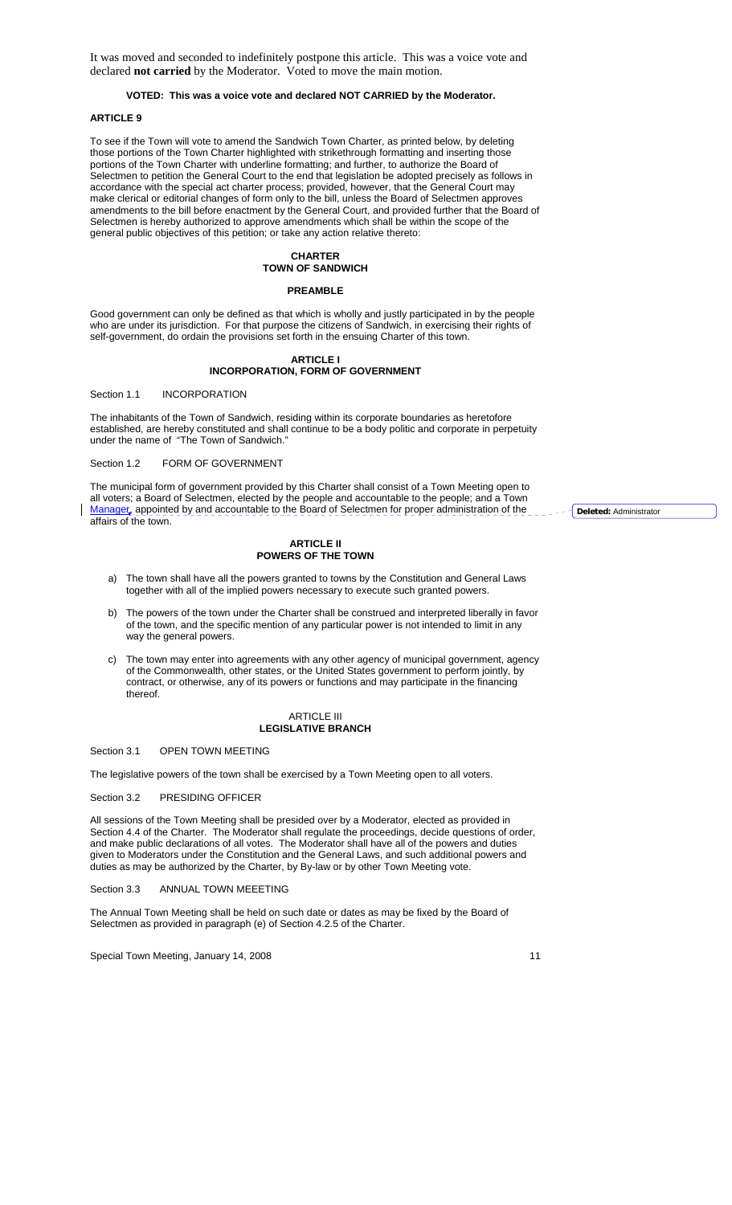It was moved and seconded to indefinitely postpone this article. This was a voice vote and declared **not carried** by the Moderator. Voted to move the main motion.

## **VOTED: This was a voice vote and declared NOT CARRIED by the Moderator.**

## **ARTICLE 9**

To see if the Town will vote to amend the Sandwich Town Charter, as printed below, by deleting those portions of the Town Charter highlighted with strikethrough formatting and inserting those portions of the Town Charter with underline formatting; and further, to authorize the Board of Selectmen to petition the General Court to the end that legislation be adopted precisely as follows in accordance with the special act charter process; provided, however, that the General Court may make clerical or editorial changes of form only to the bill, unless the Board of Selectmen approves amendments to the bill before enactment by the General Court, and provided further that the Board of Selectmen is hereby authorized to approve amendments which shall be within the scope of the general public objectives of this petition; or take any action relative thereto:

### **CHARTER TOWN OF SANDWICH**

#### **PREAMBLE**

Good government can only be defined as that which is wholly and justly participated in by the people who are under its jurisdiction. For that purpose the citizens of Sandwich, in exercising their rights of self-government, do ordain the provisions set forth in the ensuing Charter of this town.

#### **ARTICLE I INCORPORATION, FORM OF GOVERNMENT**

Section 1.1 **INCORPORATION** 

The inhabitants of the Town of Sandwich, residing within its corporate boundaries as heretofore established, are hereby constituted and shall continue to be a body politic and corporate in perpetuity under the name of "The Town of Sandwich."

## Section 1.2 FORM OF GOVERNMENT

The municipal form of government provided by this Charter shall consist of a Town Meeting open to all voters; a Board of Selectmen, elected by the people and accountable to the people; and a Town Manager, appointed by and accountable to the Board of Selectmen for proper administration of the affairs of the town.

### **ARTICLE II POWERS OF THE TOWN**

- a) The town shall have all the powers granted to towns by the Constitution and General Laws together with all of the implied powers necessary to execute such granted powers.
- b) The powers of the town under the Charter shall be construed and interpreted liberally in favor of the town, and the specific mention of any particular power is not intended to limit in any way the general powers.
- c) The town may enter into agreements with any other agency of municipal government, agency of the Commonwealth, other states, or the United States government to perform jointly, by contract, or otherwise, any of its powers or functions and may participate in the financing thereof.

#### ARTICLE III **LEGISLATIVE BRANCH**

Section 3.1 OPEN TOWN MEETING

The legislative powers of the town shall be exercised by a Town Meeting open to all voters.

Section 3.2 PRESIDING OFFICER

All sessions of the Town Meeting shall be presided over by a Moderator, elected as provided in Section 4.4 of the Charter. The Moderator shall regulate the proceedings, decide questions of order, and make public declarations of all votes. The Moderator shall have all of the powers and duties given to Moderators under the Constitution and the General Laws, and such additional powers and duties as may be authorized by the Charter, by By-law or by other Town Meeting vote.

Section 3.3 ANNUAL TOWN MEFETING

The Annual Town Meeting shall be held on such date or dates as may be fixed by the Board of Selectmen as provided in paragraph (e) of Section 4.2.5 of the Charter.

Special Town Meeting, January 14, 2008 11

**Deleted:** Administrator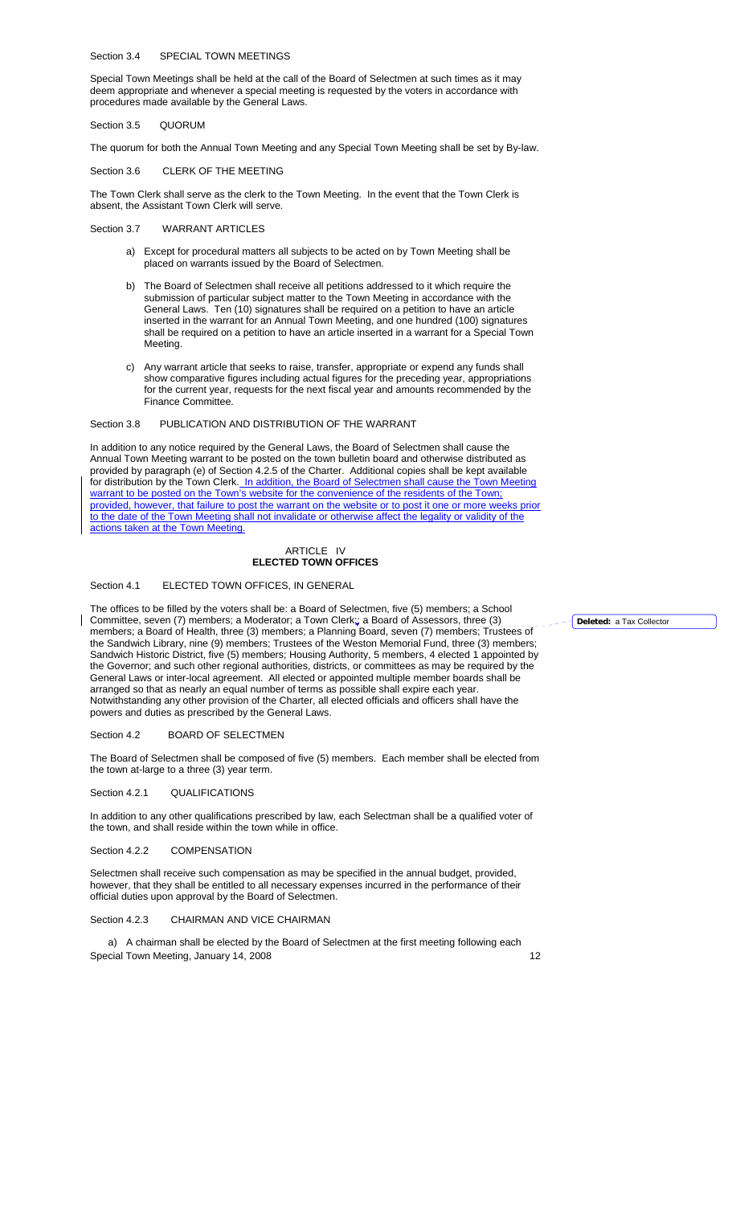#### Section 3.4 SPECIAL TOWN MEETINGS

Special Town Meetings shall be held at the call of the Board of Selectmen at such times as it may deem appropriate and whenever a special meeting is requested by the voters in accordance with procedures made available by the General Laws.

Section 3.5 QUORUM

The quorum for both the Annual Town Meeting and any Special Town Meeting shall be set by By-law.

Section 3.6 CLERK OF THE MEETING

The Town Clerk shall serve as the clerk to the Town Meeting. In the event that the Town Clerk is absent, the Assistant Town Clerk will serve.

### Section 3.7 WARRANT ARTICLES

- a) Except for procedural matters all subjects to be acted on by Town Meeting shall be placed on warrants issued by the Board of Selectmen.
- b) The Board of Selectmen shall receive all petitions addressed to it which require the submission of particular subject matter to the Town Meeting in accordance with the General Laws. Ten (10) signatures shall be required on a petition to have an article inserted in the warrant for an Annual Town Meeting, and one hundred (100) signatures shall be required on a petition to have an article inserted in a warrant for a Special Town Meeting.
- c) Any warrant article that seeks to raise, transfer, appropriate or expend any funds shall show comparative figures including actual figures for the preceding year, appropriations for the current year, requests for the next fiscal year and amounts recommended by the Finance Committee.

### Section 3.8 PUBLICATION AND DISTRIBUTION OF THE WARRANT

In addition to any notice required by the General Laws, the Board of Selectmen shall cause the Annual Town Meeting warrant to be posted on the town bulletin board and otherwise distributed as provided by paragraph (e) of Section 4.2.5 of the Charter. Additional copies shall be kept available for distribution by the Town Clerk. In addition, the Board of Selectmen shall cause the Town Meeting warrant to be posted on the Town's website for the convenience of the residents of the Town; provided, however, that failure to post the warrant on the website or to post it one or more weeks prior to the date of the Town Meeting shall not invalidate or otherwise affect the legality or validity of the actions taken at the Town Meeting.

## ARTICLE IV **ELECTED TOWN OFFICES**

#### Section 4.1 ELECTED TOWN OFFICES, IN GENERAL

The offices to be filled by the voters shall be: a Board of Selectmen, five (5) members; a School Committee, seven (7) members; a Moderator; a Town Clerk;; a Board of Assessors, three (3) members; a Board of Health, three (3) members; a Planning Board, seven (7) members; Trustees of the Sandwich Library, nine (9) members; Trustees of the Weston Memorial Fund, three (3) members; Sandwich Historic District, five (5) members; Housing Authority, 5 members, 4 elected 1 appointed by the Governor; and such other regional authorities, districts, or committees as may be required by the General Laws or inter-local agreement. All elected or appointed multiple member boards shall be arranged so that as nearly an equal number of terms as possible shall expire each year. Notwithstanding any other provision of the Charter, all elected officials and officers shall have the powers and duties as prescribed by the General Laws.

#### Section 4.2 BOARD OF SELECTMEN

The Board of Selectmen shall be composed of five (5) members. Each member shall be elected from the town at-large to a three (3) year term.

#### Section 4.2.1 QUALIFICATIONS

In addition to any other qualifications prescribed by law, each Selectman shall be a qualified voter of the town, and shall reside within the town while in office.

### Section 4.2.2 COMPENSATION

Selectmen shall receive such compensation as may be specified in the annual budget, provided, however, that they shall be entitled to all necessary expenses incurred in the performance of their official duties upon approval by the Board of Selectmen.

### Section 4.2.3 CHAIRMAN AND VICE CHAIRMAN

Special Town Meeting, January 14, 2008 12 and 12 and 12 and 12 and 12 and 12 and 12 and 12 and 12 and 12 and 12 a) A chairman shall be elected by the Board of Selectmen at the first meeting following each

**Deleted:** a Tax Collector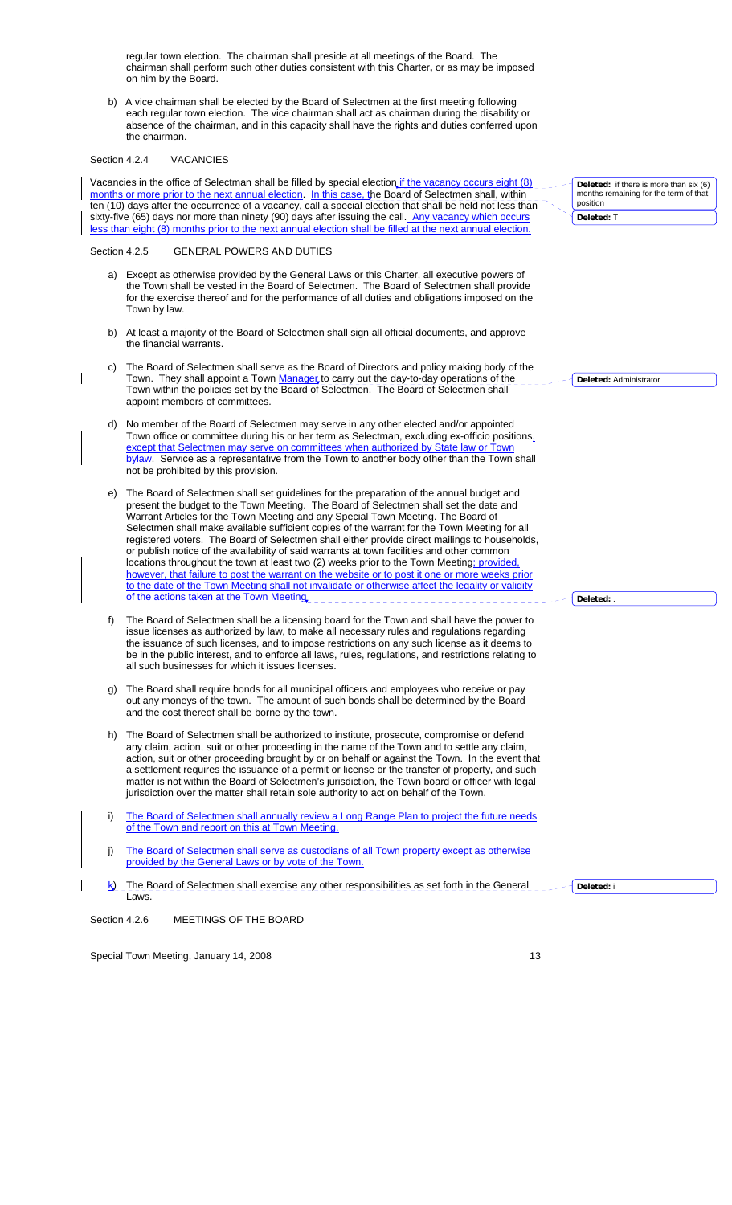regular town election. The chairman shall preside at all meetings of the Board. The chairman shall perform such other duties consistent with this Charter**,** or as may be imposed on him by the Board.

b) A vice chairman shall be elected by the Board of Selectmen at the first meeting following each regular town election. The vice chairman shall act as chairman during the disability or absence of the chairman, and in this capacity shall have the rights and duties conferred upon the chairman.

### Section 4.2.4 VACANCIES

 $\overline{\phantom{a}}$ 

Vacancies in the office of Selectman shall be filled by special election if the vacancy occurs eight (8) months or more prior to the next annual election. In this case, the Board of Selectmen shall, within ten (10) days after the occurrence of a vacancy, call a special election that shall be held not less than sixty-five (65) days nor more than ninety (90) days after issuing the call. Any vacancy which occurs less than eight (8) months prior to the next annual election shall be filled at the next annual election.

### Section 4.2.5 GENERAL POWERS AND DUTIES

- a) Except as otherwise provided by the General Laws or this Charter, all executive powers of the Town shall be vested in the Board of Selectmen. The Board of Selectmen shall provide for the exercise thereof and for the performance of all duties and obligations imposed on the Town by law.
- b) At least a majority of the Board of Selectmen shall sign all official documents, and approve the financial warrants.
- The Board of Selectmen shall serve as the Board of Directors and policy making body of the Town. They shall appoint a Town Manager to carry out the day-to-day operations of the Town within the policies set by the Board of Selectmen. The Board of Selectmen shall appoint members of committees.
- No member of the Board of Selectmen may serve in any other elected and/or appointed Town office or committee during his or her term as Selectman, excluding ex-officio positions, except that Selectmen may serve on committees when authorized by State law or Town bylaw. Service as a representative from the Town to another body other than the Town shall not be prohibited by this provision.
- e) The Board of Selectmen shall set guidelines for the preparation of the annual budget and present the budget to the Town Meeting. The Board of Selectmen shall set the date and Warrant Articles for the Town Meeting and any Special Town Meeting. The Board of Selectmen shall make available sufficient copies of the warrant for the Town Meeting for all registered voters. The Board of Selectmen shall either provide direct mailings to households, or publish notice of the availability of said warrants at town facilities and other common locations throughout the town at least two (2) weeks prior to the Town Meeting; provided however, that failure to post the warrant on the website or to post it one or more weeks prior to the date of the Town Meeting shall not invalidate or otherwise affect the legality or validity of the actions taken at the Town Meeting
- f) The Board of Selectmen shall be a licensing board for the Town and shall have the power to issue licenses as authorized by law, to make all necessary rules and regulations regarding the issuance of such licenses, and to impose restrictions on any such license as it deems to be in the public interest, and to enforce all laws, rules, regulations, and restrictions relating to all such businesses for which it issues licenses.
- g) The Board shall require bonds for all municipal officers and employees who receive or pay out any moneys of the town. The amount of such bonds shall be determined by the Board and the cost thereof shall be borne by the town.
- h) The Board of Selectmen shall be authorized to institute, prosecute, compromise or defend any claim, action, suit or other proceeding in the name of the Town and to settle any claim, action, suit or other proceeding brought by or on behalf or against the Town. In the event that a settlement requires the issuance of a permit or license or the transfer of property, and such matter is not within the Board of Selectmen's jurisdiction, the Town board or officer with legal jurisdiction over the matter shall retain sole authority to act on behalf of the Town.
- i) The Board of Selectmen shall annually review a Long Range Plan to project the future needs of the Town and report on this at Town Meeting.
- j) The Board of Selectmen shall serve as custodians of all Town property except as otherwise provided by the General Laws or by vote of the Town.
- $k$ ) The Board of Selectmen shall exercise any other responsibilities as set forth in the General Laws. **Deleted:** i

Section 4.2.6 MEETINGS OF THE BOARD

Special Town Meeting, January 14, 2008 13 and 2008 13

**Deleted:** if there is more than six (6) months remaining for the term of that position **Deleted:** T

**Deleted:** Administrator

**Deleted:** .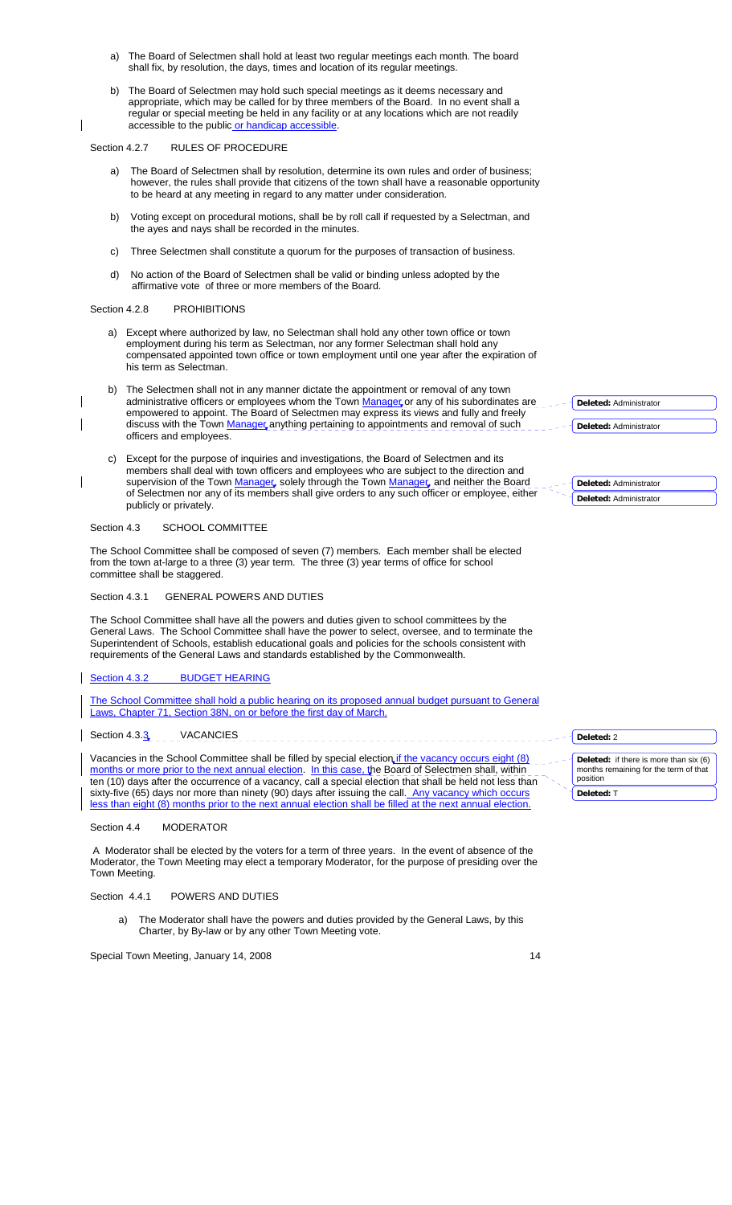- a) The Board of Selectmen shall hold at least two regular meetings each month. The board shall fix, by resolution, the days, times and location of its regular meetings.
- b) The Board of Selectmen may hold such special meetings as it deems necessary and appropriate, which may be called for by three members of the Board. In no event shall a regular or special meeting be held in any facility or at any locations which are not readily accessible to the public or handicap accessible.

Section 4.2.7 RULES OF PROCEDURE

 $\overline{\phantom{a}}$ 

 $\overline{\phantom{a}}$ 

 $\overline{\phantom{a}}$ 

- a) The Board of Selectmen shall by resolution, determine its own rules and order of business; however, the rules shall provide that citizens of the town shall have a reasonable opportunity to be heard at any meeting in regard to any matter under consideration.
- b) Voting except on procedural motions, shall be by roll call if requested by a Selectman, and the ayes and nays shall be recorded in the minutes.
- c) Three Selectmen shall constitute a quorum for the purposes of transaction of business.
- d) No action of the Board of Selectmen shall be valid or binding unless adopted by the affirmative vote of three or more members of the Board.

### Section 4.2.8 PROHIBITIONS

- a) Except where authorized by law, no Selectman shall hold any other town office or town employment during his term as Selectman, nor any former Selectman shall hold any compensated appointed town office or town employment until one year after the expiration of his term as Selectman.
- b) The Selectmen shall not in any manner dictate the appointment or removal of any town administrative officers or employees whom the Town Manager or any of his subordinates are empowered to appoint. The Board of Selectmen may express its views and fully and freely discuss with the Town Manager anything pertaining to appointments and removal of such officers and employees.
- c) Except for the purpose of inquiries and investigations, the Board of Selectmen and its members shall deal with town officers and employees who are subject to the direction and supervision of the Town Manager, solely through the Town Manager, and neither the Board of Selectmen nor any of its members shall give orders to any such officer or employee, either publicly or privately.

## Section 4.3 SCHOOL COMMITTEE

The School Committee shall be composed of seven (7) members. Each member shall be elected from the town at-large to a three (3) year term. The three (3) year terms of office for school committee shall be staggered.

### Section 4.3.1 GENERAL POWERS AND DUTIES

The School Committee shall have all the powers and duties given to school committees by the General Laws. The School Committee shall have the power to select, oversee, and to terminate the Superintendent of Schools, establish educational goals and policies for the schools consistent with requirements of the General Laws and standards established by the Commonwealth.

### Section 4.3.2 BUDGET HEARING

The School Committee shall hold a public hearing on its proposed annual budget pursuant to General Laws, Chapter 71, Section 38N, on or before the first day of March.

## Section 4.3.3 VACANCIES

Vacancies in the School Committee shall be filled by special election if the vacancy occurs eight (8) months or more prior to the next annual election. In this case, the Board of Selectmen shall, within ten (10) days after the occurrence of a vacancy, call a special election that shall be held not less than sixty-five (65) days nor more than ninety (90) days after issuing the call. Any vacancy which occurs less than eight (8) months prior to the next annual election shall be filled at the next annual election.

### Section 4.4 MODERATOR

 A Moderator shall be elected by the voters for a term of three years. In the event of absence of the Moderator, the Town Meeting may elect a temporary Moderator, for the purpose of presiding over the Town Meeting.

## Section 4.4.1 POWERS AND DUTIES

a) The Moderator shall have the powers and duties provided by the General Laws, by this Charter, by By-law or by any other Town Meeting vote.

| <b>Deleted:</b> Administrator |
|-------------------------------|
| Deleted: Administrator        |
|                               |

|  | Deleted: Administrator |
|--|------------------------|
|  | Deleted: Administrator |

| Deleted: 2                                                                                  |
|---------------------------------------------------------------------------------------------|
| Deleted: if there is more than six (6)<br>months remaining for the term of that<br>position |
| Deleted: T                                                                                  |

| I<br>×. |  |
|---------|--|
|         |  |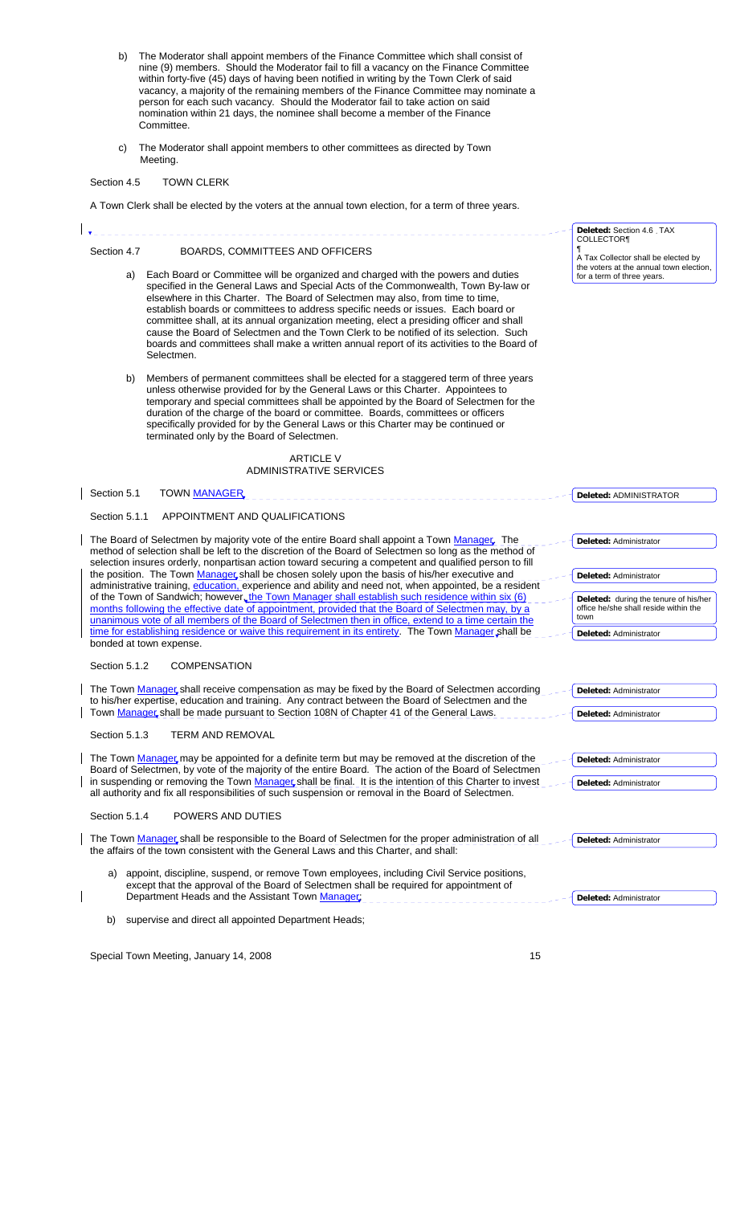- b) The Moderator shall appoint members of the Finance Committee which shall consist of nine (9) members. Should the Moderator fail to fill a vacancy on the Finance Committee within forty-five (45) days of having been notified in writing by the Town Clerk of said vacancy, a majority of the remaining members of the Finance Committee may nominate a person for each such vacancy. Should the Moderator fail to take action on said nomination within 21 days, the nominee shall become a member of the Finance Committee.
- c) The Moderator shall appoint members to other committees as directed by Town Meeting.

# Section 4.5 TOWN CLERK

A Town Clerk shall be elected by the voters at the annual town election, for a term of three years.

|               |                                                                                                                                                                                                                                                                                                                                                                                                                                                                                                                                                                                                                                                | Deleted: Section 4.6 TAX                                                       |
|---------------|------------------------------------------------------------------------------------------------------------------------------------------------------------------------------------------------------------------------------------------------------------------------------------------------------------------------------------------------------------------------------------------------------------------------------------------------------------------------------------------------------------------------------------------------------------------------------------------------------------------------------------------------|--------------------------------------------------------------------------------|
| Section 4.7   | BOARDS, COMMITTEES AND OFFICERS                                                                                                                                                                                                                                                                                                                                                                                                                                                                                                                                                                                                                | <b>COLLECTOR¶</b><br>A Tax Collector shall be elected by                       |
| a)            | Each Board or Committee will be organized and charged with the powers and duties<br>specified in the General Laws and Special Acts of the Commonwealth, Town By-law or<br>elsewhere in this Charter. The Board of Selectmen may also, from time to time,<br>establish boards or committees to address specific needs or issues. Each board or<br>committee shall, at its annual organization meeting, elect a presiding officer and shall<br>cause the Board of Selectmen and the Town Clerk to be notified of its selection. Such<br>boards and committees shall make a written annual report of its activities to the Board of<br>Selectmen. | the voters at the annual town election,<br>for a term of three years.          |
| b)            | Members of permanent committees shall be elected for a staggered term of three years<br>unless otherwise provided for by the General Laws or this Charter. Appointees to<br>temporary and special committees shall be appointed by the Board of Selectmen for the<br>duration of the charge of the board or committee. Boards, committees or officers<br>specifically provided for by the General Laws or this Charter may be continued or<br>terminated only by the Board of Selectmen.                                                                                                                                                       |                                                                                |
|               | <b>ARTICLE V</b><br><b>ADMINISTRATIVE SERVICES</b>                                                                                                                                                                                                                                                                                                                                                                                                                                                                                                                                                                                             |                                                                                |
| Section 5.1   | <b>TOWN MANAGER</b>                                                                                                                                                                                                                                                                                                                                                                                                                                                                                                                                                                                                                            | <b>Deleted: ADMINISTRATOR</b>                                                  |
| Section 5.1.1 | APPOINTMENT AND QUALIFICATIONS                                                                                                                                                                                                                                                                                                                                                                                                                                                                                                                                                                                                                 |                                                                                |
|               | The Board of Selectmen by majority vote of the entire Board shall appoint a Town Manager. The<br>method of selection shall be left to the discretion of the Board of Selectmen so long as the method of                                                                                                                                                                                                                                                                                                                                                                                                                                        | Deleted: Administrator                                                         |
|               | selection insures orderly, nonpartisan action toward securing a competent and qualified person to fill                                                                                                                                                                                                                                                                                                                                                                                                                                                                                                                                         |                                                                                |
|               | the position. The Town Manager shall be chosen solely upon the basis of his/her executive and<br>administrative training, education, experience and ability and need not, when appointed, be a resident                                                                                                                                                                                                                                                                                                                                                                                                                                        | Deleted: Administrator                                                         |
|               | of the Town of Sandwich; however, the Town Manager shall establish such residence within six (6)<br>months following the effective date of appointment, provided that the Board of Selectmen may, by a                                                                                                                                                                                                                                                                                                                                                                                                                                         | Deleted: during the tenure of his/her<br>office he/she shall reside within the |
|               | unanimous vote of all members of the Board of Selectmen then in office, extend to a time certain the                                                                                                                                                                                                                                                                                                                                                                                                                                                                                                                                           | town                                                                           |
|               | time for establishing residence or waive this requirement in its entirety. The Town Manager shall be<br>bonded at town expense.                                                                                                                                                                                                                                                                                                                                                                                                                                                                                                                | Deleted: Administrator                                                         |
| Section 5.1.2 | <b>COMPENSATION</b>                                                                                                                                                                                                                                                                                                                                                                                                                                                                                                                                                                                                                            |                                                                                |
|               | The Town Manager, shall receive compensation as may be fixed by the Board of Selectmen according                                                                                                                                                                                                                                                                                                                                                                                                                                                                                                                                               | <b>Deleted: Administrator</b>                                                  |
|               | to his/her expertise, education and training. Any contract between the Board of Selectmen and the<br>Town Manager shall be made pursuant to Section 108N of Chapter 41 of the General Laws.                                                                                                                                                                                                                                                                                                                                                                                                                                                    | Deleted: Administrator                                                         |
| Section 5.1.3 | <b>TERM AND REMOVAL</b>                                                                                                                                                                                                                                                                                                                                                                                                                                                                                                                                                                                                                        |                                                                                |
|               | The Town Manager may be appointed for a definite term but may be removed at the discretion of the<br>Board of Selectmen, by vote of the majority of the entire Board. The action of the Board of Selectmen                                                                                                                                                                                                                                                                                                                                                                                                                                     | Deleted: Administrator                                                         |
|               | in suspending or removing the Town Manager shall be final. It is the intention of this Charter to invest<br>all authority and fix all responsibilities of such suspension or removal in the Board of Selectmen.                                                                                                                                                                                                                                                                                                                                                                                                                                | Deleted: Administrator                                                         |
| Section 5.1.4 | POWERS AND DUTIES                                                                                                                                                                                                                                                                                                                                                                                                                                                                                                                                                                                                                              |                                                                                |
|               | The Town Manager shall be responsible to the Board of Selectmen for the proper administration of all<br>the affairs of the town consistent with the General Laws and this Charter, and shall:                                                                                                                                                                                                                                                                                                                                                                                                                                                  | Deleted: Administrator                                                         |
|               | a) appoint, discipline, suspend, or remove Town employees, including Civil Service positions,<br>except that the approval of the Board of Selectmen shall be required for appointment of<br>Department Heads and the Assistant Town Manager:                                                                                                                                                                                                                                                                                                                                                                                                   | Deleted: Administrator                                                         |
| b)            | supervise and direct all appointed Department Heads;                                                                                                                                                                                                                                                                                                                                                                                                                                                                                                                                                                                           |                                                                                |
|               |                                                                                                                                                                                                                                                                                                                                                                                                                                                                                                                                                                                                                                                |                                                                                |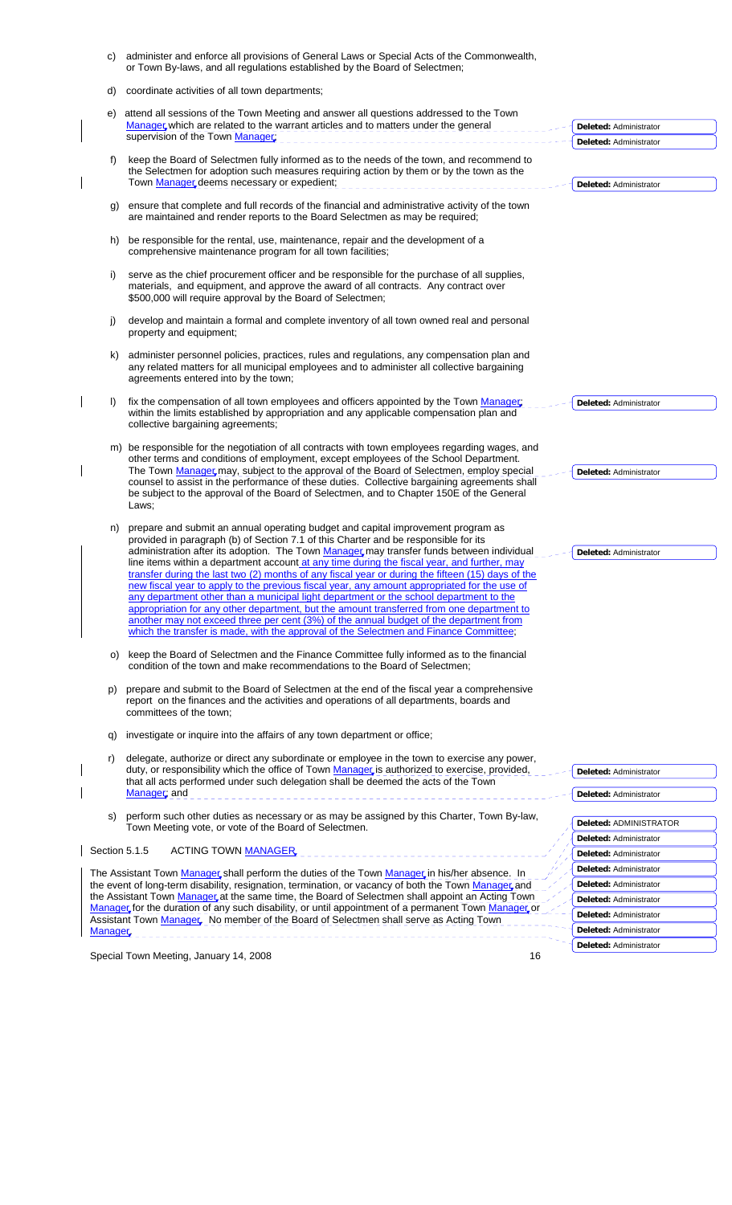|    | C)            | administer and enforce all provisions of General Laws or Special Acts of the Commonwealth,<br>or Town By-laws, and all regulations established by the Board of Selectmen;                                                                                                                                                                                                                                                                                                                                                                                                                                                                                                                                                                                                                                                                                                                                                                                   |                                                  |
|----|---------------|-------------------------------------------------------------------------------------------------------------------------------------------------------------------------------------------------------------------------------------------------------------------------------------------------------------------------------------------------------------------------------------------------------------------------------------------------------------------------------------------------------------------------------------------------------------------------------------------------------------------------------------------------------------------------------------------------------------------------------------------------------------------------------------------------------------------------------------------------------------------------------------------------------------------------------------------------------------|--------------------------------------------------|
|    | d)            | coordinate activities of all town departments;                                                                                                                                                                                                                                                                                                                                                                                                                                                                                                                                                                                                                                                                                                                                                                                                                                                                                                              |                                                  |
| e) |               | attend all sessions of the Town Meeting and answer all questions addressed to the Town<br>Manager which are related to the warrant articles and to matters under the general                                                                                                                                                                                                                                                                                                                                                                                                                                                                                                                                                                                                                                                                                                                                                                                | Deleted: Administrator                           |
|    |               | supervision of the Town Manager;                                                                                                                                                                                                                                                                                                                                                                                                                                                                                                                                                                                                                                                                                                                                                                                                                                                                                                                            | Deleted: Administrator                           |
|    | t)            | keep the Board of Selectmen fully informed as to the needs of the town, and recommend to<br>the Selectmen for adoption such measures requiring action by them or by the town as the<br>Town Manager deems necessary or expedient;                                                                                                                                                                                                                                                                                                                                                                                                                                                                                                                                                                                                                                                                                                                           | Deleted: Administrator                           |
|    |               |                                                                                                                                                                                                                                                                                                                                                                                                                                                                                                                                                                                                                                                                                                                                                                                                                                                                                                                                                             |                                                  |
|    | g)            | ensure that complete and full records of the financial and administrative activity of the town<br>are maintained and render reports to the Board Selectmen as may be required;                                                                                                                                                                                                                                                                                                                                                                                                                                                                                                                                                                                                                                                                                                                                                                              |                                                  |
|    | h)            | be responsible for the rental, use, maintenance, repair and the development of a<br>comprehensive maintenance program for all town facilities;                                                                                                                                                                                                                                                                                                                                                                                                                                                                                                                                                                                                                                                                                                                                                                                                              |                                                  |
|    | i)            | serve as the chief procurement officer and be responsible for the purchase of all supplies,<br>materials, and equipment, and approve the award of all contracts. Any contract over<br>\$500,000 will require approval by the Board of Selectmen;                                                                                                                                                                                                                                                                                                                                                                                                                                                                                                                                                                                                                                                                                                            |                                                  |
|    | j)            | develop and maintain a formal and complete inventory of all town owned real and personal<br>property and equipment;                                                                                                                                                                                                                                                                                                                                                                                                                                                                                                                                                                                                                                                                                                                                                                                                                                         |                                                  |
|    | k)            | administer personnel policies, practices, rules and regulations, any compensation plan and<br>any related matters for all municipal employees and to administer all collective bargaining<br>agreements entered into by the town;                                                                                                                                                                                                                                                                                                                                                                                                                                                                                                                                                                                                                                                                                                                           |                                                  |
|    | I)            | fix the compensation of all town employees and officers appointed by the Town Manager<br>within the limits established by appropriation and any applicable compensation plan and<br>collective bargaining agreements;                                                                                                                                                                                                                                                                                                                                                                                                                                                                                                                                                                                                                                                                                                                                       | Deleted: Administrator                           |
|    |               | m) be responsible for the negotiation of all contracts with town employees regarding wages, and                                                                                                                                                                                                                                                                                                                                                                                                                                                                                                                                                                                                                                                                                                                                                                                                                                                             |                                                  |
|    |               | other terms and conditions of employment, except employees of the School Department.<br>The Town Manager may, subject to the approval of the Board of Selectmen, employ special<br>counsel to assist in the performance of these duties. Collective bargaining agreements shall<br>be subject to the approval of the Board of Selectmen, and to Chapter 150E of the General                                                                                                                                                                                                                                                                                                                                                                                                                                                                                                                                                                                 | Deleted: Administrator                           |
|    |               |                                                                                                                                                                                                                                                                                                                                                                                                                                                                                                                                                                                                                                                                                                                                                                                                                                                                                                                                                             |                                                  |
|    | n)            | Laws;<br>prepare and submit an annual operating budget and capital improvement program as<br>provided in paragraph (b) of Section 7.1 of this Charter and be responsible for its<br>administration after its adoption. The Town Manager may transfer funds between individual<br>line items within a department account at any time during the fiscal year, and further, may<br>transfer during the last two (2) months of any fiscal year or during the fifteen (15) days of the<br>new fiscal year to apply to the previous fiscal year, any amount appropriated for the use of<br>any department other than a municipal light department or the school department to the<br>appropriation for any other department, but the amount transferred from one department to<br>another may not exceed three per cent (3%) of the annual budget of the department from<br>which the transfer is made, with the approval of the Selectmen and Finance Committee; | Deleted: Administrator                           |
|    | O)            | keep the Board of Selectmen and the Finance Committee fully informed as to the financial<br>condition of the town and make recommendations to the Board of Selectmen;                                                                                                                                                                                                                                                                                                                                                                                                                                                                                                                                                                                                                                                                                                                                                                                       |                                                  |
|    | p)            | prepare and submit to the Board of Selectmen at the end of the fiscal year a comprehensive<br>report on the finances and the activities and operations of all departments, boards and<br>committees of the town:                                                                                                                                                                                                                                                                                                                                                                                                                                                                                                                                                                                                                                                                                                                                            |                                                  |
|    | q)            | investigate or inquire into the affairs of any town department or office;                                                                                                                                                                                                                                                                                                                                                                                                                                                                                                                                                                                                                                                                                                                                                                                                                                                                                   |                                                  |
|    | r)            | delegate, authorize or direct any subordinate or employee in the town to exercise any power,<br>duty, or responsibility which the office of Town Manager is authorized to exercise, provided,                                                                                                                                                                                                                                                                                                                                                                                                                                                                                                                                                                                                                                                                                                                                                               | Deleted: Administrator                           |
|    |               | that all acts performed under such delegation shall be deemed the acts of the Town                                                                                                                                                                                                                                                                                                                                                                                                                                                                                                                                                                                                                                                                                                                                                                                                                                                                          |                                                  |
|    |               | Manager; and                                                                                                                                                                                                                                                                                                                                                                                                                                                                                                                                                                                                                                                                                                                                                                                                                                                                                                                                                | Deleted: Administrator                           |
|    | S)            | perform such other duties as necessary or as may be assigned by this Charter, Town By-law,<br>Town Meeting vote, or vote of the Board of Selectmen.                                                                                                                                                                                                                                                                                                                                                                                                                                                                                                                                                                                                                                                                                                                                                                                                         | Deleted: ADMINISTRATOR                           |
|    | Section 5.1.5 | ACTING TOWN MANAGER                                                                                                                                                                                                                                                                                                                                                                                                                                                                                                                                                                                                                                                                                                                                                                                                                                                                                                                                         | Deleted: Administrator                           |
|    |               |                                                                                                                                                                                                                                                                                                                                                                                                                                                                                                                                                                                                                                                                                                                                                                                                                                                                                                                                                             | Deleted: Administrator                           |
|    |               | The Assistant Town Manager shall perform the duties of the Town Manager in his/her absence. In                                                                                                                                                                                                                                                                                                                                                                                                                                                                                                                                                                                                                                                                                                                                                                                                                                                              | Deleted: Administrator                           |
|    |               | the event of long-term disability, resignation, termination, or vacancy of both the Town Manager and<br>the Assistant Town Manager, at the same time, the Board of Selectmen shall appoint an Acting Town                                                                                                                                                                                                                                                                                                                                                                                                                                                                                                                                                                                                                                                                                                                                                   | Deleted: Administrator                           |
|    |               | Manager for the duration of any such disability, or until appointment of a permanent Town Manager or                                                                                                                                                                                                                                                                                                                                                                                                                                                                                                                                                                                                                                                                                                                                                                                                                                                        | Deleted: Administrator                           |
|    |               | Assistant Town Manager. No member of the Board of Selectmen shall serve as Acting Town                                                                                                                                                                                                                                                                                                                                                                                                                                                                                                                                                                                                                                                                                                                                                                                                                                                                      | Deleted: Administrator                           |
|    | Manager       |                                                                                                                                                                                                                                                                                                                                                                                                                                                                                                                                                                                                                                                                                                                                                                                                                                                                                                                                                             | Deleted: Administrator<br>Deleted: Administrator |

Special Town Meeting, January 14, 2008 16 and 16 and 16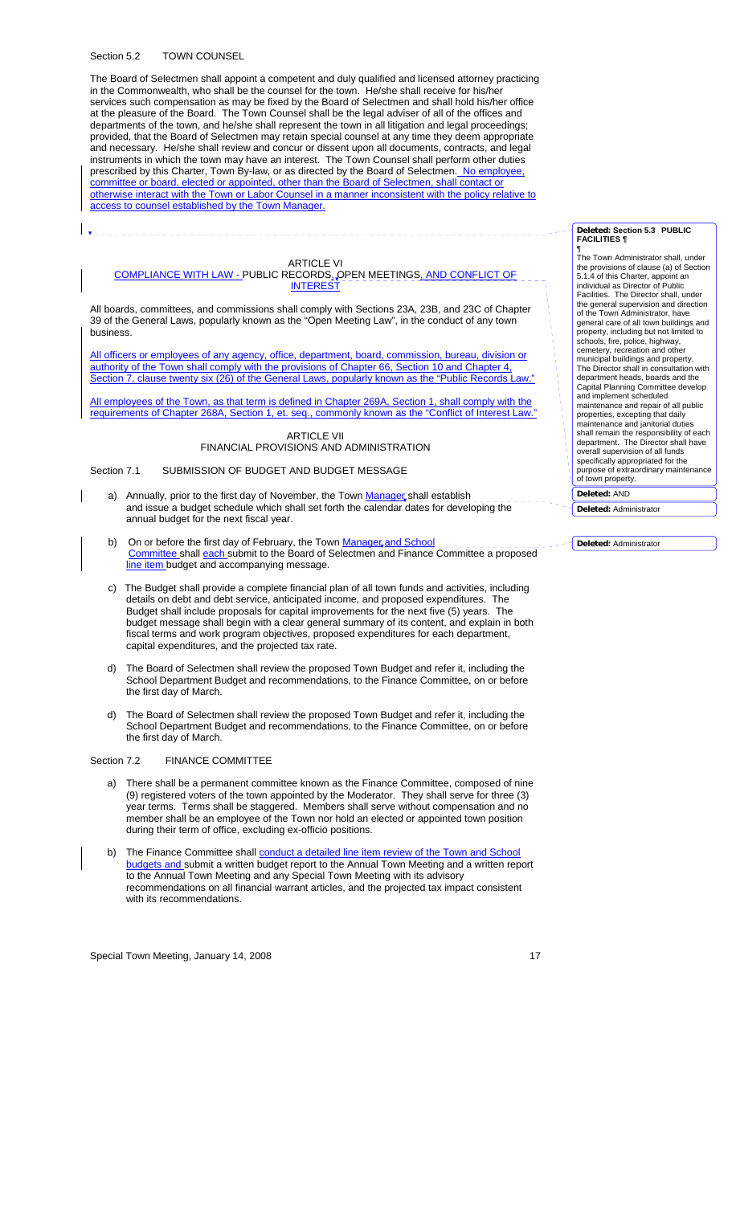#### Section 5.2 TOWN COUNSEL

 $\mathbf{I}$ 

The Board of Selectmen shall appoint a competent and duly qualified and licensed attorney practicing in the Commonwealth, who shall be the counsel for the town. He/she shall receive for his/her services such compensation as may be fixed by the Board of Selectmen and shall hold his/her office at the pleasure of the Board. The Town Counsel shall be the legal adviser of all of the offices and departments of the town, and he/she shall represent the town in all litigation and legal proceedings; provided, that the Board of Selectmen may retain special counsel at any time they deem appropriate and necessary. He/she shall review and concur or dissent upon all documents, contracts, and legal instruments in which the town may have an interest. The Town Counsel shall perform other duties prescribed by this Charter, Town By-law, or as directed by the Board of Selectmen. No employee, committee or board, elected or appointed, other than the Board of Selectmen, shall contact or otherwise interact with the Town or Labor Counsel in a manner inconsistent with the policy relative to access to counsel established by the Town Manager.

# ARTICLE VI

### COMPLIANCE WITH LAW - PUBLIC RECORDS, OPEN MEETINGS, AND CONFLICT OF **INTERE**

All boards, committees, and commissions shall comply with Sections 23A, 23B, and 23C of Chapter 39 of the General Laws, popularly known as the "Open Meeting Law", in the conduct of any town business.

All officers or employees of any agency, office, department, board, commission, bureau, division or authority of the Town shall comply with the provisions of Chapter 66, Section 10 and Chapter 4, Section 7, clause twenty six (26) of the General Laws, popularly known as the "Public Records Law."

All employees of the Town, as that term is defined in Chapter 269A, Section 1, shall comply with the requirements of Chapter 268A, Section 1, et. seq., commonly known as the "Conflict of Interest Law

### **ARTICLE VII** FINANCIAL PROVISIONS AND ADMINISTRATION

### Section 7.1 SUBMISSION OF BUDGET AND BUDGET MESSAGE

- a) Annually, prior to the first day of November, the Town Manager shall establish and issue a budget schedule which shall set forth the calendar dates for developing the annual budget for the next fiscal year.
- b) On or before the first day of February, the Town Manager and School Committee shall each submit to the Board of Selectmen and Finance Committee a proposed line item budget and accompanying message.
- c) The Budget shall provide a complete financial plan of all town funds and activities, including details on debt and debt service, anticipated income, and proposed expenditures. The Budget shall include proposals for capital improvements for the next five (5) years. The budget message shall begin with a clear general summary of its content, and explain in both fiscal terms and work program objectives, proposed expenditures for each department, capital expenditures, and the projected tax rate.
- d) The Board of Selectmen shall review the proposed Town Budget and refer it, including the School Department Budget and recommendations, to the Finance Committee, on or before the first day of March.
- d) The Board of Selectmen shall review the proposed Town Budget and refer it, including the School Department Budget and recommendations, to the Finance Committee, on or before the first day of March.

### Section 7.2 FINANCE COMMITTEE

- a) There shall be a permanent committee known as the Finance Committee, composed of nine (9) registered voters of the town appointed by the Moderator. They shall serve for three (3) year terms. Terms shall be staggered. Members shall serve without compensation and no member shall be an employee of the Town nor hold an elected or appointed town position during their term of office, excluding ex-officio positions.
- b) The Finance Committee shall conduct a detailed line item review of the Town and School budgets and submit a written budget report to the Annual Town Meeting and a written report to the Annual Town Meeting and any Special Town Meeting with its advisory recommendations on all financial warrant articles, and the projected tax impact consistent with its recommendations.

Special Town Meeting, January 14, 2008 17

#### **Deleted: Section 5.3 PUBLIC FACILITIES ¶**

¶ The Town Administrator shall, under the provisions of clause (a) of Section 5.1.4 of this Charter, appoint an individual as Director of Public Facilities. The Director shall, under the general supervision and direction of the Town Administrator, have general care of all town buildings and property, including but not limited to schools, fire, police, highway, cemetery, recreation and other municipal buildings and property. The Director shall in consultation with department heads, boards and the Capital Planning Committee develop and implement scheduled maintenance and repair of all public properties, excepting that daily maintenance and janitorial duties shall remain the responsibility of each department. The Director shall have overall supervision of all funds specifically appropriated for the purpose of extraordinary maintenance of town property. **Deleted:** AND

**Deleted:** Administrator

**Deleted:** Administrator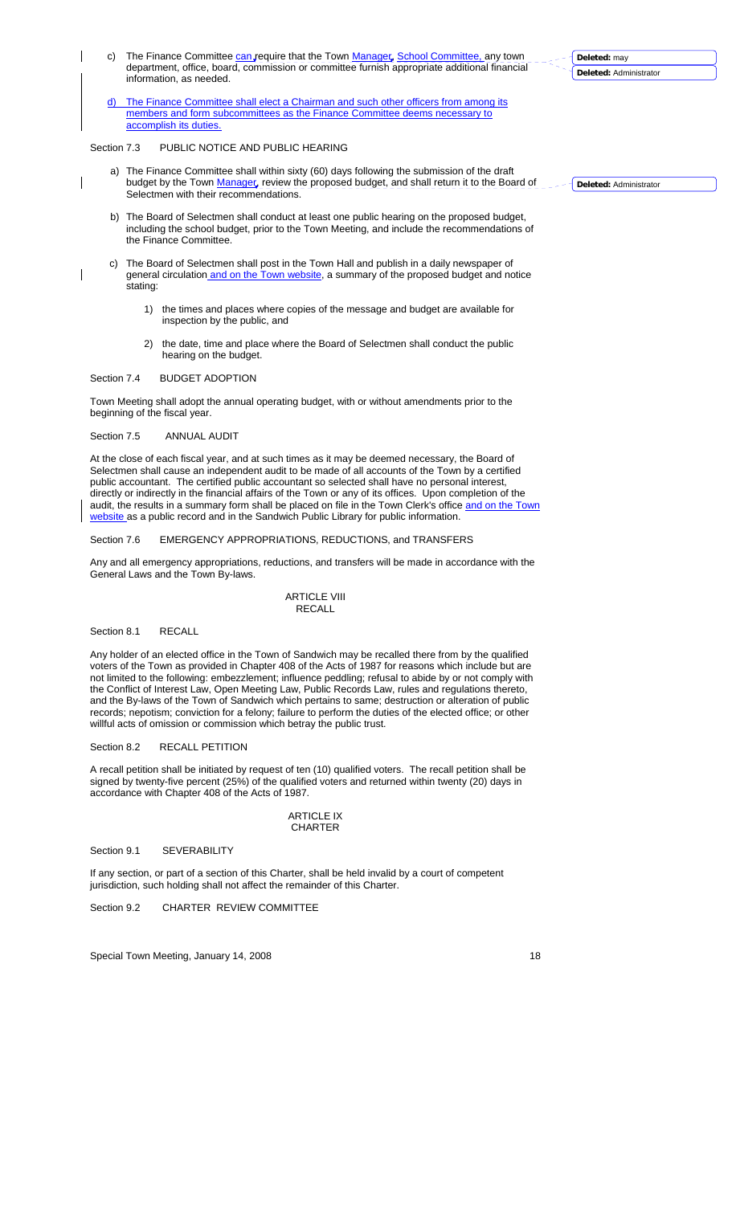- c) The Finance Committee can require that the Town Manager, School Committee, any town department, office, board, commission or committee furnish appropriate additional financial information, as needed.
- d) The Finance Committee shall elect a Chairman and such other officers from among its members and form subcommittees as the Finance Committee deems necessary to accomplish its duties.

### Section 7.3 PUBLIC NOTICE AND PUBLIC HEARING

 $\overline{\phantom{a}}$ 

 $\overline{\phantom{a}}$ 

- a) The Finance Committee shall within sixty (60) days following the submission of the draft budget by the Town *Manager*, review the proposed budget, and shall return it to the Board of Selectmen with their recommendations.
- b) The Board of Selectmen shall conduct at least one public hearing on the proposed budget, including the school budget, prior to the Town Meeting, and include the recommendations of the Finance Committee.
- c) The Board of Selectmen shall post in the Town Hall and publish in a daily newspaper of general circulation and on the Town website, a summary of the proposed budget and notice stating:
	- 1) the times and places where copies of the message and budget are available for inspection by the public, and
	- 2) the date, time and place where the Board of Selectmen shall conduct the public hearing on the budget.

## Section 7.4 BUDGET ADOPTION

Town Meeting shall adopt the annual operating budget, with or without amendments prior to the beginning of the fiscal year.

### Section 7.5 ANNUAL AUDIT

At the close of each fiscal year, and at such times as it may be deemed necessary, the Board of Selectmen shall cause an independent audit to be made of all accounts of the Town by a certified public accountant. The certified public accountant so selected shall have no personal interest, directly or indirectly in the financial affairs of the Town or any of its offices. Upon completion of the audit, the results in a summary form shall be placed on file in the Town Clerk's office and on the Town website as a public record and in the Sandwich Public Library for public information.

### Section 7.6 EMERGENCY APPROPRIATIONS, REDUCTIONS, and TRANSFERS

Any and all emergency appropriations, reductions, and transfers will be made in accordance with the General Laws and the Town By-laws.

## **ARTICLE VIII** RECALL

#### Section 8.1 RECALL

Any holder of an elected office in the Town of Sandwich may be recalled there from by the qualified voters of the Town as provided in Chapter 408 of the Acts of 1987 for reasons which include but are not limited to the following: embezzlement; influence peddling; refusal to abide by or not comply with the Conflict of Interest Law, Open Meeting Law, Public Records Law, rules and regulations thereto, and the By-laws of the Town of Sandwich which pertains to same; destruction or alteration of public records; nepotism; conviction for a felony; failure to perform the duties of the elected office; or other willful acts of omission or commission which betray the public trust.

### Section 8.2 RECALL PETITION

A recall petition shall be initiated by request of ten (10) qualified voters. The recall petition shall be signed by twenty-five percent (25%) of the qualified voters and returned within twenty (20) days in accordance with Chapter 408 of the Acts of 1987.

### **ARTICLE IX** CHARTER

Section 9.1 SEVERABILITY

If any section, or part of a section of this Charter, shall be held invalid by a court of competent jurisdiction, such holding shall not affect the remainder of this Charter.

Section 9.2 CHARTER REVIEW COMMITTEE

Special Town Meeting, January 14, 2008 18 and 2008 18

**Deleted:** Administrator

**Deleted:** may

**Deleted:** Administrator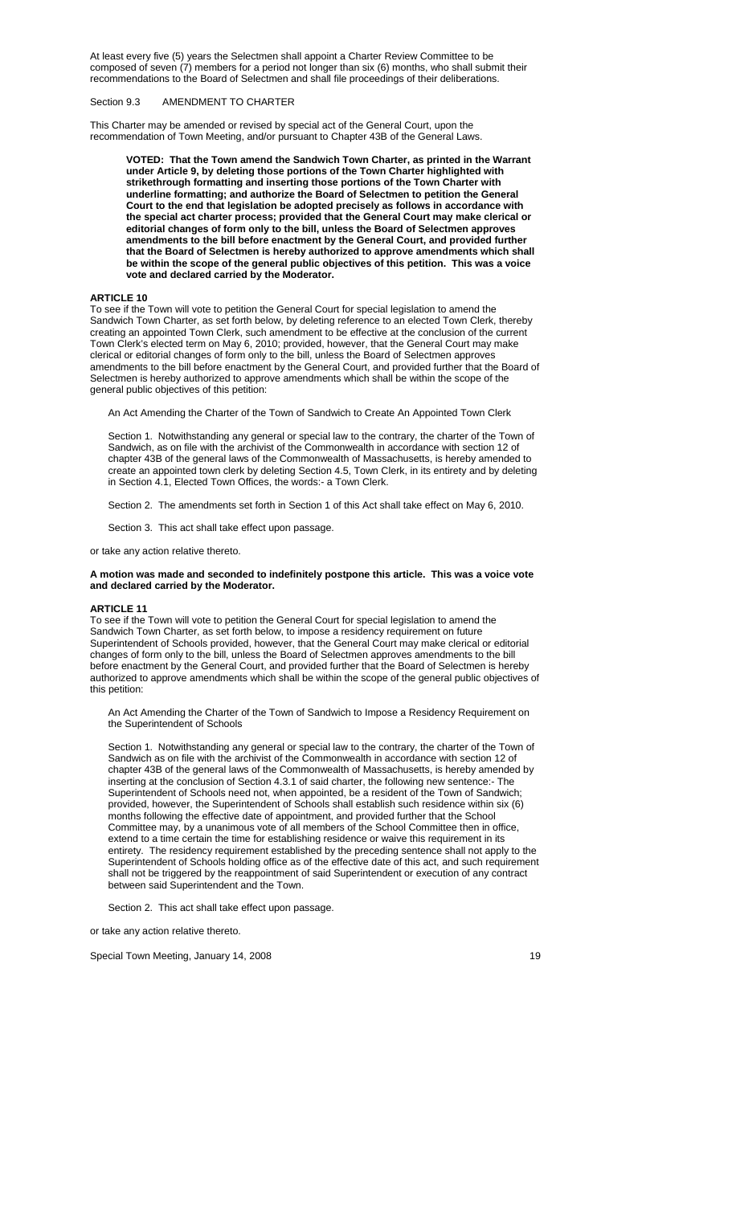At least every five (5) years the Selectmen shall appoint a Charter Review Committee to be composed of seven (7) members for a period not longer than six (6) months, who shall submit their recommendations to the Board of Selectmen and shall file proceedings of their deliberations.

### Section 9.3 AMENDMENT TO CHARTER

This Charter may be amended or revised by special act of the General Court, upon the recommendation of Town Meeting, and/or pursuant to Chapter 43B of the General Laws.

**VOTED: That the Town amend the Sandwich Town Charter, as printed in the Warrant under Article 9, by deleting those portions of the Town Charter highlighted with strikethrough formatting and inserting those portions of the Town Charter with underline formatting; and authorize the Board of Selectmen to petition the General Court to the end that legislation be adopted precisely as follows in accordance with the special act charter process; provided that the General Court may make clerical or editorial changes of form only to the bill, unless the Board of Selectmen approves amendments to the bill before enactment by the General Court, and provided further that the Board of Selectmen is hereby authorized to approve amendments which shall be within the scope of the general public objectives of this petition. This was a voice vote and declared carried by the Moderator.** 

### **ARTICLE 10**

To see if the Town will vote to petition the General Court for special legislation to amend the Sandwich Town Charter, as set forth below, by deleting reference to an elected Town Clerk, thereby creating an appointed Town Clerk, such amendment to be effective at the conclusion of the current Town Clerk's elected term on May 6, 2010; provided, however, that the General Court may make clerical or editorial changes of form only to the bill, unless the Board of Selectmen approves amendments to the bill before enactment by the General Court, and provided further that the Board of Selectmen is hereby authorized to approve amendments which shall be within the scope of the general public objectives of this petition:

An Act Amending the Charter of the Town of Sandwich to Create An Appointed Town Clerk

Section 1. Notwithstanding any general or special law to the contrary, the charter of the Town of Sandwich, as on file with the archivist of the Commonwealth in accordance with section 12 of chapter 43B of the general laws of the Commonwealth of Massachusetts, is hereby amended to create an appointed town clerk by deleting Section 4.5, Town Clerk, in its entirety and by deleting in Section 4.1, Elected Town Offices, the words:- a Town Clerk.

Section 2. The amendments set forth in Section 1 of this Act shall take effect on May 6, 2010.

Section 3. This act shall take effect upon passage.

or take any action relative thereto.

### **A motion was made and seconded to indefinitely postpone this article. This was a voice vote and declared carried by the Moderator.**

#### **ARTICLE 11**

To see if the Town will vote to petition the General Court for special legislation to amend the Sandwich Town Charter, as set forth below, to impose a residency requirement on future Superintendent of Schools provided, however, that the General Court may make clerical or editorial changes of form only to the bill, unless the Board of Selectmen approves amendments to the bill before enactment by the General Court, and provided further that the Board of Selectmen is hereby authorized to approve amendments which shall be within the scope of the general public objectives of this petition:

An Act Amending the Charter of the Town of Sandwich to Impose a Residency Requirement on the Superintendent of Schools

Section 1. Notwithstanding any general or special law to the contrary, the charter of the Town of Sandwich as on file with the archivist of the Commonwealth in accordance with section 12 of chapter 43B of the general laws of the Commonwealth of Massachusetts, is hereby amended by inserting at the conclusion of Section 4.3.1 of said charter, the following new sentence:- The Superintendent of Schools need not, when appointed, be a resident of the Town of Sandwich; provided, however, the Superintendent of Schools shall establish such residence within six (6) months following the effective date of appointment, and provided further that the School Committee may, by a unanimous vote of all members of the School Committee then in office, extend to a time certain the time for establishing residence or waive this requirement in its entirety. The residency requirement established by the preceding sentence shall not apply to the Superintendent of Schools holding office as of the effective date of this act, and such requirement shall not be triggered by the reappointment of said Superintendent or execution of any contract between said Superintendent and the Town.

Section 2. This act shall take effect upon passage.

or take any action relative thereto.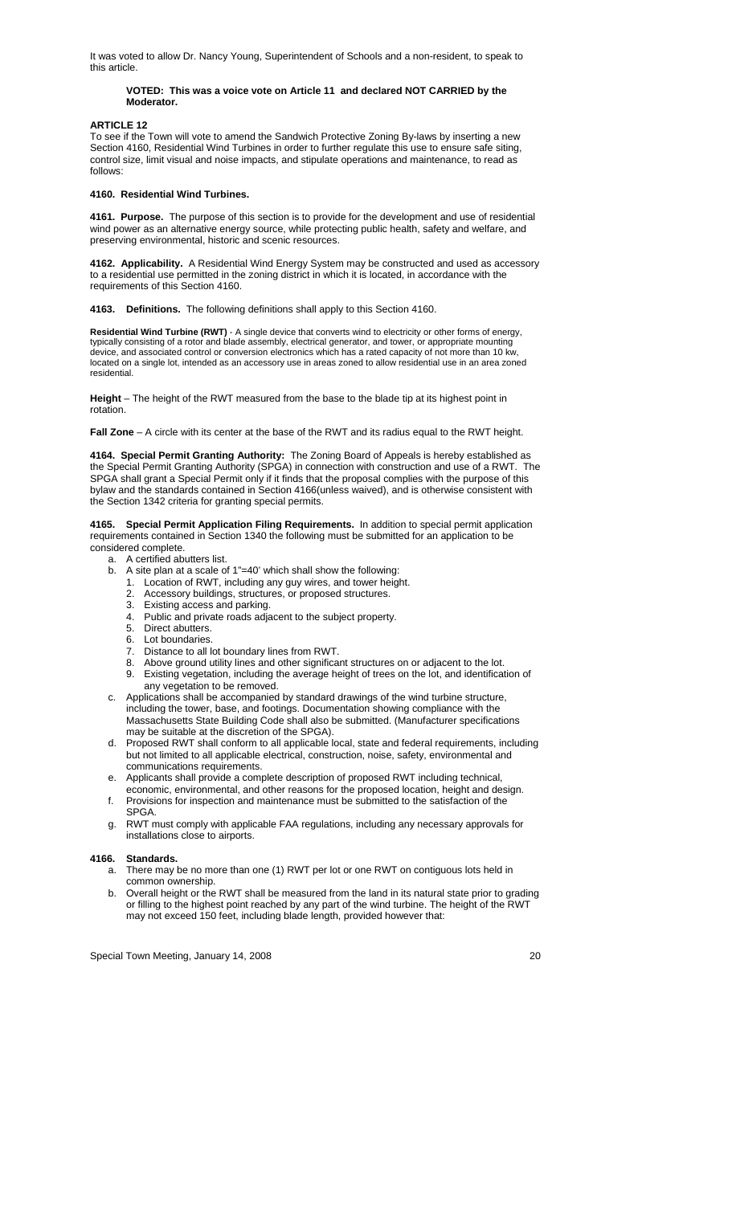It was voted to allow Dr. Nancy Young, Superintendent of Schools and a non-resident, to speak to this article.

### **VOTED: This was a voice vote on Article 11 and declared NOT CARRIED by the Moderator.**

**ARTICLE 12** 

To see if the Town will vote to amend the Sandwich Protective Zoning By-laws by inserting a new Section 4160, Residential Wind Turbines in order to further regulate this use to ensure safe siting, control size, limit visual and noise impacts, and stipulate operations and maintenance, to read as follows:

#### **4160. Residential Wind Turbines.**

**4161. Purpose.** The purpose of this section is to provide for the development and use of residential wind power as an alternative energy source, while protecting public health, safety and welfare, and preserving environmental, historic and scenic resources.

**4162. Applicability.** A Residential Wind Energy System may be constructed and used as accessory to a residential use permitted in the zoning district in which it is located, in accordance with the requirements of this Section 4160.

**4163. Definitions.** The following definitions shall apply to this Section 4160.

**Residential Wind Turbine (RWT)** - A single device that converts wind to electricity or other forms of energy, typically consisting of a rotor and blade assembly, electrical generator, and tower, or appropriate mounting device, and associated control or conversion electronics which has a rated capacity of not more than 10 kw, located on a single lot, intended as an accessory use in areas zoned to allow residential use in an area zoned residential.

**Height** – The height of the RWT measured from the base to the blade tip at its highest point in rotation.

**Fall Zone** – A circle with its center at the base of the RWT and its radius equal to the RWT height.

**4164. Special Permit Granting Authority:** The Zoning Board of Appeals is hereby established as the Special Permit Granting Authority (SPGA) in connection with construction and use of a RWT. The SPGA shall grant a Special Permit only if it finds that the proposal complies with the purpose of this bylaw and the standards contained in Section 4166(unless waived), and is otherwise consistent with the Section 1342 criteria for granting special permits.

**4165. Special Permit Application Filing Requirements.** In addition to special permit application requirements contained in Section 1340 the following must be submitted for an application to be considered complete.

- a. A certified abutters list.
- b. A site plan at a scale of 1"=40' which shall show the following:
	- 1. Location of RWT, including any guy wires, and tower height.
	- 2. Accessory buildings, structures, or proposed structures.
	- 3. Existing access and parking.
	- 4. Public and private roads adjacent to the subject property.
	- 5. Direct abutters.
	- 6. Lot boundaries.
	- 7. Distance to all lot boundary lines from RWT.
	- Above ground utility lines and other significant structures on or adjacent to the lot. 9. Existing vegetation, including the average height of trees on the lot, and identification of any vegetation to be removed.
- c. Applications shall be accompanied by standard drawings of the wind turbine structure, including the tower, base, and footings. Documentation showing compliance with the Massachusetts State Building Code shall also be submitted. (Manufacturer specifications may be suitable at the discretion of the SPGA).
- d. Proposed RWT shall conform to all applicable local, state and federal requirements, including but not limited to all applicable electrical, construction, noise, safety, environmental and communications requirements.
- e. Applicants shall provide a complete description of proposed RWT including technical, economic, environmental, and other reasons for the proposed location, height and design.
- f. Provisions for inspection and maintenance must be submitted to the satisfaction of the SPGA.
- g. RWT must comply with applicable FAA regulations, including any necessary approvals for installations close to airports.

# **4166. Standards.**

- a. There may be no more than one (1) RWT per lot or one RWT on contiguous lots held in common ownership.
- b. Overall height or the RWT shall be measured from the land in its natural state prior to grading or filling to the highest point reached by any part of the wind turbine. The height of the RWT may not exceed 150 feet, including blade length, provided however that: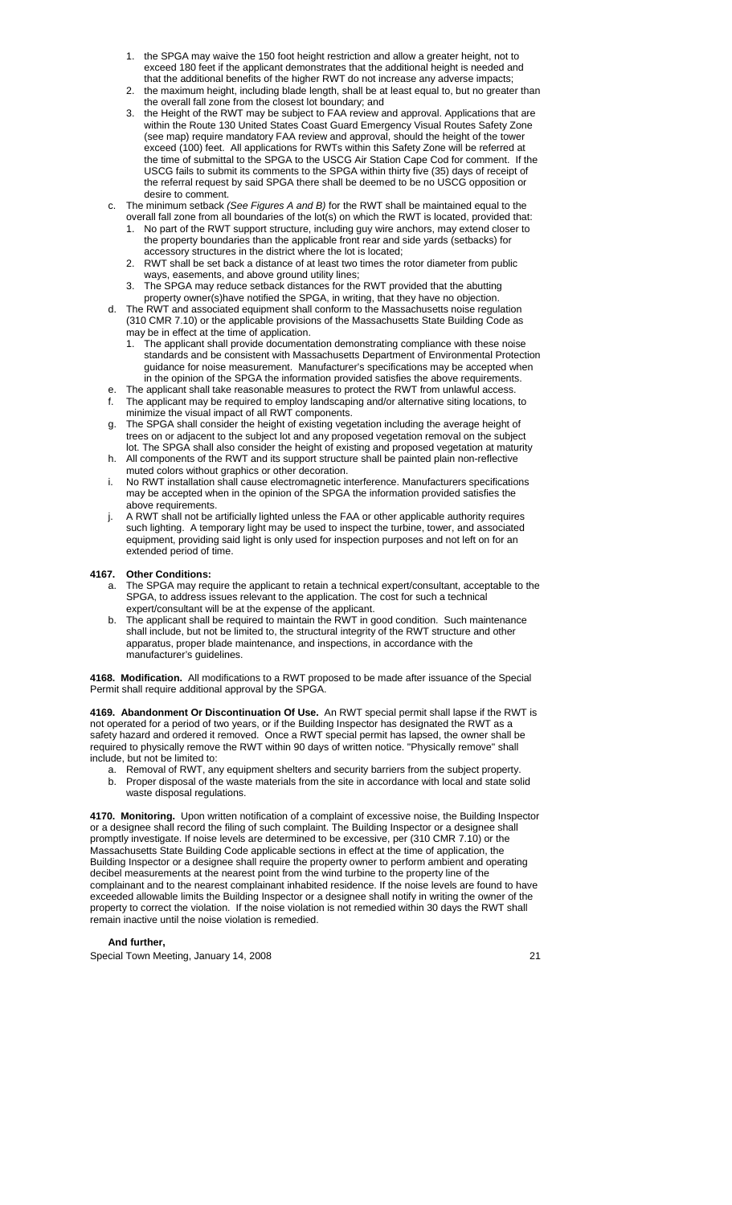- 1. the SPGA may waive the 150 foot height restriction and allow a greater height, not to exceed 180 feet if the applicant demonstrates that the additional height is needed and that the additional benefits of the higher RWT do not increase any adverse impacts;
- 2. the maximum height, including blade length, shall be at least equal to, but no greater than the overall fall zone from the closest lot boundary; and
- 3. the Height of the RWT may be subject to FAA review and approval. Applications that are within the Route 130 United States Coast Guard Emergency Visual Routes Safety Zone (see map) require mandatory FAA review and approval, should the height of the tower exceed (100) feet. All applications for RWTs within this Safety Zone will be referred at the time of submittal to the SPGA to the USCG Air Station Cape Cod for comment. If the USCG fails to submit its comments to the SPGA within thirty five (35) days of receipt of the referral request by said SPGA there shall be deemed to be no USCG opposition or desire to comment.
- c. The minimum setback *(See Figures A and B)* for the RWT shall be maintained equal to the
	- overall fall zone from all boundaries of the lot(s) on which the RWT is located, provided that: 1. No part of the RWT support structure, including guy wire anchors, may extend closer to the property boundaries than the applicable front rear and side yards (setbacks) for accessory structures in the district where the lot is located;
	- 2. RWT shall be set back a distance of at least two times the rotor diameter from public ways, easements, and above ground utility lines;
	- 3. The SPGA may reduce setback distances for the RWT provided that the abutting property owner(s)have notified the SPGA, in writing, that they have no objection.
- d. The RWT and associated equipment shall conform to the Massachusetts noise regulation (310 CMR 7.10) or the applicable provisions of the Massachusetts State Building Code as may be in effect at the time of application.
	- The applicant shall provide documentation demonstrating compliance with these noise standards and be consistent with Massachusetts Department of Environmental Protection guidance for noise measurement. Manufacturer's specifications may be accepted when in the opinion of the SPGA the information provided satisfies the above requirements.
- e. The applicant shall take reasonable measures to protect the RWT from unlawful access. The applicant may be required to employ landscaping and/or alternative siting locations, to minimize the visual impact of all RWT components.
- The SPGA shall consider the height of existing vegetation including the average height of trees on or adjacent to the subject lot and any proposed vegetation removal on the subject
- lot. The SPGA shall also consider the height of existing and proposed vegetation at maturity h. All components of the RWT and its support structure shall be painted plain non-reflective muted colors without graphics or other decoration.
- i. No RWT installation shall cause electromagnetic interference. Manufacturers specifications may be accepted when in the opinion of the SPGA the information provided satisfies the above requirements.
- A RWT shall not be artificially lighted unless the FAA or other applicable authority requires such lighting. A temporary light may be used to inspect the turbine, tower, and associated equipment, providing said light is only used for inspection purposes and not left on for an extended period of time.

## **4167. Other Conditions:**

- The SPGA may require the applicant to retain a technical expert/consultant, acceptable to the SPGA, to address issues relevant to the application. The cost for such a technical expert/consultant will be at the expense of the applicant.
- b. The applicant shall be required to maintain the RWT in good condition. Such maintenance shall include, but not be limited to, the structural integrity of the RWT structure and other apparatus, proper blade maintenance, and inspections, in accordance with the manufacturer's guidelines.

**4168. Modification.** All modifications to a RWT proposed to be made after issuance of the Special Permit shall require additional approval by the SPGA.

**4169. Abandonment Or Discontinuation Of Use.** An RWT special permit shall lapse if the RWT is not operated for a period of two years, or if the Building Inspector has designated the RWT as a safety hazard and ordered it removed. Once a RWT special permit has lapsed, the owner shall be required to physically remove the RWT within 90 days of written notice. "Physically remove" shall include, but not be limited to:

a. Removal of RWT, any equipment shelters and security barriers from the subject property. b. Proper disposal of the waste materials from the site in accordance with local and state solid waste disposal regulations.

**4170. Monitoring.** Upon written notification of a complaint of excessive noise, the Building Inspector or a designee shall record the filing of such complaint. The Building Inspector or a designee shall promptly investigate. If noise levels are determined to be excessive, per (310 CMR 7.10) or the Massachusetts State Building Code applicable sections in effect at the time of application, the Building Inspector or a designee shall require the property owner to perform ambient and operating decibel measurements at the nearest point from the wind turbine to the property line of the complainant and to the nearest complainant inhabited residence. If the noise levels are found to have exceeded allowable limits the Building Inspector or a designee shall notify in writing the owner of the property to correct the violation. If the noise violation is not remedied within 30 days the RWT shall remain inactive until the noise violation is remedied.

## **And further,**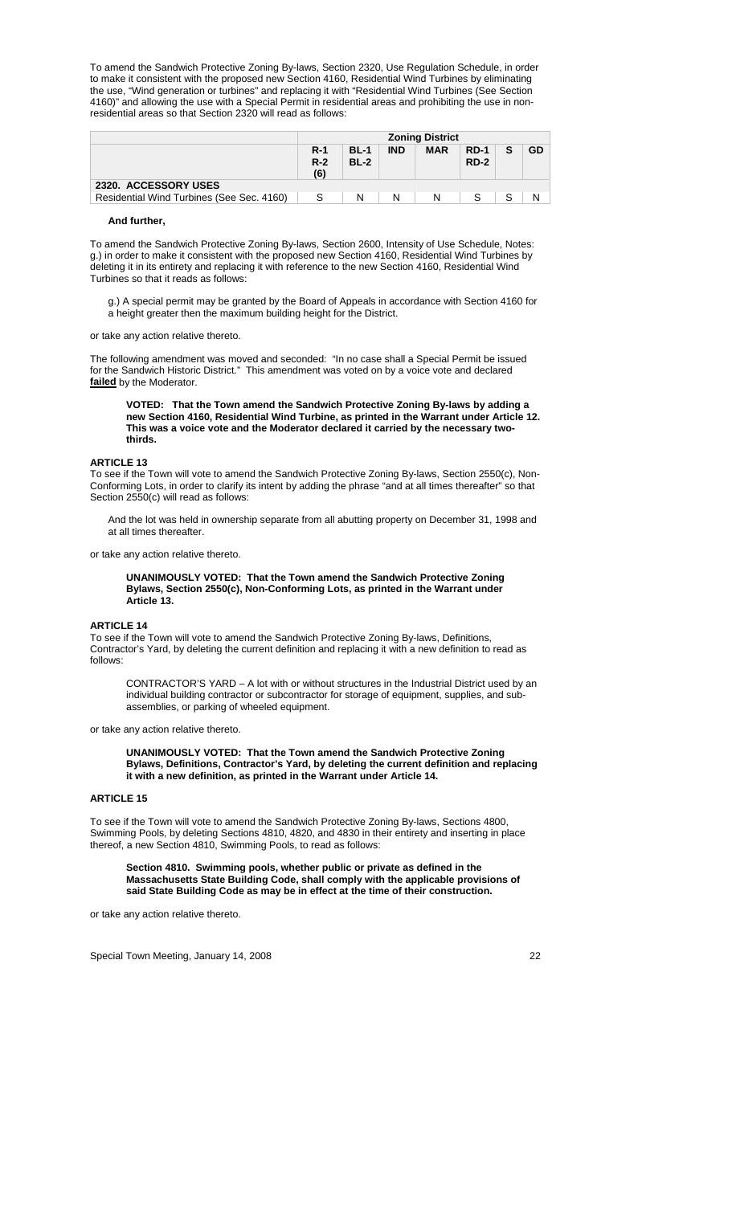To amend the Sandwich Protective Zoning By-laws, Section 2320, Use Regulation Schedule, in order to make it consistent with the proposed new Section 4160, Residential Wind Turbines by eliminating the use, "Wind generation or turbines" and replacing it with "Residential Wind Turbines (See Section 4160)" and allowing the use with a Special Permit in residential areas and prohibiting the use in nonresidential areas so that Section 2320 will read as follows:

|                                           | <b>Zoning District</b>     |                            |            |            |                       |  |    |
|-------------------------------------------|----------------------------|----------------------------|------------|------------|-----------------------|--|----|
|                                           | <b>R-1</b><br>$R-2$<br>(6) | <b>BL-1</b><br><b>BL-2</b> | <b>IND</b> | <b>MAR</b> | <b>RD-1</b><br>$RD-2$ |  | GD |
| 2320. ACCESSORY USES                      |                            |                            |            |            |                       |  |    |
| Residential Wind Turbines (See Sec. 4160) |                            | N                          | N          | N          |                       |  | N  |

### **And further,**

To amend the Sandwich Protective Zoning By-laws, Section 2600, Intensity of Use Schedule, Notes: g.) in order to make it consistent with the proposed new Section 4160, Residential Wind Turbines by deleting it in its entirety and replacing it with reference to the new Section 4160, Residential Wind Turbines so that it reads as follows:

g.) A special permit may be granted by the Board of Appeals in accordance with Section 4160 for a height greater then the maximum building height for the District.

### or take any action relative thereto.

The following amendment was moved and seconded: "In no case shall a Special Permit be issued for the Sandwich Historic District." This amendment was voted on by a voice vote and declared **failed** by the Moderator.

**VOTED: That the Town amend the Sandwich Protective Zoning By-laws by adding a new Section 4160, Residential Wind Turbine, as printed in the Warrant under Article 12. This was a voice vote and the Moderator declared it carried by the necessary twothirds.** 

## **ARTICLE 13**

To see if the Town will vote to amend the Sandwich Protective Zoning By-laws, Section 2550(c), Non-Conforming Lots, in order to clarify its intent by adding the phrase "and at all times thereafter" so that Section 2550(c) will read as follows:

And the lot was held in ownership separate from all abutting property on December 31, 1998 and at all times thereafter.

or take any action relative thereto.

**UNANIMOUSLY VOTED: That the Town amend the Sandwich Protective Zoning Bylaws, Section 2550(c), Non-Conforming Lots, as printed in the Warrant under Article 13.** 

#### **ARTICLE 14**

To see if the Town will vote to amend the Sandwich Protective Zoning By-laws, Definitions, Contractor's Yard, by deleting the current definition and replacing it with a new definition to read as follows:

CONTRACTOR'S YARD – A lot with or without structures in the Industrial District used by an individual building contractor or subcontractor for storage of equipment, supplies, and subassemblies, or parking of wheeled equipment.

or take any action relative thereto.

**UNANIMOUSLY VOTED: That the Town amend the Sandwich Protective Zoning Bylaws, Definitions, Contractor's Yard, by deleting the current definition and replacing it with a new definition, as printed in the Warrant under Article 14.** 

### **ARTICLE 15**

To see if the Town will vote to amend the Sandwich Protective Zoning By-laws, Sections 4800, Swimming Pools, by deleting Sections 4810, 4820, and 4830 in their entirety and inserting in place thereof, a new Section 4810, Swimming Pools, to read as follows:

**Section 4810. Swimming pools, whether public or private as defined in the Massachusetts State Building Code, shall comply with the applicable provisions of said State Building Code as may be in effect at the time of their construction.** 

or take any action relative thereto.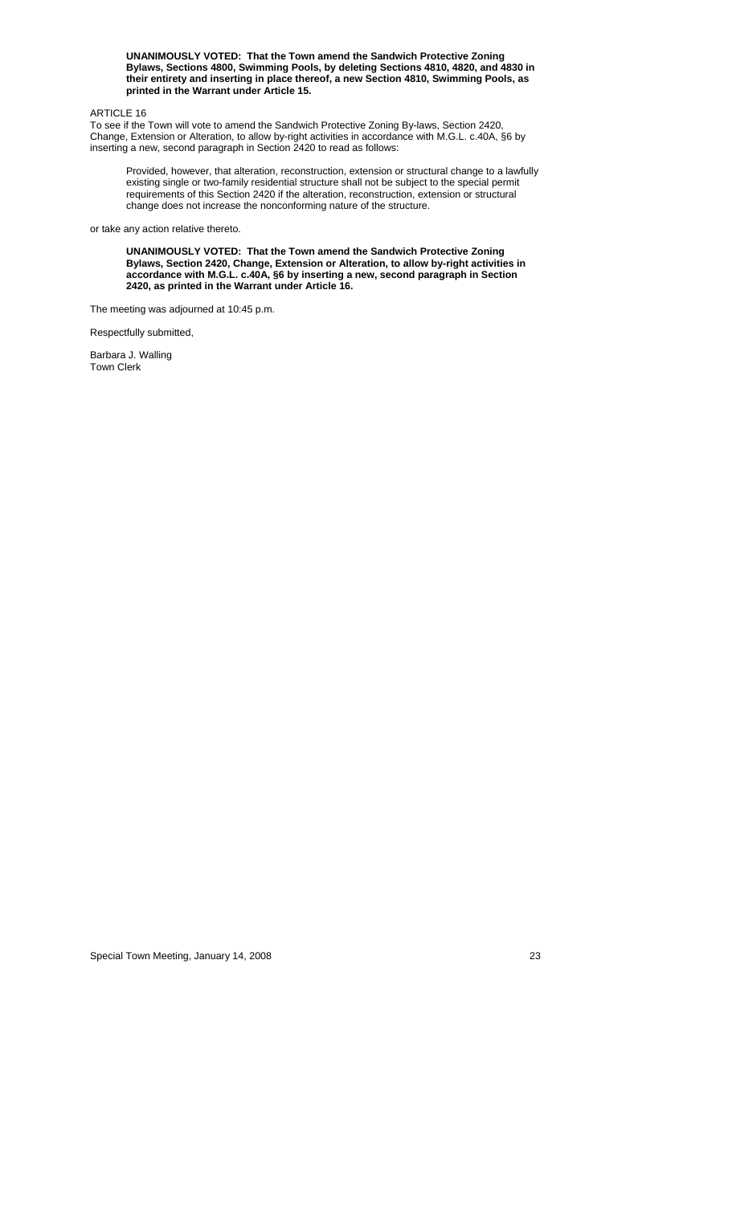**UNANIMOUSLY VOTED: That the Town amend the Sandwich Protective Zoning Bylaws, Sections 4800, Swimming Pools, by deleting Sections 4810, 4820, and 4830 in their entirety and inserting in place thereof, a new Section 4810, Swimming Pools, as printed in the Warrant under Article 15.** 

## ARTICLE 16

To see if the Town will vote to amend the Sandwich Protective Zoning By-laws, Section 2420, Change, Extension or Alteration, to allow by-right activities in accordance with M.G.L. c.40A, §6 by inserting a new, second paragraph in Section 2420 to read as follows:

Provided, however, that alteration, reconstruction, extension or structural change to a lawfully existing single or two-family residential structure shall not be subject to the special permit requirements of this Section 2420 if the alteration, reconstruction, extension or structural change does not increase the nonconforming nature of the structure.

or take any action relative thereto.

**UNANIMOUSLY VOTED: That the Town amend the Sandwich Protective Zoning Bylaws, Section 2420, Change, Extension or Alteration, to allow by-right activities in accordance with M.G.L. c.40A, §6 by inserting a new, second paragraph in Section 2420, as printed in the Warrant under Article 16.** 

The meeting was adjourned at 10:45 p.m.

Respectfully submitted,

Barbara J. Walling Town Clerk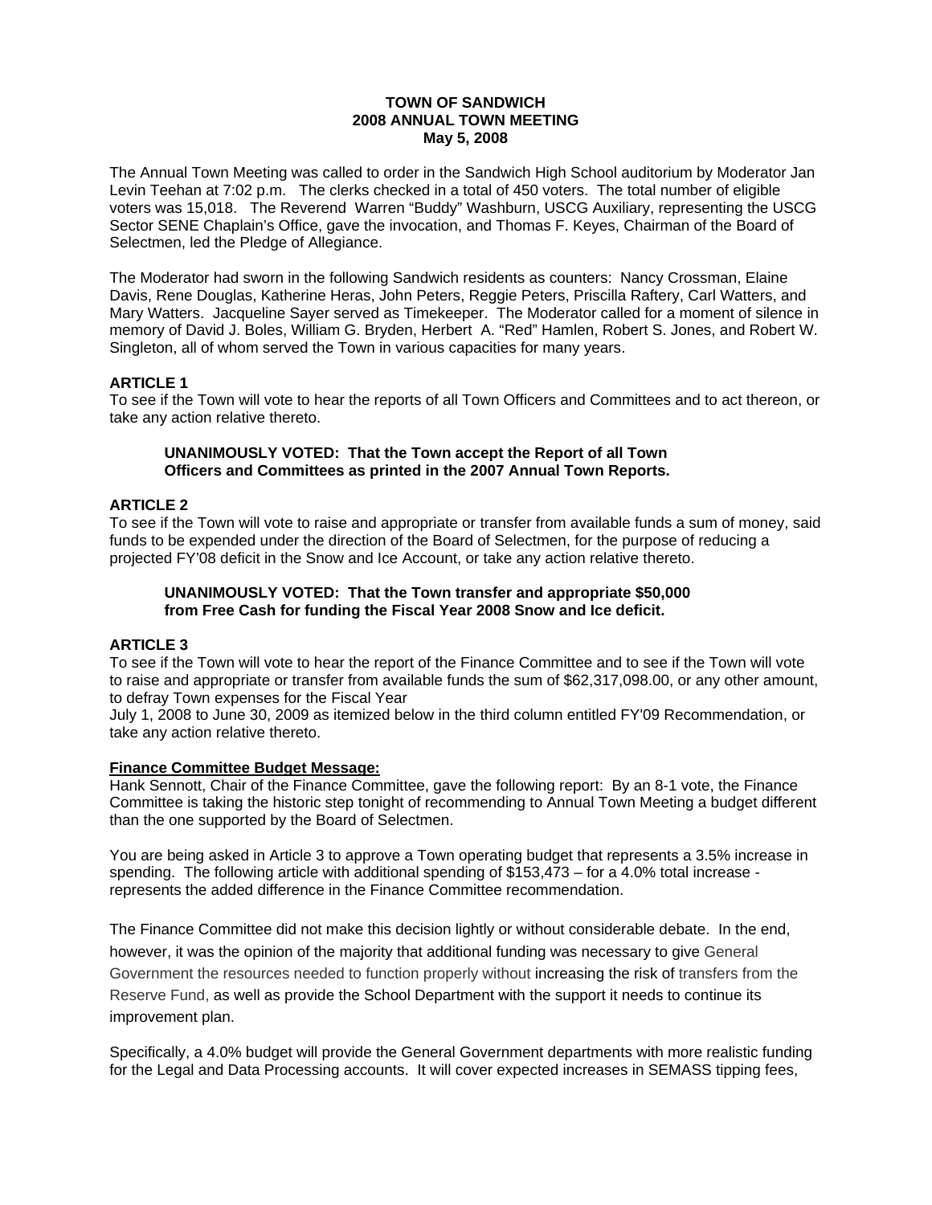## **TOWN OF SANDWICH 2008 ANNUAL TOWN MEETING May 5, 2008**

The Annual Town Meeting was called to order in the Sandwich High School auditorium by Moderator Jan Levin Teehan at 7:02 p.m. The clerks checked in a total of 450 voters. The total number of eligible voters was 15,018. The Reverend Warren "Buddy" Washburn, USCG Auxiliary, representing the USCG Sector SENE Chaplain's Office, gave the invocation, and Thomas F. Keyes, Chairman of the Board of Selectmen, led the Pledge of Allegiance.

The Moderator had sworn in the following Sandwich residents as counters: Nancy Crossman, Elaine Davis, Rene Douglas, Katherine Heras, John Peters, Reggie Peters, Priscilla Raftery, Carl Watters, and Mary Watters. Jacqueline Sayer served as Timekeeper. The Moderator called for a moment of silence in memory of David J. Boles, William G. Bryden, Herbert A. "Red" Hamlen, Robert S. Jones, and Robert W. Singleton, all of whom served the Town in various capacities for many years.

## **ARTICLE 1**

To see if the Town will vote to hear the reports of all Town Officers and Committees and to act thereon, or take any action relative thereto.

## **UNANIMOUSLY VOTED: That the Town accept the Report of all Town Officers and Committees as printed in the 2007 Annual Town Reports.**

# **ARTICLE 2**

To see if the Town will vote to raise and appropriate or transfer from available funds a sum of money, said funds to be expended under the direction of the Board of Selectmen, for the purpose of reducing a projected FY'08 deficit in the Snow and Ice Account, or take any action relative thereto.

# **UNANIMOUSLY VOTED: That the Town transfer and appropriate \$50,000 from Free Cash for funding the Fiscal Year 2008 Snow and Ice deficit.**

# **ARTICLE 3**

To see if the Town will vote to hear the report of the Finance Committee and to see if the Town will vote to raise and appropriate or transfer from available funds the sum of \$62,317,098.00, or any other amount, to defray Town expenses for the Fiscal Year

July 1, 2008 to June 30, 2009 as itemized below in the third column entitled FY'09 Recommendation, or take any action relative thereto.

## **Finance Committee Budget Message:**

Hank Sennott, Chair of the Finance Committee, gave the following report: By an 8-1 vote, the Finance Committee is taking the historic step tonight of recommending to Annual Town Meeting a budget different than the one supported by the Board of Selectmen.

You are being asked in Article 3 to approve a Town operating budget that represents a 3.5% increase in spending. The following article with additional spending of \$153,473 – for a 4.0% total increase represents the added difference in the Finance Committee recommendation.

The Finance Committee did not make this decision lightly or without considerable debate. In the end, however, it was the opinion of the majority that additional funding was necessary to give General Government the resources needed to function properly without increasing the risk of transfers from the Reserve Fund, as well as provide the School Department with the support it needs to continue its improvement plan.

Specifically, a 4.0% budget will provide the General Government departments with more realistic funding for the Legal and Data Processing accounts. It will cover expected increases in SEMASS tipping fees,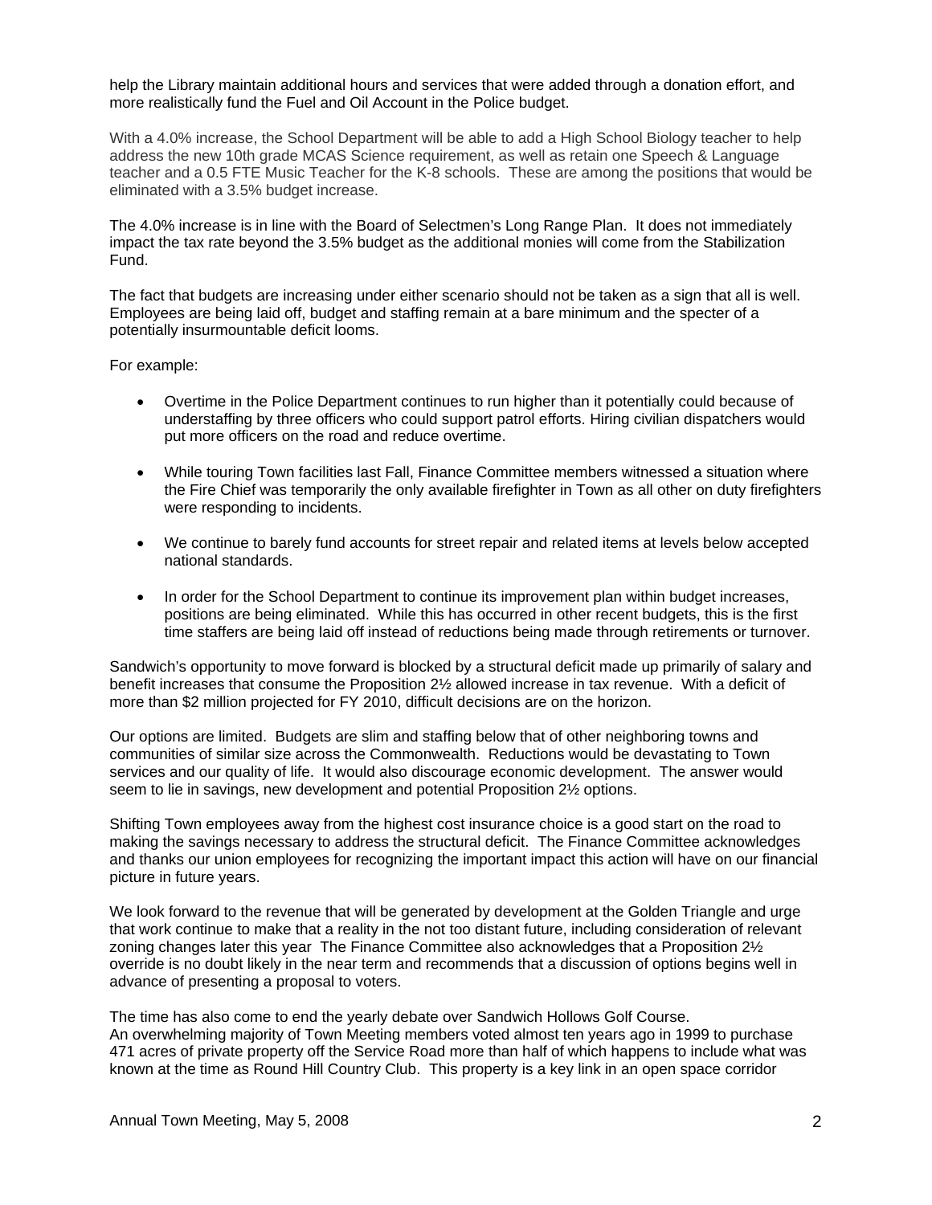help the Library maintain additional hours and services that were added through a donation effort, and more realistically fund the Fuel and Oil Account in the Police budget.

With a 4.0% increase, the School Department will be able to add a High School Biology teacher to help address the new 10th grade MCAS Science requirement, as well as retain one Speech & Language teacher and a 0.5 FTE Music Teacher for the K-8 schools. These are among the positions that would be eliminated with a 3.5% budget increase.

The 4.0% increase is in line with the Board of Selectmen's Long Range Plan. It does not immediately impact the tax rate beyond the 3.5% budget as the additional monies will come from the Stabilization Fund.

The fact that budgets are increasing under either scenario should not be taken as a sign that all is well. Employees are being laid off, budget and staffing remain at a bare minimum and the specter of a potentially insurmountable deficit looms.

For example:

- Overtime in the Police Department continues to run higher than it potentially could because of understaffing by three officers who could support patrol efforts. Hiring civilian dispatchers would put more officers on the road and reduce overtime.
- While touring Town facilities last Fall, Finance Committee members witnessed a situation where the Fire Chief was temporarily the only available firefighter in Town as all other on duty firefighters were responding to incidents.
- We continue to barely fund accounts for street repair and related items at levels below accepted national standards.
- In order for the School Department to continue its improvement plan within budget increases, positions are being eliminated. While this has occurred in other recent budgets, this is the first time staffers are being laid off instead of reductions being made through retirements or turnover.

Sandwich's opportunity to move forward is blocked by a structural deficit made up primarily of salary and benefit increases that consume the Proposition 2½ allowed increase in tax revenue. With a deficit of more than \$2 million projected for FY 2010, difficult decisions are on the horizon.

Our options are limited. Budgets are slim and staffing below that of other neighboring towns and communities of similar size across the Commonwealth. Reductions would be devastating to Town services and our quality of life. It would also discourage economic development. The answer would seem to lie in savings, new development and potential Proposition 2½ options.

Shifting Town employees away from the highest cost insurance choice is a good start on the road to making the savings necessary to address the structural deficit. The Finance Committee acknowledges and thanks our union employees for recognizing the important impact this action will have on our financial picture in future years.

We look forward to the revenue that will be generated by development at the Golden Triangle and urge that work continue to make that a reality in the not too distant future, including consideration of relevant zoning changes later this year The Finance Committee also acknowledges that a Proposition 2½ override is no doubt likely in the near term and recommends that a discussion of options begins well in advance of presenting a proposal to voters.

The time has also come to end the yearly debate over Sandwich Hollows Golf Course. An overwhelming majority of Town Meeting members voted almost ten years ago in 1999 to purchase 471 acres of private property off the Service Road more than half of which happens to include what was known at the time as Round Hill Country Club. This property is a key link in an open space corridor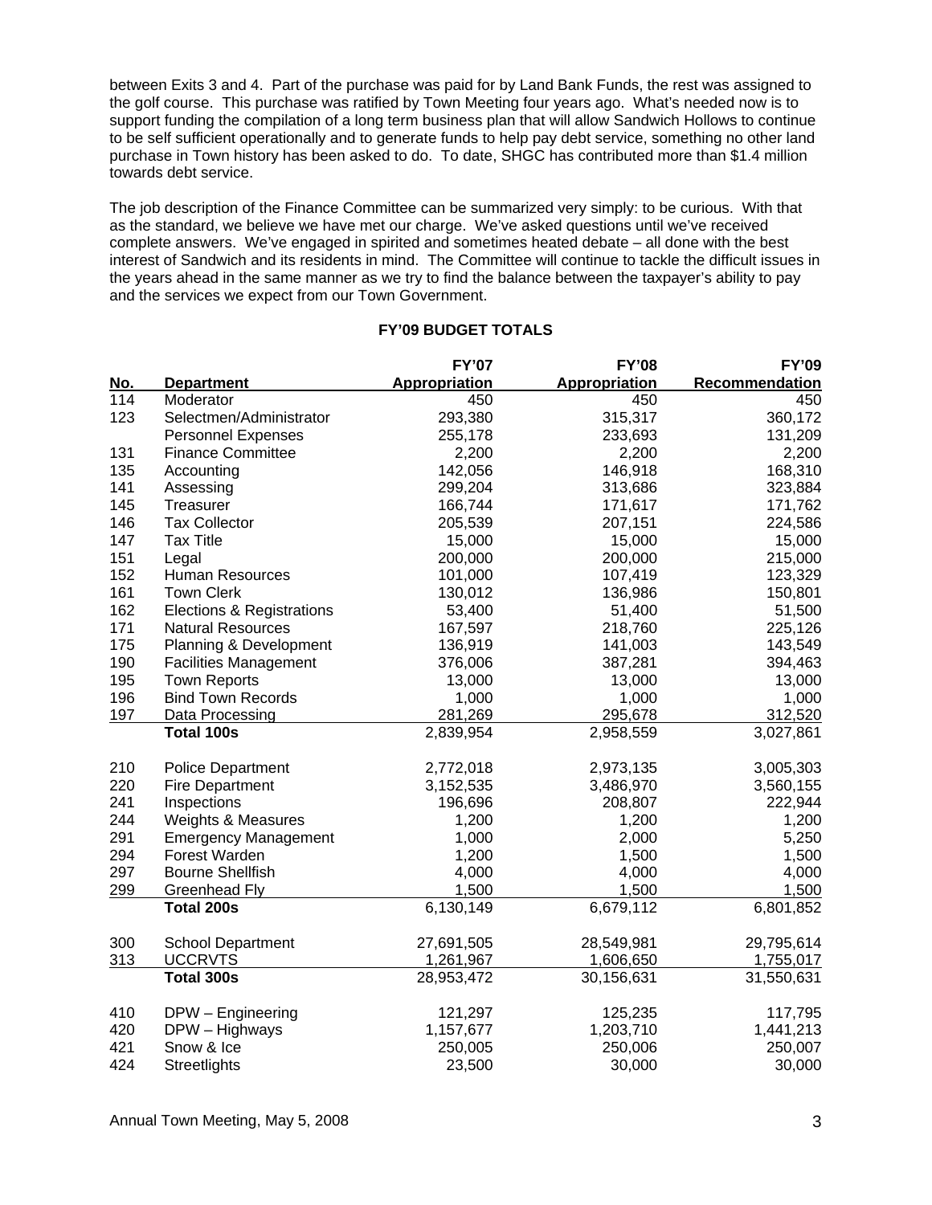between Exits 3 and 4. Part of the purchase was paid for by Land Bank Funds, the rest was assigned to the golf course. This purchase was ratified by Town Meeting four years ago. What's needed now is to support funding the compilation of a long term business plan that will allow Sandwich Hollows to continue to be self sufficient operationally and to generate funds to help pay debt service, something no other land purchase in Town history has been asked to do. To date, SHGC has contributed more than \$1.4 million towards debt service.

The job description of the Finance Committee can be summarized very simply: to be curious. With that as the standard, we believe we have met our charge. We've asked questions until we've received complete answers. We've engaged in spirited and sometimes heated debate – all done with the best interest of Sandwich and its residents in mind. The Committee will continue to tackle the difficult issues in the years ahead in the same manner as we try to find the balance between the taxpayer's ability to pay and the services we expect from our Town Government.

|     |                              | <b>FY'07</b>  | <b>FY'08</b>  | <b>FY'09</b>   |
|-----|------------------------------|---------------|---------------|----------------|
| No. | <b>Department</b>            | Appropriation | Appropriation | Recommendation |
| 114 | Moderator                    | 450           | 450           | 450            |
| 123 | Selectmen/Administrator      | 293,380       | 315,317       | 360,172        |
|     | <b>Personnel Expenses</b>    | 255,178       | 233,693       | 131,209        |
| 131 | <b>Finance Committee</b>     | 2,200         | 2,200         | 2,200          |
| 135 | Accounting                   | 142,056       | 146,918       | 168,310        |
| 141 | Assessing                    | 299,204       | 313,686       | 323,884        |
| 145 | Treasurer                    | 166,744       | 171,617       | 171,762        |
| 146 | <b>Tax Collector</b>         | 205,539       | 207,151       | 224,586        |
| 147 | <b>Tax Title</b>             | 15,000        | 15,000        | 15,000         |
| 151 | Legal                        | 200,000       | 200,000       | 215,000        |
| 152 | <b>Human Resources</b>       | 101,000       | 107,419       | 123,329        |
| 161 | <b>Town Clerk</b>            | 130,012       | 136,986       | 150,801        |
| 162 | Elections & Registrations    | 53,400        | 51,400        | 51,500         |
| 171 | <b>Natural Resources</b>     | 167,597       | 218,760       | 225,126        |
| 175 | Planning & Development       | 136,919       | 141,003       | 143,549        |
| 190 | <b>Facilities Management</b> | 376,006       | 387,281       | 394,463        |
| 195 | <b>Town Reports</b>          | 13,000        | 13,000        | 13,000         |
| 196 | <b>Bind Town Records</b>     | 1,000         | 1,000         | 1,000          |
| 197 | Data Processing              | 281,269       | 295,678       | 312,520        |
|     | <b>Total 100s</b>            | 2,839,954     | 2,958,559     | 3,027,861      |
| 210 | <b>Police Department</b>     | 2,772,018     | 2,973,135     | 3,005,303      |
| 220 | <b>Fire Department</b>       | 3,152,535     | 3,486,970     | 3,560,155      |
| 241 | Inspections                  | 196,696       | 208,807       | 222,944        |
| 244 | Weights & Measures           | 1,200         | 1,200         | 1,200          |
| 291 | <b>Emergency Management</b>  | 1,000         | 2,000         | 5,250          |
| 294 | Forest Warden                | 1,200         | 1,500         | 1,500          |
| 297 | <b>Bourne Shellfish</b>      | 4,000         | 4,000         | 4,000          |
| 299 | <b>Greenhead Fly</b>         | 1,500         | 1,500         | 1,500          |
|     | <b>Total 200s</b>            | 6,130,149     | 6,679,112     | 6,801,852      |
| 300 | <b>School Department</b>     | 27,691,505    | 28,549,981    | 29,795,614     |
| 313 | <b>UCCRVTS</b>               | 1,261,967     | 1,606,650     | 1,755,017      |
|     | Total 300s                   | 28,953,472    | 30,156,631    | 31,550,631     |
|     |                              |               |               |                |
| 410 | DPW - Engineering            | 121,297       | 125,235       | 117,795        |
| 420 | DPW - Highways               | 1,157,677     | 1,203,710     | 1,441,213      |
| 421 | Snow & Ice                   | 250,005       | 250,006       | 250,007        |
| 424 | Streetlights                 | 23,500        | 30,000        | 30,000         |

# **FY'09 BUDGET TOTALS**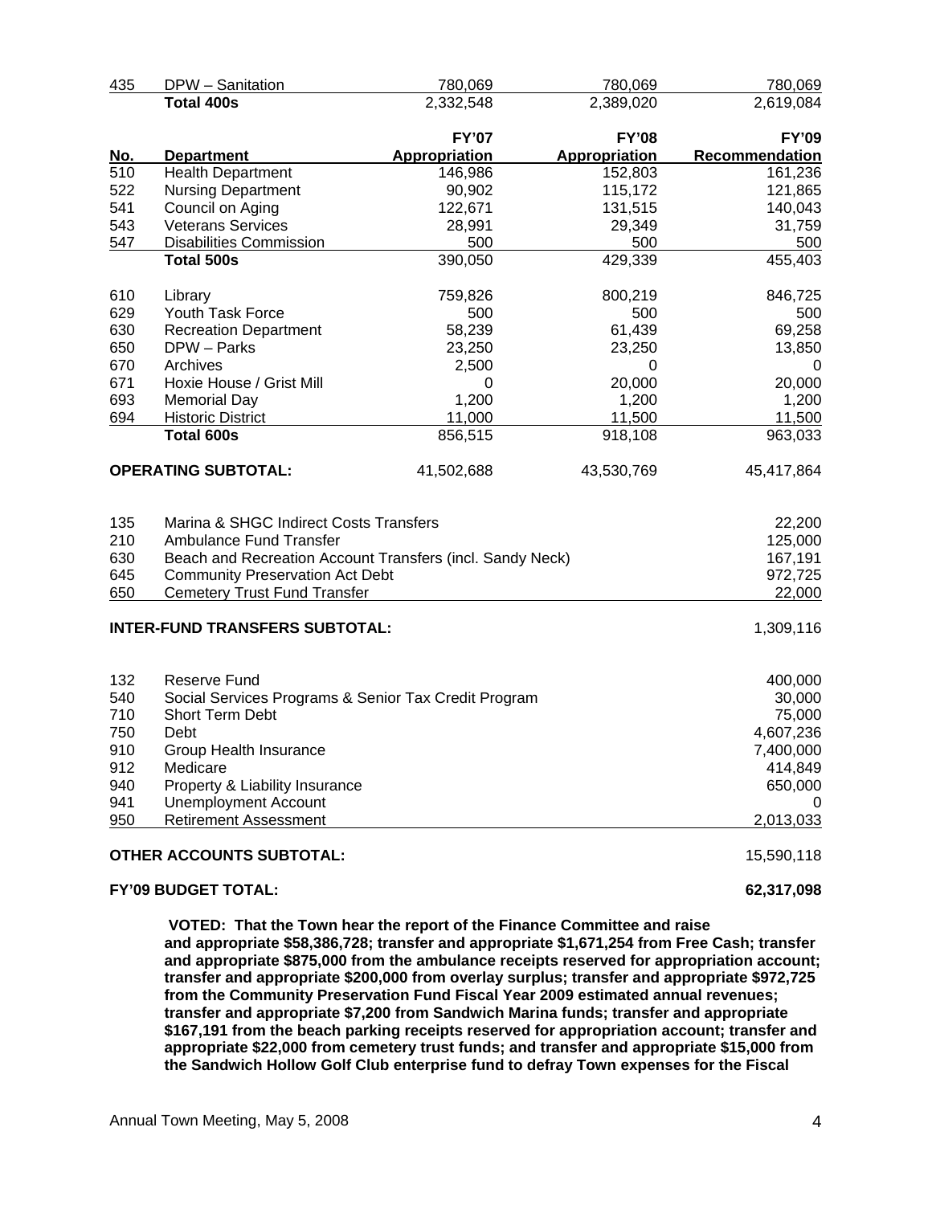| 435        | DPW - Sanitation                                          | 780,069       | 780,069       | 780,069        |
|------------|-----------------------------------------------------------|---------------|---------------|----------------|
|            | <b>Total 400s</b>                                         | 2,332,548     | 2,389,020     | 2,619,084      |
|            |                                                           | <b>FY'07</b>  | <b>FY'08</b>  | <b>FY'09</b>   |
| <u>No.</u> | <b>Department</b>                                         | Appropriation | Appropriation | Recommendation |
| 510        | <b>Health Department</b>                                  | 146,986       | 152,803       | 161,236        |
| 522        | <b>Nursing Department</b>                                 | 90,902        | 115,172       | 121,865        |
| 541        | Council on Aging                                          | 122,671       | 131,515       | 140,043        |
| 543        | <b>Veterans Services</b>                                  | 28,991        | 29,349        | 31,759         |
| 547        | <b>Disabilities Commission</b>                            | 500           | 500           | 500            |
|            | Total 500s                                                | 390,050       | 429,339       | 455,403        |
| 610        | Library                                                   | 759,826       | 800,219       | 846,725        |
| 629        | Youth Task Force                                          | 500           | 500           | 500            |
| 630        | <b>Recreation Department</b>                              | 58,239        | 61,439        | 69,258         |
| 650        | DPW - Parks                                               | 23,250        | 23,250        | 13,850         |
| 670        | Archives                                                  | 2,500         | 0             | 0              |
| 671        | Hoxie House / Grist Mill                                  | 0             | 20,000        | 20,000         |
| 693        | <b>Memorial Day</b>                                       | 1,200         | 1,200         | 1,200          |
| 694        | <b>Historic District</b>                                  | 11,000        | 11,500        | 11,500         |
|            | <b>Total 600s</b>                                         | 856,515       | 918,108       | 963,033        |
|            | <b>OPERATING SUBTOTAL:</b>                                | 41,502,688    | 43,530,769    | 45,417,864     |
|            |                                                           |               |               |                |
| 135        | Marina & SHGC Indirect Costs Transfers                    |               |               | 22,200         |
| 210        | Ambulance Fund Transfer                                   |               |               | 125,000        |
| 630        | Beach and Recreation Account Transfers (incl. Sandy Neck) |               |               | 167,191        |
| 645        | <b>Community Preservation Act Debt</b>                    |               |               | 972,725        |
| 650        | <b>Cemetery Trust Fund Transfer</b>                       |               |               | 22,000         |
|            | <b>INTER-FUND TRANSFERS SUBTOTAL:</b>                     |               |               | 1,309,116      |
| 132        | <b>Reserve Fund</b>                                       |               |               | 400,000        |
| 540        | Social Services Programs & Senior Tax Credit Program      |               |               | 30,000         |
| 710        | Short Term Debt                                           |               |               | 75,000         |
| 750        | Debt                                                      |               |               | 4,607,236      |
| 910        | Group Health Insurance                                    |               |               | 7,400,000      |
| 912        | Medicare                                                  |               |               | 414,849        |
| 940        | Property & Liability Insurance                            |               |               | 650,000        |
| 941        | <b>Unemployment Account</b>                               |               |               |                |
| 950        | <b>Retirement Assessment</b>                              |               |               | 2,013,033      |
|            | <b>OTHER ACCOUNTS SUBTOTAL:</b>                           |               |               | 15,590,118     |
|            | <b>FY'09 BUDGET TOTAL:</b>                                |               |               | 62,317,098     |

 **VOTED: That the Town hear the report of the Finance Committee and raise and appropriate \$58,386,728; transfer and appropriate \$1,671,254 from Free Cash; transfer and appropriate \$875,000 from the ambulance receipts reserved for appropriation account; transfer and appropriate \$200,000 from overlay surplus; transfer and appropriate \$972,725 from the Community Preservation Fund Fiscal Year 2009 estimated annual revenues; transfer and appropriate \$7,200 from Sandwich Marina funds; transfer and appropriate \$167,191 from the beach parking receipts reserved for appropriation account; transfer and appropriate \$22,000 from cemetery trust funds; and transfer and appropriate \$15,000 from the Sandwich Hollow Golf Club enterprise fund to defray Town expenses for the Fiscal**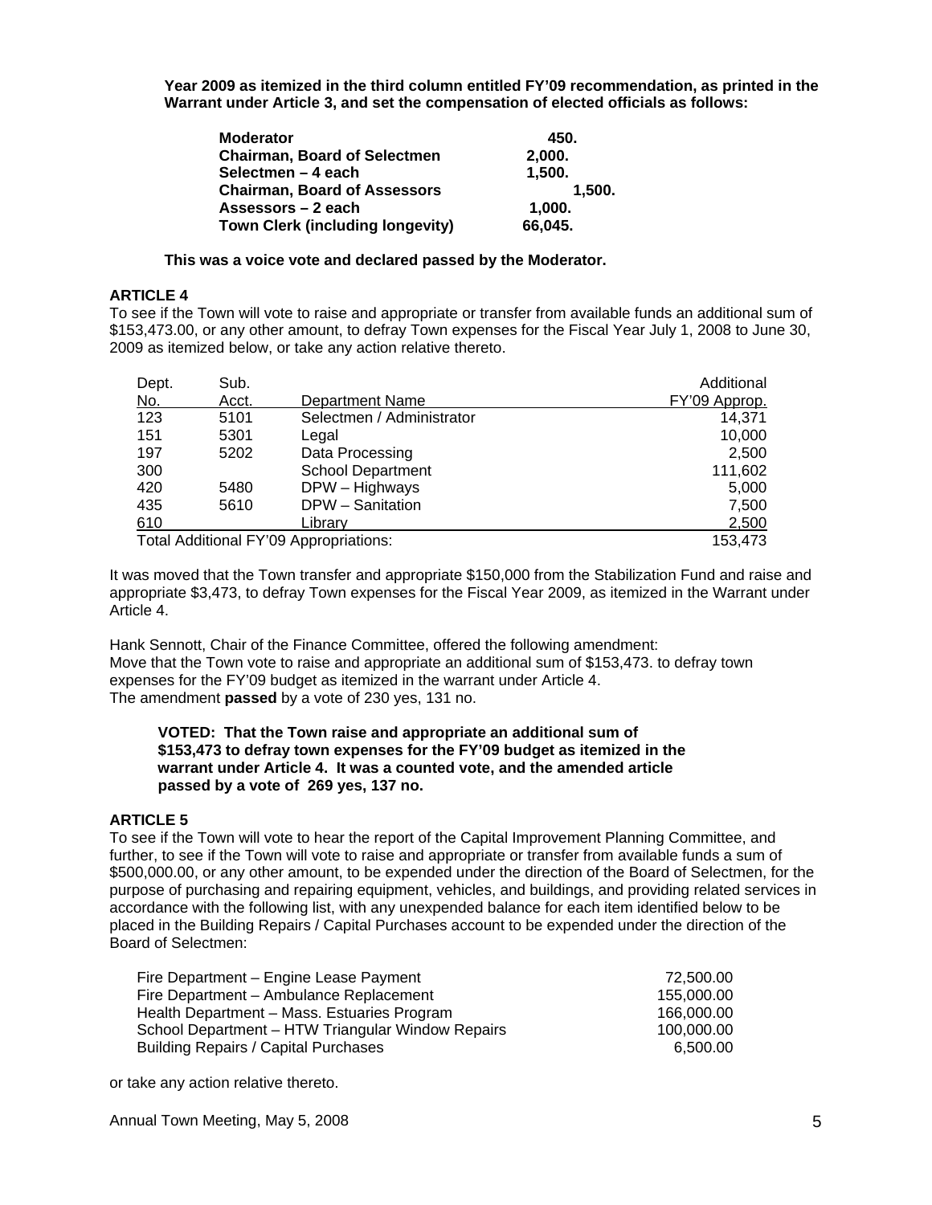**Year 2009 as itemized in the third column entitled FY'09 recommendation, as printed in the Warrant under Article 3, and set the compensation of elected officials as follows:** 

| <b>Moderator</b>                        | 450.    |
|-----------------------------------------|---------|
| <b>Chairman, Board of Selectmen</b>     | 2,000.  |
| Selectmen - 4 each                      | 1,500.  |
| <b>Chairman, Board of Assessors</b>     | 1.500.  |
| Assessors – 2 each                      | 1,000.  |
| <b>Town Clerk (including longevity)</b> | 66,045. |

**This was a voice vote and declared passed by the Moderator.** 

# **ARTICLE 4**

To see if the Town will vote to raise and appropriate or transfer from available funds an additional sum of \$153,473.00, or any other amount, to defray Town expenses for the Fiscal Year July 1, 2008 to June 30, 2009 as itemized below, or take any action relative thereto.

| Dept. | Sub.  |                                        | Additional    |
|-------|-------|----------------------------------------|---------------|
| No.   | Acct. | <b>Department Name</b>                 | FY'09 Approp. |
| 123   | 5101  | Selectmen / Administrator              | 14,371        |
| 151   | 5301  | Legal                                  | 10,000        |
| 197   | 5202  | Data Processing                        | 2,500         |
| 300   |       | <b>School Department</b>               | 111,602       |
| 420   | 5480  | DPW - Highways                         | 5,000         |
| 435   | 5610  | DPW - Sanitation                       | 7,500         |
| 610   |       | Librarv                                | 2,500         |
|       |       | Total Additional FY'09 Appropriations: | 153,473       |

It was moved that the Town transfer and appropriate \$150,000 from the Stabilization Fund and raise and appropriate \$3,473, to defray Town expenses for the Fiscal Year 2009, as itemized in the Warrant under Article 4.

Hank Sennott, Chair of the Finance Committee, offered the following amendment: Move that the Town vote to raise and appropriate an additional sum of \$153,473. to defray town expenses for the FY'09 budget as itemized in the warrant under Article 4. The amendment **passed** by a vote of 230 yes, 131 no.

## **VOTED: That the Town raise and appropriate an additional sum of \$153,473 to defray town expenses for the FY'09 budget as itemized in the warrant under Article 4. It was a counted vote, and the amended article passed by a vote of 269 yes, 137 no.**

### **ARTICLE 5**

To see if the Town will vote to hear the report of the Capital Improvement Planning Committee, and further, to see if the Town will vote to raise and appropriate or transfer from available funds a sum of \$500,000.00, or any other amount, to be expended under the direction of the Board of Selectmen, for the purpose of purchasing and repairing equipment, vehicles, and buildings, and providing related services in accordance with the following list, with any unexpended balance for each item identified below to be placed in the Building Repairs / Capital Purchases account to be expended under the direction of the Board of Selectmen:

| Fire Department - Engine Lease Payment            | 72.500.00  |
|---------------------------------------------------|------------|
| Fire Department – Ambulance Replacement           | 155.000.00 |
| Health Department – Mass. Estuaries Program       | 166,000,00 |
| School Department - HTW Triangular Window Repairs | 100.000.00 |
| <b>Building Repairs / Capital Purchases</b>       | 6.500.00   |

or take any action relative thereto.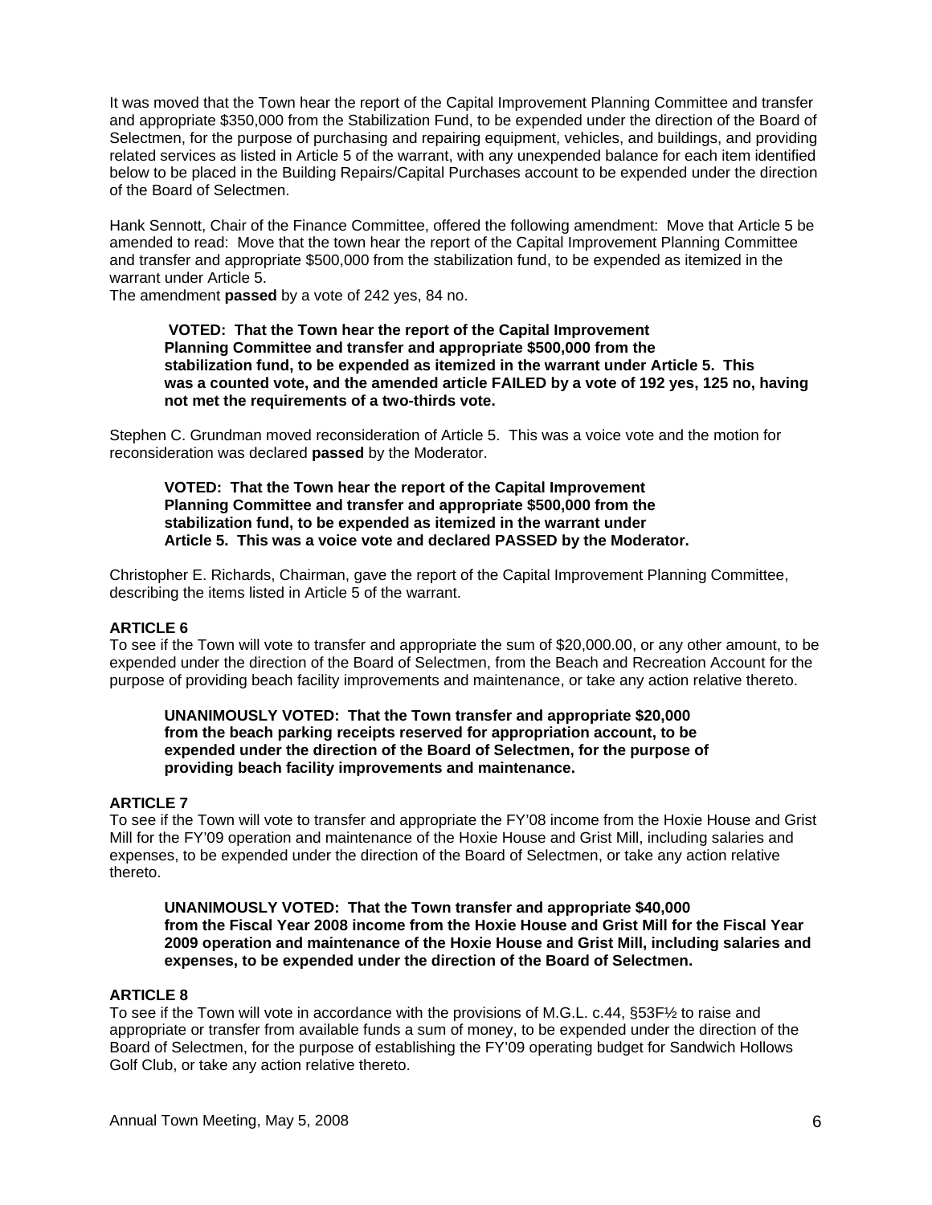It was moved that the Town hear the report of the Capital Improvement Planning Committee and transfer and appropriate \$350,000 from the Stabilization Fund, to be expended under the direction of the Board of Selectmen, for the purpose of purchasing and repairing equipment, vehicles, and buildings, and providing related services as listed in Article 5 of the warrant, with any unexpended balance for each item identified below to be placed in the Building Repairs/Capital Purchases account to be expended under the direction of the Board of Selectmen.

Hank Sennott, Chair of the Finance Committee, offered the following amendment: Move that Article 5 be amended to read: Move that the town hear the report of the Capital Improvement Planning Committee and transfer and appropriate \$500,000 from the stabilization fund, to be expended as itemized in the warrant under Article 5.

The amendment **passed** by a vote of 242 yes, 84 no.

 **VOTED: That the Town hear the report of the Capital Improvement Planning Committee and transfer and appropriate \$500,000 from the stabilization fund, to be expended as itemized in the warrant under Article 5. This was a counted vote, and the amended article FAILED by a vote of 192 yes, 125 no, having not met the requirements of a two-thirds vote.** 

Stephen C. Grundman moved reconsideration of Article 5. This was a voice vote and the motion for reconsideration was declared **passed** by the Moderator.

**VOTED: That the Town hear the report of the Capital Improvement Planning Committee and transfer and appropriate \$500,000 from the stabilization fund, to be expended as itemized in the warrant under Article 5. This was a voice vote and declared PASSED by the Moderator.** 

Christopher E. Richards, Chairman, gave the report of the Capital Improvement Planning Committee, describing the items listed in Article 5 of the warrant.

## **ARTICLE 6**

To see if the Town will vote to transfer and appropriate the sum of \$20,000.00, or any other amount, to be expended under the direction of the Board of Selectmen, from the Beach and Recreation Account for the purpose of providing beach facility improvements and maintenance, or take any action relative thereto.

## **UNANIMOUSLY VOTED: That the Town transfer and appropriate \$20,000 from the beach parking receipts reserved for appropriation account, to be expended under the direction of the Board of Selectmen, for the purpose of providing beach facility improvements and maintenance.**

## **ARTICLE 7**

To see if the Town will vote to transfer and appropriate the FY'08 income from the Hoxie House and Grist Mill for the FY'09 operation and maintenance of the Hoxie House and Grist Mill, including salaries and expenses, to be expended under the direction of the Board of Selectmen, or take any action relative thereto.

**UNANIMOUSLY VOTED: That the Town transfer and appropriate \$40,000 from the Fiscal Year 2008 income from the Hoxie House and Grist Mill for the Fiscal Year 2009 operation and maintenance of the Hoxie House and Grist Mill, including salaries and expenses, to be expended under the direction of the Board of Selectmen.** 

### **ARTICLE 8**

To see if the Town will vote in accordance with the provisions of M.G.L. c.44, §53F½ to raise and appropriate or transfer from available funds a sum of money, to be expended under the direction of the Board of Selectmen, for the purpose of establishing the FY'09 operating budget for Sandwich Hollows Golf Club, or take any action relative thereto.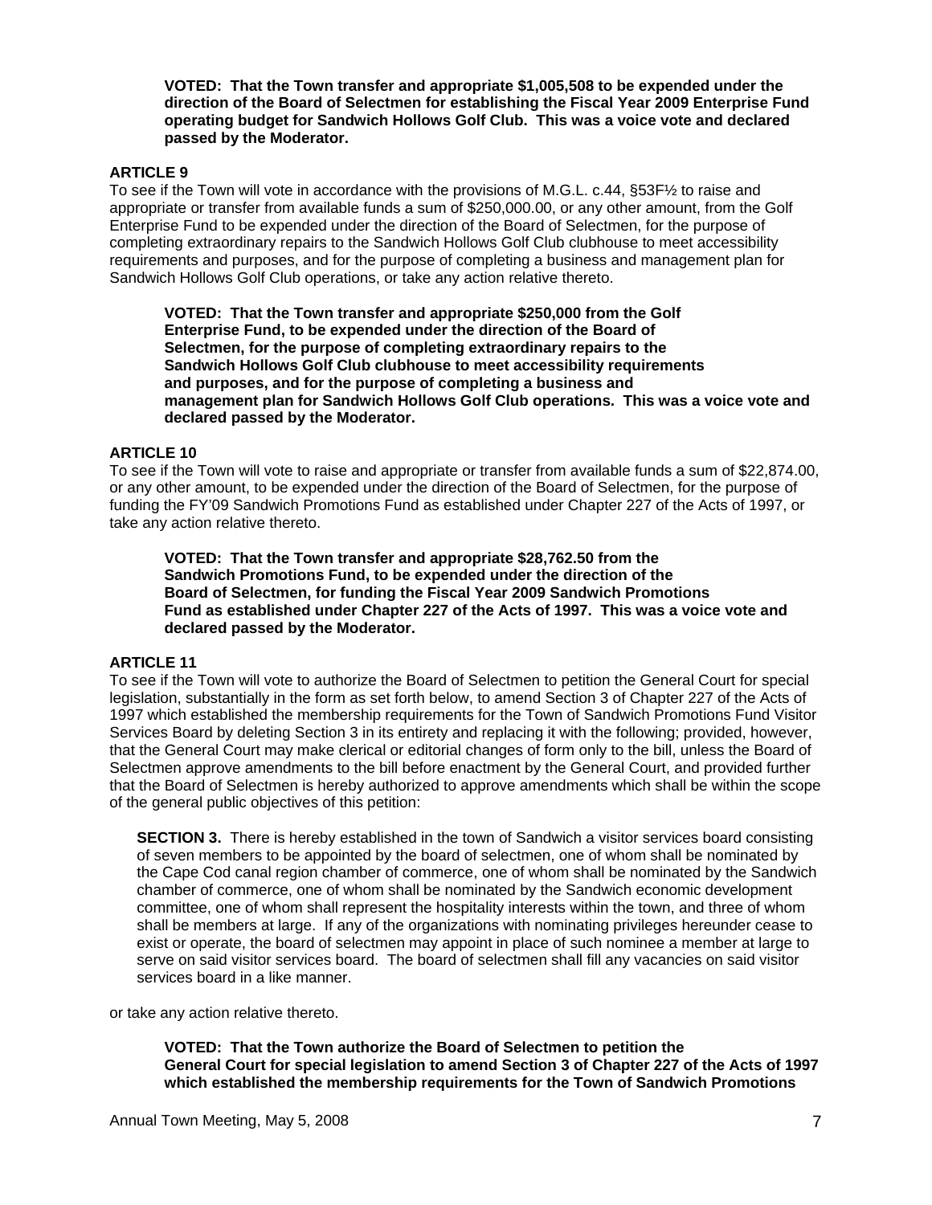**VOTED: That the Town transfer and appropriate \$1,005,508 to be expended under the direction of the Board of Selectmen for establishing the Fiscal Year 2009 Enterprise Fund operating budget for Sandwich Hollows Golf Club. This was a voice vote and declared passed by the Moderator.** 

## **ARTICLE 9**

To see if the Town will vote in accordance with the provisions of M.G.L. c.44, §53F½ to raise and appropriate or transfer from available funds a sum of \$250,000.00, or any other amount, from the Golf Enterprise Fund to be expended under the direction of the Board of Selectmen, for the purpose of completing extraordinary repairs to the Sandwich Hollows Golf Club clubhouse to meet accessibility requirements and purposes, and for the purpose of completing a business and management plan for Sandwich Hollows Golf Club operations, or take any action relative thereto.

**VOTED: That the Town transfer and appropriate \$250,000 from the Golf Enterprise Fund, to be expended under the direction of the Board of Selectmen, for the purpose of completing extraordinary repairs to the Sandwich Hollows Golf Club clubhouse to meet accessibility requirements and purposes, and for the purpose of completing a business and management plan for Sandwich Hollows Golf Club operations. This was a voice vote and declared passed by the Moderator.** 

## **ARTICLE 10**

To see if the Town will vote to raise and appropriate or transfer from available funds a sum of \$22,874.00, or any other amount, to be expended under the direction of the Board of Selectmen, for the purpose of funding the FY'09 Sandwich Promotions Fund as established under Chapter 227 of the Acts of 1997, or take any action relative thereto.

**VOTED: That the Town transfer and appropriate \$28,762.50 from the Sandwich Promotions Fund, to be expended under the direction of the Board of Selectmen, for funding the Fiscal Year 2009 Sandwich Promotions Fund as established under Chapter 227 of the Acts of 1997. This was a voice vote and declared passed by the Moderator.**

### **ARTICLE 11**

To see if the Town will vote to authorize the Board of Selectmen to petition the General Court for special legislation, substantially in the form as set forth below, to amend Section 3 of Chapter 227 of the Acts of 1997 which established the membership requirements for the Town of Sandwich Promotions Fund Visitor Services Board by deleting Section 3 in its entirety and replacing it with the following; provided, however, that the General Court may make clerical or editorial changes of form only to the bill, unless the Board of Selectmen approve amendments to the bill before enactment by the General Court, and provided further that the Board of Selectmen is hereby authorized to approve amendments which shall be within the scope of the general public objectives of this petition:

**SECTION 3.** There is hereby established in the town of Sandwich a visitor services board consisting of seven members to be appointed by the board of selectmen, one of whom shall be nominated by the Cape Cod canal region chamber of commerce, one of whom shall be nominated by the Sandwich chamber of commerce, one of whom shall be nominated by the Sandwich economic development committee, one of whom shall represent the hospitality interests within the town, and three of whom shall be members at large. If any of the organizations with nominating privileges hereunder cease to exist or operate, the board of selectmen may appoint in place of such nominee a member at large to serve on said visitor services board. The board of selectmen shall fill any vacancies on said visitor services board in a like manner.

or take any action relative thereto.

**VOTED: That the Town authorize the Board of Selectmen to petition the General Court for special legislation to amend Section 3 of Chapter 227 of the Acts of 1997 which established the membership requirements for the Town of Sandwich Promotions**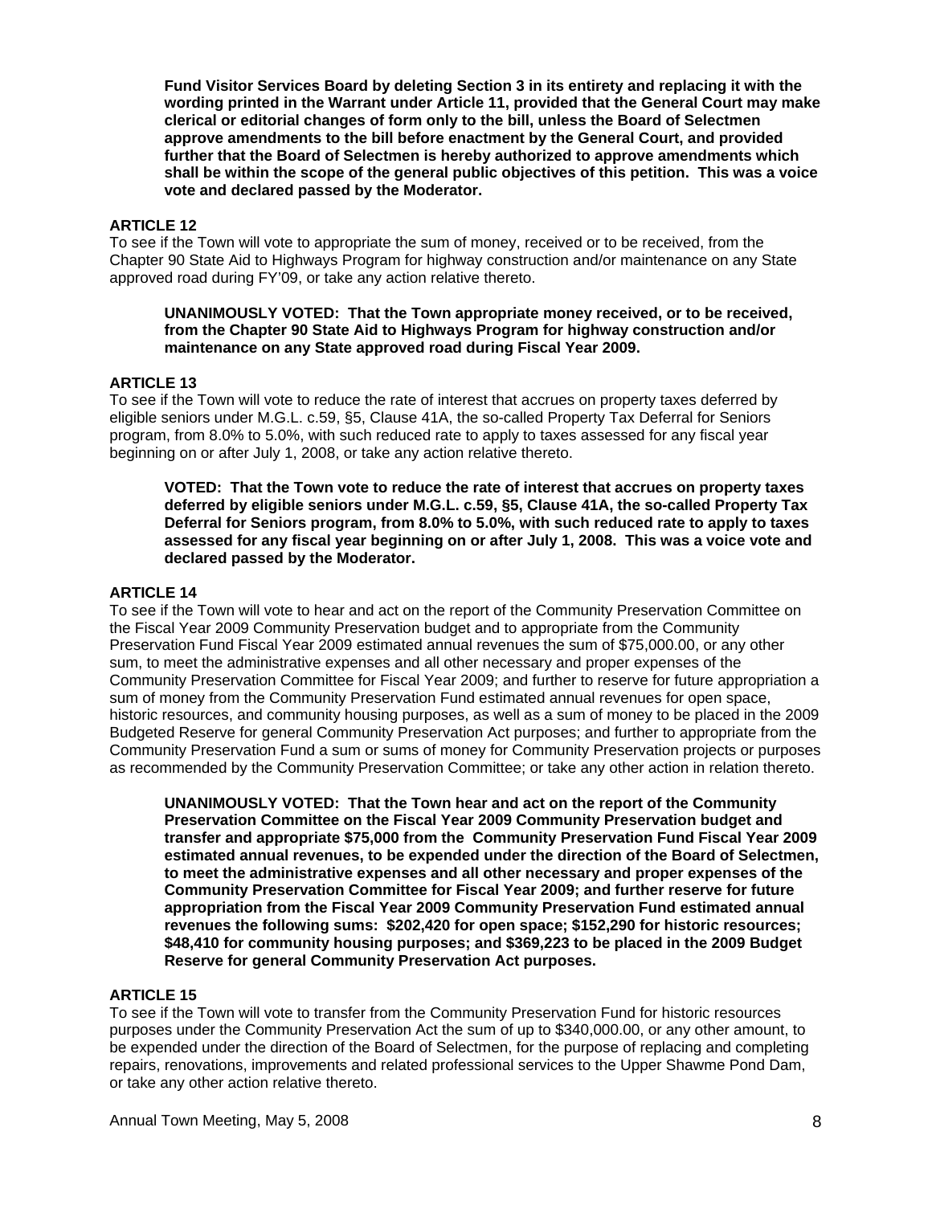**Fund Visitor Services Board by deleting Section 3 in its entirety and replacing it with the wording printed in the Warrant under Article 11, provided that the General Court may make clerical or editorial changes of form only to the bill, unless the Board of Selectmen approve amendments to the bill before enactment by the General Court, and provided further that the Board of Selectmen is hereby authorized to approve amendments which shall be within the scope of the general public objectives of this petition. This was a voice vote and declared passed by the Moderator.** 

## **ARTICLE 12**

To see if the Town will vote to appropriate the sum of money, received or to be received, from the Chapter 90 State Aid to Highways Program for highway construction and/or maintenance on any State approved road during FY'09, or take any action relative thereto.

## **UNANIMOUSLY VOTED: That the Town appropriate money received, or to be received, from the Chapter 90 State Aid to Highways Program for highway construction and/or maintenance on any State approved road during Fiscal Year 2009.**

## **ARTICLE 13**

To see if the Town will vote to reduce the rate of interest that accrues on property taxes deferred by eligible seniors under M.G.L. c.59, §5, Clause 41A, the so-called Property Tax Deferral for Seniors program, from 8.0% to 5.0%, with such reduced rate to apply to taxes assessed for any fiscal year beginning on or after July 1, 2008, or take any action relative thereto.

**VOTED: That the Town vote to reduce the rate of interest that accrues on property taxes deferred by eligible seniors under M.G.L. c.59, §5, Clause 41A, the so-called Property Tax Deferral for Seniors program, from 8.0% to 5.0%, with such reduced rate to apply to taxes assessed for any fiscal year beginning on or after July 1, 2008. This was a voice vote and declared passed by the Moderator.**

## **ARTICLE 14**

To see if the Town will vote to hear and act on the report of the Community Preservation Committee on the Fiscal Year 2009 Community Preservation budget and to appropriate from the Community Preservation Fund Fiscal Year 2009 estimated annual revenues the sum of \$75,000.00, or any other sum, to meet the administrative expenses and all other necessary and proper expenses of the Community Preservation Committee for Fiscal Year 2009; and further to reserve for future appropriation a sum of money from the Community Preservation Fund estimated annual revenues for open space, historic resources, and community housing purposes, as well as a sum of money to be placed in the 2009 Budgeted Reserve for general Community Preservation Act purposes; and further to appropriate from the Community Preservation Fund a sum or sums of money for Community Preservation projects or purposes as recommended by the Community Preservation Committee; or take any other action in relation thereto.

**UNANIMOUSLY VOTED: That the Town hear and act on the report of the Community Preservation Committee on the Fiscal Year 2009 Community Preservation budget and transfer and appropriate \$75,000 from the Community Preservation Fund Fiscal Year 2009 estimated annual revenues, to be expended under the direction of the Board of Selectmen, to meet the administrative expenses and all other necessary and proper expenses of the Community Preservation Committee for Fiscal Year 2009; and further reserve for future appropriation from the Fiscal Year 2009 Community Preservation Fund estimated annual revenues the following sums: \$202,420 for open space; \$152,290 for historic resources; \$48,410 for community housing purposes; and \$369,223 to be placed in the 2009 Budget Reserve for general Community Preservation Act purposes.** 

# **ARTICLE 15**

To see if the Town will vote to transfer from the Community Preservation Fund for historic resources purposes under the Community Preservation Act the sum of up to \$340,000.00, or any other amount, to be expended under the direction of the Board of Selectmen, for the purpose of replacing and completing repairs, renovations, improvements and related professional services to the Upper Shawme Pond Dam, or take any other action relative thereto.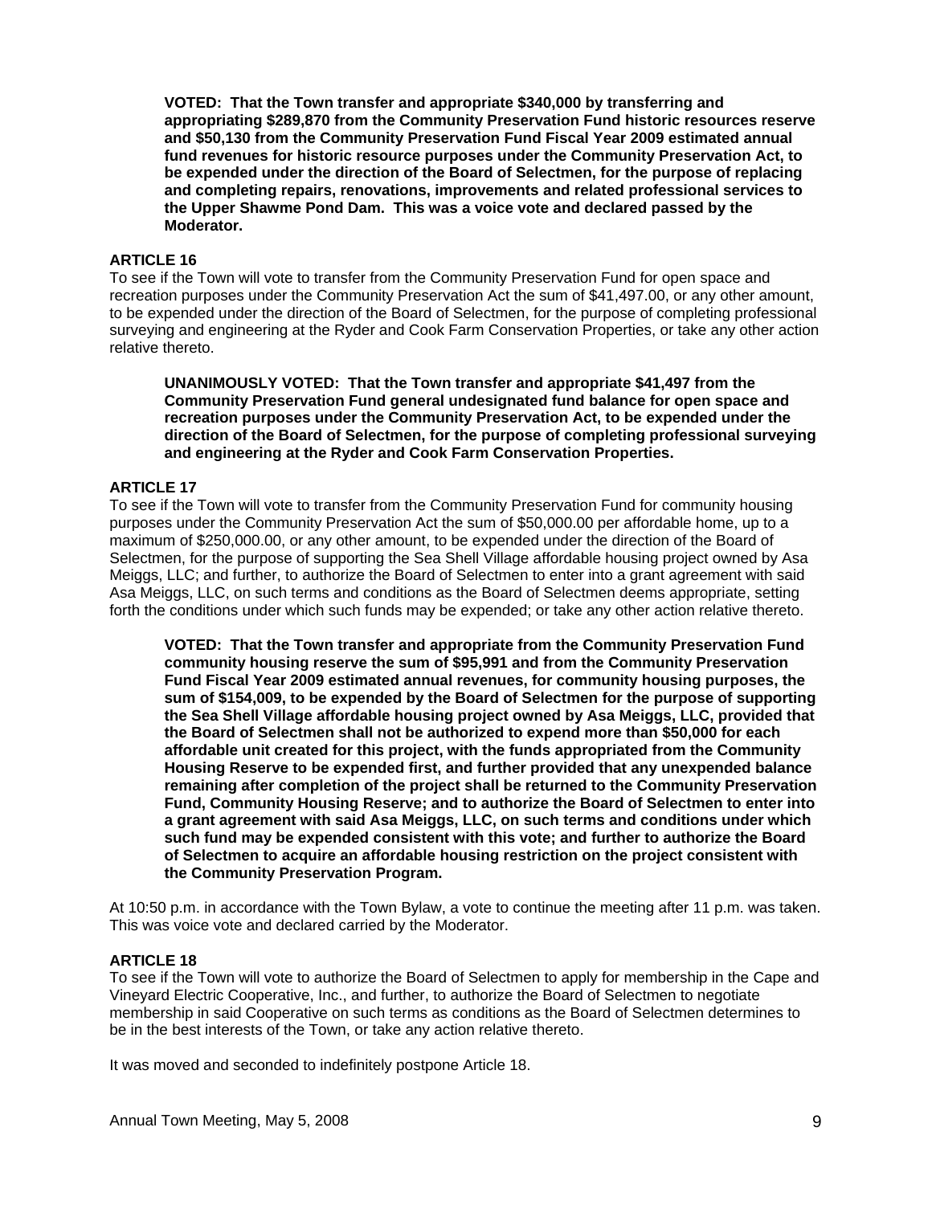**VOTED: That the Town transfer and appropriate \$340,000 by transferring and appropriating \$289,870 from the Community Preservation Fund historic resources reserve and \$50,130 from the Community Preservation Fund Fiscal Year 2009 estimated annual fund revenues for historic resource purposes under the Community Preservation Act, to be expended under the direction of the Board of Selectmen, for the purpose of replacing and completing repairs, renovations, improvements and related professional services to the Upper Shawme Pond Dam. This was a voice vote and declared passed by the Moderator.** 

## **ARTICLE 16**

To see if the Town will vote to transfer from the Community Preservation Fund for open space and recreation purposes under the Community Preservation Act the sum of \$41,497.00, or any other amount, to be expended under the direction of the Board of Selectmen, for the purpose of completing professional surveying and engineering at the Ryder and Cook Farm Conservation Properties, or take any other action relative thereto.

**UNANIMOUSLY VOTED: That the Town transfer and appropriate \$41,497 from the Community Preservation Fund general undesignated fund balance for open space and recreation purposes under the Community Preservation Act, to be expended under the direction of the Board of Selectmen, for the purpose of completing professional surveying and engineering at the Ryder and Cook Farm Conservation Properties.** 

# **ARTICLE 17**

To see if the Town will vote to transfer from the Community Preservation Fund for community housing purposes under the Community Preservation Act the sum of \$50,000.00 per affordable home, up to a maximum of \$250,000.00, or any other amount, to be expended under the direction of the Board of Selectmen, for the purpose of supporting the Sea Shell Village affordable housing project owned by Asa Meiggs, LLC; and further, to authorize the Board of Selectmen to enter into a grant agreement with said Asa Meiggs, LLC, on such terms and conditions as the Board of Selectmen deems appropriate, setting forth the conditions under which such funds may be expended; or take any other action relative thereto.

**VOTED: That the Town transfer and appropriate from the Community Preservation Fund community housing reserve the sum of \$95,991 and from the Community Preservation Fund Fiscal Year 2009 estimated annual revenues, for community housing purposes, the sum of \$154,009, to be expended by the Board of Selectmen for the purpose of supporting the Sea Shell Village affordable housing project owned by Asa Meiggs, LLC, provided that the Board of Selectmen shall not be authorized to expend more than \$50,000 for each affordable unit created for this project, with the funds appropriated from the Community Housing Reserve to be expended first, and further provided that any unexpended balance remaining after completion of the project shall be returned to the Community Preservation Fund, Community Housing Reserve; and to authorize the Board of Selectmen to enter into a grant agreement with said Asa Meiggs, LLC, on such terms and conditions under which such fund may be expended consistent with this vote; and further to authorize the Board of Selectmen to acquire an affordable housing restriction on the project consistent with the Community Preservation Program.** 

At 10:50 p.m. in accordance with the Town Bylaw, a vote to continue the meeting after 11 p.m. was taken. This was voice vote and declared carried by the Moderator.

### **ARTICLE 18**

To see if the Town will vote to authorize the Board of Selectmen to apply for membership in the Cape and Vineyard Electric Cooperative, Inc., and further, to authorize the Board of Selectmen to negotiate membership in said Cooperative on such terms as conditions as the Board of Selectmen determines to be in the best interests of the Town, or take any action relative thereto.

It was moved and seconded to indefinitely postpone Article 18.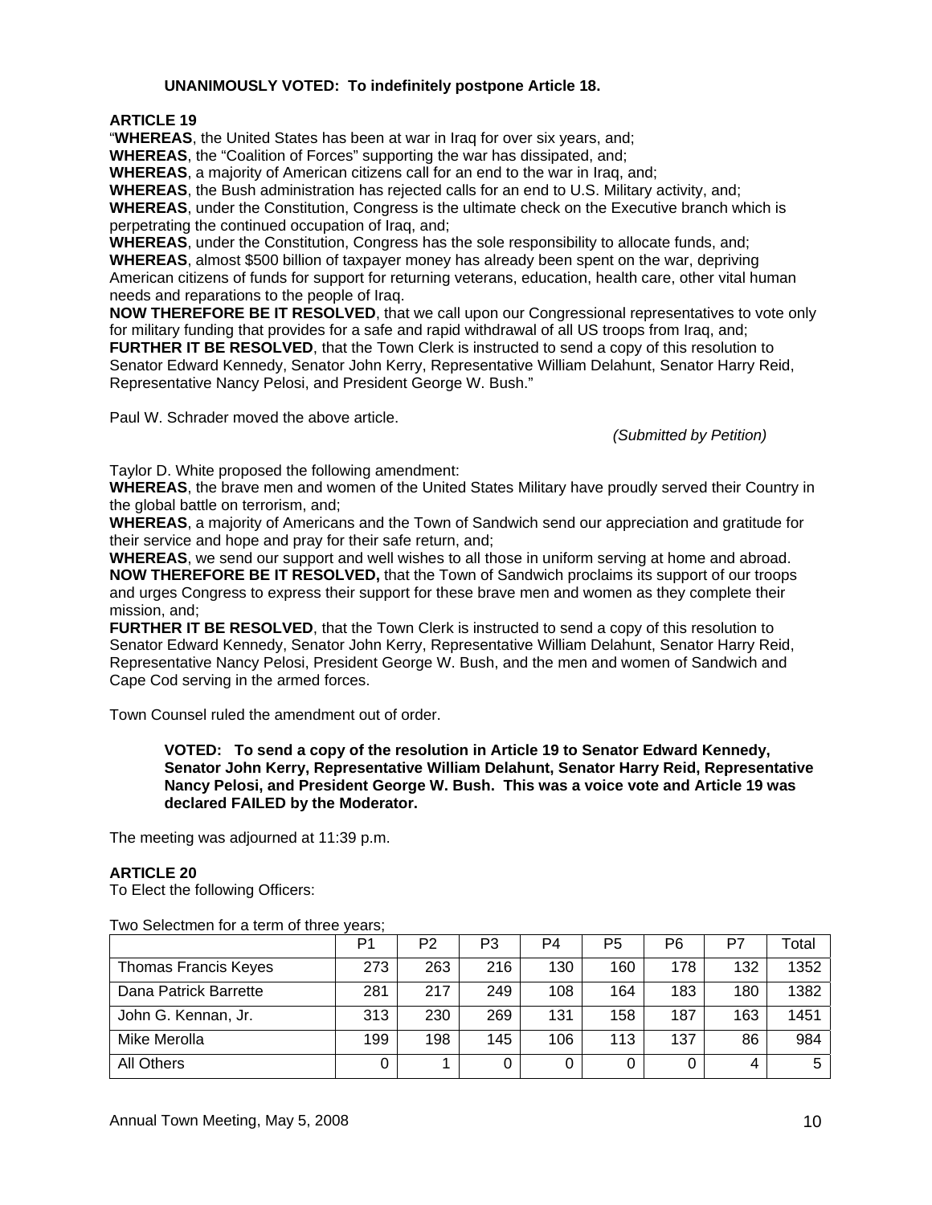# **UNANIMOUSLY VOTED: To indefinitely postpone Article 18.**

**ARTICLE 19** 

"**WHEREAS**, the United States has been at war in Iraq for over six years, and;

**WHEREAS**, the "Coalition of Forces" supporting the war has dissipated, and;

**WHEREAS**, a majority of American citizens call for an end to the war in Iraq, and;

**WHEREAS**, the Bush administration has rejected calls for an end to U.S. Military activity, and;

**WHEREAS**, under the Constitution, Congress is the ultimate check on the Executive branch which is perpetrating the continued occupation of Iraq, and;

**WHEREAS**, under the Constitution, Congress has the sole responsibility to allocate funds, and; **WHEREAS**, almost \$500 billion of taxpayer money has already been spent on the war, depriving American citizens of funds for support for returning veterans, education, health care, other vital human needs and reparations to the people of Iraq.

**NOW THEREFORE BE IT RESOLVED**, that we call upon our Congressional representatives to vote only for military funding that provides for a safe and rapid withdrawal of all US troops from Iraq, and; **FURTHER IT BE RESOLVED**, that the Town Clerk is instructed to send a copy of this resolution to Senator Edward Kennedy, Senator John Kerry, Representative William Delahunt, Senator Harry Reid, Representative Nancy Pelosi, and President George W. Bush."

Paul W. Schrader moved the above article.

*(Submitted by Petition)* 

Taylor D. White proposed the following amendment:

**WHEREAS**, the brave men and women of the United States Military have proudly served their Country in the global battle on terrorism, and;

**WHEREAS**, a majority of Americans and the Town of Sandwich send our appreciation and gratitude for their service and hope and pray for their safe return, and;

**WHEREAS**, we send our support and well wishes to all those in uniform serving at home and abroad. **NOW THEREFORE BE IT RESOLVED,** that the Town of Sandwich proclaims its support of our troops and urges Congress to express their support for these brave men and women as they complete their mission, and;

**FURTHER IT BE RESOLVED**, that the Town Clerk is instructed to send a copy of this resolution to Senator Edward Kennedy, Senator John Kerry, Representative William Delahunt, Senator Harry Reid, Representative Nancy Pelosi, President George W. Bush, and the men and women of Sandwich and Cape Cod serving in the armed forces.

Town Counsel ruled the amendment out of order.

**VOTED: To send a copy of the resolution in Article 19 to Senator Edward Kennedy, Senator John Kerry, Representative William Delahunt, Senator Harry Reid, Representative Nancy Pelosi, and President George W. Bush. This was a voice vote and Article 19 was declared FAILED by the Moderator.** 

The meeting was adjourned at 11:39 p.m.

# **ARTICLE 20**

To Elect the following Officers:

| Two Selectmen for a term of three years; |  |
|------------------------------------------|--|
|------------------------------------------|--|

|                       | P <sub>1</sub> | P2  | P3  | P <sub>4</sub> | P <sub>5</sub> | P <sub>6</sub> | P7  | $\tau$ otal |
|-----------------------|----------------|-----|-----|----------------|----------------|----------------|-----|-------------|
| Thomas Francis Keyes  | 273            | 263 | 216 | 130            | 160            | 178            | 132 | 1352        |
| Dana Patrick Barrette | 281            | 217 | 249 | 108            | 164            | 183            | 180 | 1382        |
| John G. Kennan, Jr.   | 313            | 230 | 269 | 131            | 158            | 187            | 163 | 1451        |
| Mike Merolla          | 199            | 198 | 145 | 106            | 113            | 137            | 86  | 984         |
| All Others            | 0              |     |     |                | 0              |                |     | 5           |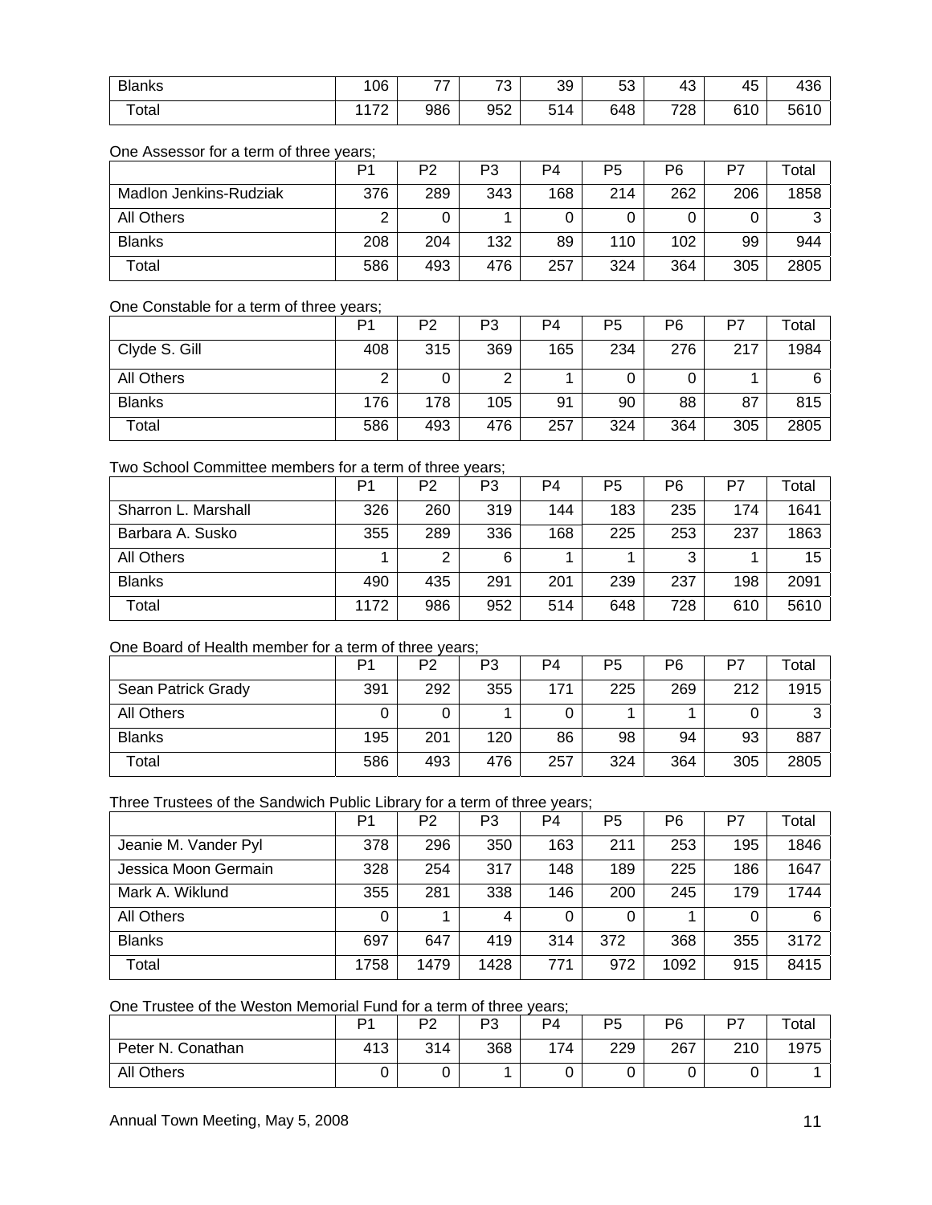| <b>Blanks</b>          | 06            | $\rightarrow$ | 70<br>ີ | 39  | r o<br>э.<br>ບບ | 43                                         | 45  | 436  |
|------------------------|---------------|---------------|---------|-----|-----------------|--------------------------------------------|-----|------|
| $\tau$ <sub>otal</sub> | ,,,,<br>111 Z | 986           | 952     | 514 | 648             | 728<br>and the contract of the contract of | 610 | 5610 |

# One Assessor for a term of three years;

|                        | P <sub>1</sub> | P <sub>2</sub> | P3  | P4  | P5  | P6  | P7  | Total |
|------------------------|----------------|----------------|-----|-----|-----|-----|-----|-------|
| Madlon Jenkins-Rudziak | 376            | 289            | 343 | 168 | 214 | 262 | 206 | 1858  |
| <b>All Others</b>      |                |                |     |     |     |     |     | っ     |
| <b>Blanks</b>          | 208            | 204            | 132 | 89  | 110 | 102 | 99  | 944   |
| Total                  | 586            | 493            | 476 | 257 | 324 | 364 | 305 | 2805  |

# One Constable for a term of three years;

|               | P <sub>1</sub> | P <sub>2</sub> | P3  | P4  | P5  | P6  | P7  | Total |
|---------------|----------------|----------------|-----|-----|-----|-----|-----|-------|
| Clyde S. Gill | 408            | 315            | 369 | 165 | 234 | 276 | 217 | 1984  |
| All Others    |                |                | ົ   |     |     |     |     | 6     |
| <b>Blanks</b> | 176            | 178            | 105 | 91  | 90  | 88  | 87  | 815   |
| Total         | 586            | 493            | 476 | 257 | 324 | 364 | 305 | 2805  |

## Two School Committee members for a term of three years;

|                     | P <sub>1</sub> | P2  | P3  | P <sub>4</sub> | P <sub>5</sub> | P6  | P7  | Total |
|---------------------|----------------|-----|-----|----------------|----------------|-----|-----|-------|
| Sharron L. Marshall | 326            | 260 | 319 | 144            | 183            | 235 | 174 | 1641  |
| Barbara A. Susko    | 355            | 289 | 336 | 168            | 225            | 253 | 237 | 1863  |
| All Others          |                | っ   | 6   |                |                | 3   |     | 15    |
| <b>Blanks</b>       | 490            | 435 | 291 | 201            | 239            | 237 | 198 | 2091  |
| Total               | 1172           | 986 | 952 | 514            | 648            | 728 | 610 | 5610  |

# One Board of Health member for a term of three years;

|                    | Þ۰  | P2  | P3  | P4  | P5  | P6  | P7  | $\tau$ otal |
|--------------------|-----|-----|-----|-----|-----|-----|-----|-------------|
| Sean Patrick Grady | 391 | 292 | 355 | 171 | 225 | 269 | 212 | 1915        |
| All Others         |     |     |     |     |     |     |     | ◠           |
| <b>Blanks</b>      | 195 | 201 | 120 | 86  | 98  | 94  | 93  | 887         |
| Total              | 586 | 493 | 476 | 257 | 324 | 364 | 305 | 2805        |

# Three Trustees of the Sandwich Public Library for a term of three years;

|                      | P <sub>1</sub> | P <sub>2</sub> | P3   | P4  | P <sub>5</sub> | P <sub>6</sub> | P7  | Total |
|----------------------|----------------|----------------|------|-----|----------------|----------------|-----|-------|
| Jeanie M. Vander Pyl | 378            | 296            | 350  | 163 | 211            | 253            | 195 | 1846  |
| Jessica Moon Germain | 328            | 254            | 317  | 148 | 189            | 225            | 186 | 1647  |
| Mark A. Wiklund      | 355            | 281            | 338  | 146 | 200            | 245            | 179 | 1744  |
| <b>All Others</b>    | 0              |                | 4    | 0   | 0              |                |     | 6     |
| <b>Blanks</b>        | 697            | 647            | 419  | 314 | 372            | 368            | 355 | 3172  |
| Total                | 1758           | 1479           | 1428 | 771 | 972            | 1092           | 915 | 8415  |

# One Trustee of the Weston Memorial Fund for a term of three years;

|                   | D.  | מם<br><u>_</u> | פם<br>ັບ | P <sub>4</sub> | P <sub>5</sub> | P6  | D7  | Total |
|-------------------|-----|----------------|----------|----------------|----------------|-----|-----|-------|
| Peter N. Conathan | 413 | 314            | 368      | 174            | 229            | 267 | 210 | 1975  |
| All Others        |     |                |          |                |                | ີ   | ັ   |       |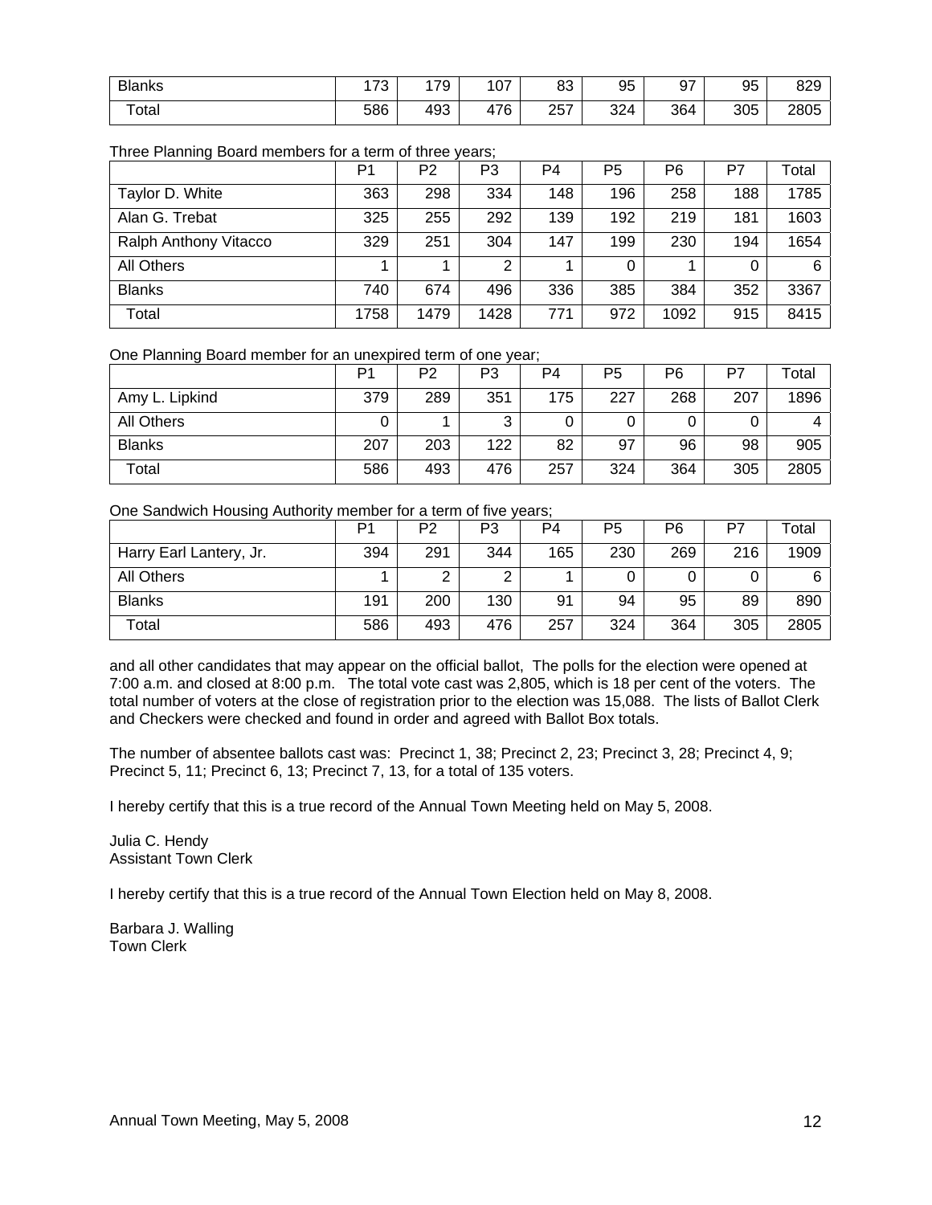| <b>Blanks</b> | <b>CTO</b><br>ັບ | 179 | 107 | 83  | 95  | 67<br>ະ. | 95  | 820<br>౦∠ర |
|---------------|------------------|-----|-----|-----|-----|----------|-----|------------|
| Total         | 586              | 493 | 476 | 257 | 324 | 364      | 305 | 2805       |

# Three Planning Board members for a term of three years;

|                       | P1   | P2   | P3   | P <sub>4</sub> | P <sub>5</sub> | P <sub>6</sub> | P7  | Total |
|-----------------------|------|------|------|----------------|----------------|----------------|-----|-------|
| Taylor D. White       | 363  | 298  | 334  | 148            | 196            | 258            | 188 | 1785  |
| Alan G. Trebat        | 325  | 255  | 292  | 139            | 192            | 219            | 181 | 1603  |
| Ralph Anthony Vitacco | 329  | 251  | 304  | 147            | 199            | 230            | 194 | 1654  |
| <b>All Others</b>     |      |      | ⌒    |                |                |                |     | 6     |
| <b>Blanks</b>         | 740  | 674  | 496  | 336            | 385            | 384            | 352 | 3367  |
| Total                 | 1758 | 1479 | 1428 | 771            | 972            | 1092           | 915 | 8415  |

One Planning Board member for an unexpired term of one year;

|                   | P٬  | P2  | P3     | P4  | P <sub>5</sub> | P6  | P7  | $\tau$ otal |
|-------------------|-----|-----|--------|-----|----------------|-----|-----|-------------|
| Amy L. Lipkind    | 379 | 289 | 351    | 175 | 227            | 268 | 207 | 1896        |
| <b>All Others</b> | 0   |     | っ<br>J | U   |                |     |     |             |
| <b>Blanks</b>     | 207 | 203 | 122    | 82  | 97             | 96  | 98  | 905         |
| Total             | 586 | 493 | 476    | 257 | 324            | 364 | 305 | 2805        |

One Sandwich Housing Authority member for a term of five years;

|                         | D٠  | P2  | P3  | P4  | P5  | P6  | P7  | Total |
|-------------------------|-----|-----|-----|-----|-----|-----|-----|-------|
| Harry Earl Lantery, Jr. | 394 | 291 | 344 | 165 | 230 | 269 | 216 | 1909  |
| <b>All Others</b>       |     |     | ⌒   |     |     |     |     | 6     |
| <b>Blanks</b>           | 191 | 200 | 130 | 91  | 94  | 95  | 89  | 890   |
| Total                   | 586 | 493 | 476 | 257 | 324 | 364 | 305 | 2805  |

and all other candidates that may appear on the official ballot, The polls for the election were opened at 7:00 a.m. and closed at 8:00 p.m. The total vote cast was 2,805, which is 18 per cent of the voters. The total number of voters at the close of registration prior to the election was 15,088. The lists of Ballot Clerk and Checkers were checked and found in order and agreed with Ballot Box totals.

The number of absentee ballots cast was: Precinct 1, 38; Precinct 2, 23; Precinct 3, 28; Precinct 4, 9; Precinct 5, 11; Precinct 6, 13; Precinct 7, 13, for a total of 135 voters.

I hereby certify that this is a true record of the Annual Town Meeting held on May 5, 2008.

Julia C. Hendy Assistant Town Clerk

I hereby certify that this is a true record of the Annual Town Election held on May 8, 2008.

Barbara J. Walling Town Clerk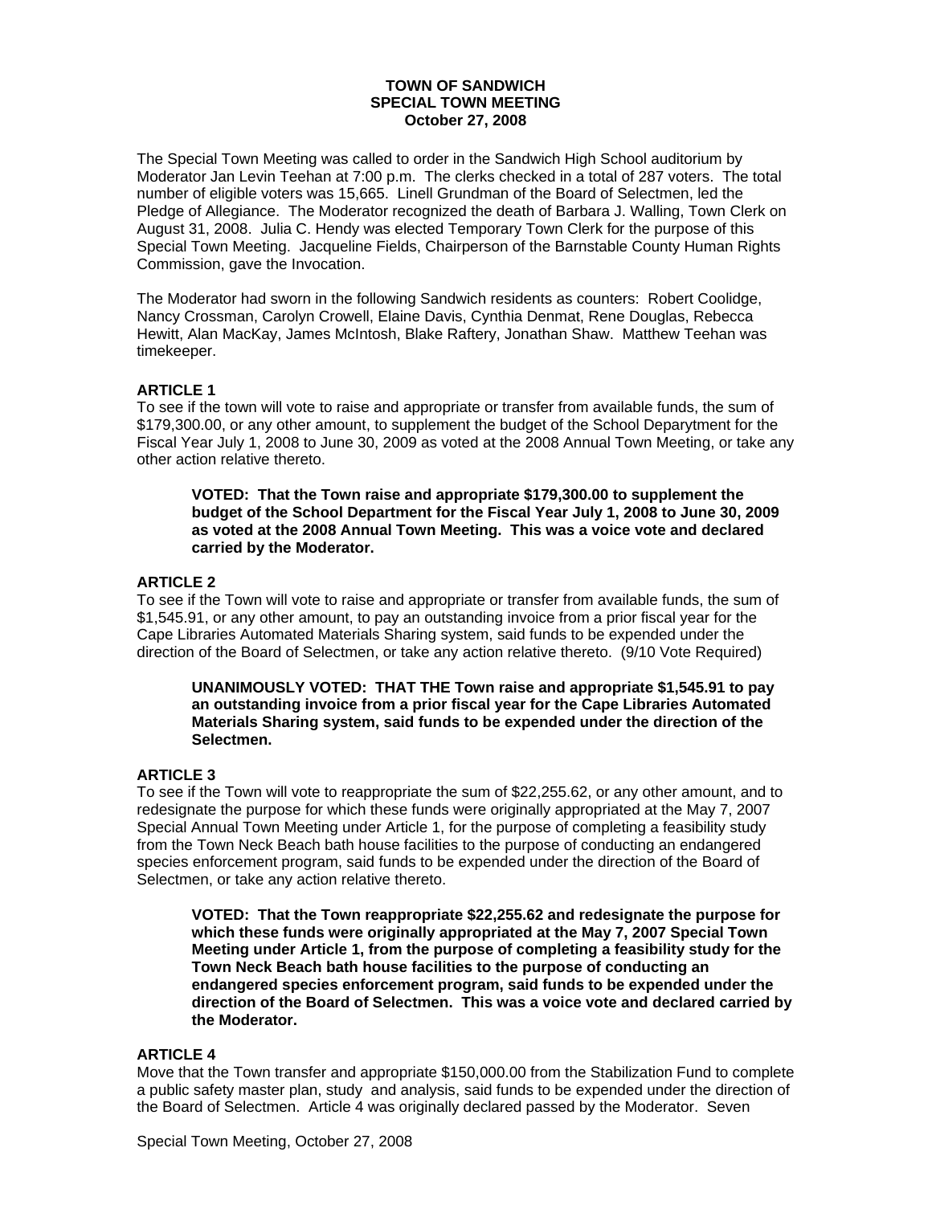## **TOWN OF SANDWICH SPECIAL TOWN MEETING October 27, 2008**

The Special Town Meeting was called to order in the Sandwich High School auditorium by Moderator Jan Levin Teehan at 7:00 p.m. The clerks checked in a total of 287 voters. The total number of eligible voters was 15,665. Linell Grundman of the Board of Selectmen, led the Pledge of Allegiance. The Moderator recognized the death of Barbara J. Walling, Town Clerk on August 31, 2008. Julia C. Hendy was elected Temporary Town Clerk for the purpose of this Special Town Meeting. Jacqueline Fields, Chairperson of the Barnstable County Human Rights Commission, gave the Invocation.

The Moderator had sworn in the following Sandwich residents as counters: Robert Coolidge, Nancy Crossman, Carolyn Crowell, Elaine Davis, Cynthia Denmat, Rene Douglas, Rebecca Hewitt, Alan MacKay, James McIntosh, Blake Raftery, Jonathan Shaw. Matthew Teehan was timekeeper.

# **ARTICLE 1**

To see if the town will vote to raise and appropriate or transfer from available funds, the sum of \$179,300.00, or any other amount, to supplement the budget of the School Deparytment for the Fiscal Year July 1, 2008 to June 30, 2009 as voted at the 2008 Annual Town Meeting, or take any other action relative thereto.

**VOTED: That the Town raise and appropriate \$179,300.00 to supplement the budget of the School Department for the Fiscal Year July 1, 2008 to June 30, 2009 as voted at the 2008 Annual Town Meeting. This was a voice vote and declared carried by the Moderator.** 

## **ARTICLE 2**

To see if the Town will vote to raise and appropriate or transfer from available funds, the sum of \$1,545.91, or any other amount, to pay an outstanding invoice from a prior fiscal year for the Cape Libraries Automated Materials Sharing system, said funds to be expended under the direction of the Board of Selectmen, or take any action relative thereto. (9/10 Vote Required)

**UNANIMOUSLY VOTED: THAT THE Town raise and appropriate \$1,545.91 to pay an outstanding invoice from a prior fiscal year for the Cape Libraries Automated Materials Sharing system, said funds to be expended under the direction of the Selectmen.** 

## **ARTICLE 3**

To see if the Town will vote to reappropriate the sum of \$22,255.62, or any other amount, and to redesignate the purpose for which these funds were originally appropriated at the May 7, 2007 Special Annual Town Meeting under Article 1, for the purpose of completing a feasibility study from the Town Neck Beach bath house facilities to the purpose of conducting an endangered species enforcement program, said funds to be expended under the direction of the Board of Selectmen, or take any action relative thereto.

**VOTED: That the Town reappropriate \$22,255.62 and redesignate the purpose for which these funds were originally appropriated at the May 7, 2007 Special Town Meeting under Article 1, from the purpose of completing a feasibility study for the Town Neck Beach bath house facilities to the purpose of conducting an endangered species enforcement program, said funds to be expended under the direction of the Board of Selectmen. This was a voice vote and declared carried by the Moderator.** 

## **ARTICLE 4**

Move that the Town transfer and appropriate \$150,000.00 from the Stabilization Fund to complete a public safety master plan, study and analysis, said funds to be expended under the direction of the Board of Selectmen. Article 4 was originally declared passed by the Moderator. Seven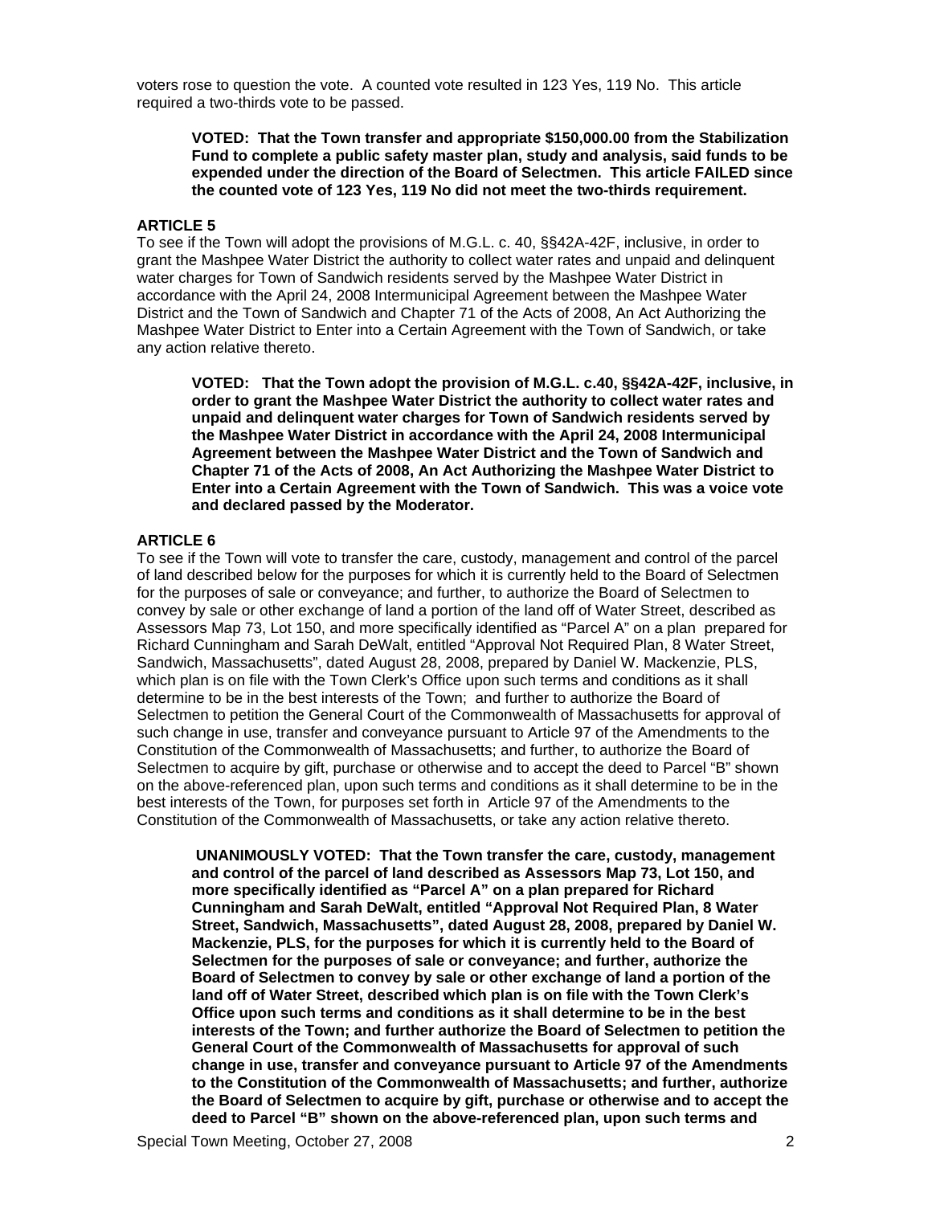voters rose to question the vote. A counted vote resulted in 123 Yes, 119 No. This article required a two-thirds vote to be passed.

## **VOTED: That the Town transfer and appropriate \$150,000.00 from the Stabilization Fund to complete a public safety master plan, study and analysis, said funds to be expended under the direction of the Board of Selectmen. This article FAILED since the counted vote of 123 Yes, 119 No did not meet the two-thirds requirement.**

## **ARTICLE 5**

To see if the Town will adopt the provisions of M.G.L. c. 40, §§42A-42F, inclusive, in order to grant the Mashpee Water District the authority to collect water rates and unpaid and delinquent water charges for Town of Sandwich residents served by the Mashpee Water District in accordance with the April 24, 2008 Intermunicipal Agreement between the Mashpee Water District and the Town of Sandwich and Chapter 71 of the Acts of 2008, An Act Authorizing the Mashpee Water District to Enter into a Certain Agreement with the Town of Sandwich, or take any action relative thereto.

**VOTED: That the Town adopt the provision of M.G.L. c.40, §§42A-42F, inclusive, in order to grant the Mashpee Water District the authority to collect water rates and unpaid and delinquent water charges for Town of Sandwich residents served by the Mashpee Water District in accordance with the April 24, 2008 Intermunicipal Agreement between the Mashpee Water District and the Town of Sandwich and Chapter 71 of the Acts of 2008, An Act Authorizing the Mashpee Water District to Enter into a Certain Agreement with the Town of Sandwich. This was a voice vote and declared passed by the Moderator.** 

## **ARTICLE 6**

To see if the Town will vote to transfer the care, custody, management and control of the parcel of land described below for the purposes for which it is currently held to the Board of Selectmen for the purposes of sale or conveyance; and further, to authorize the Board of Selectmen to convey by sale or other exchange of land a portion of the land off of Water Street, described as Assessors Map 73, Lot 150, and more specifically identified as "Parcel A" on a plan prepared for Richard Cunningham and Sarah DeWalt, entitled "Approval Not Required Plan, 8 Water Street, Sandwich, Massachusetts", dated August 28, 2008, prepared by Daniel W. Mackenzie, PLS, which plan is on file with the Town Clerk's Office upon such terms and conditions as it shall determine to be in the best interests of the Town; and further to authorize the Board of Selectmen to petition the General Court of the Commonwealth of Massachusetts for approval of such change in use, transfer and conveyance pursuant to Article 97 of the Amendments to the Constitution of the Commonwealth of Massachusetts; and further, to authorize the Board of Selectmen to acquire by gift, purchase or otherwise and to accept the deed to Parcel "B" shown on the above-referenced plan, upon such terms and conditions as it shall determine to be in the best interests of the Town, for purposes set forth in Article 97 of the Amendments to the Constitution of the Commonwealth of Massachusetts, or take any action relative thereto.

 **UNANIMOUSLY VOTED: That the Town transfer the care, custody, management and control of the parcel of land described as Assessors Map 73, Lot 150, and more specifically identified as "Parcel A" on a plan prepared for Richard Cunningham and Sarah DeWalt, entitled "Approval Not Required Plan, 8 Water Street, Sandwich, Massachusetts", dated August 28, 2008, prepared by Daniel W. Mackenzie, PLS, for the purposes for which it is currently held to the Board of Selectmen for the purposes of sale or conveyance; and further, authorize the Board of Selectmen to convey by sale or other exchange of land a portion of the land off of Water Street, described which plan is on file with the Town Clerk's Office upon such terms and conditions as it shall determine to be in the best interests of the Town; and further authorize the Board of Selectmen to petition the General Court of the Commonwealth of Massachusetts for approval of such change in use, transfer and conveyance pursuant to Article 97 of the Amendments to the Constitution of the Commonwealth of Massachusetts; and further, authorize the Board of Selectmen to acquire by gift, purchase or otherwise and to accept the deed to Parcel "B" shown on the above-referenced plan, upon such terms and**